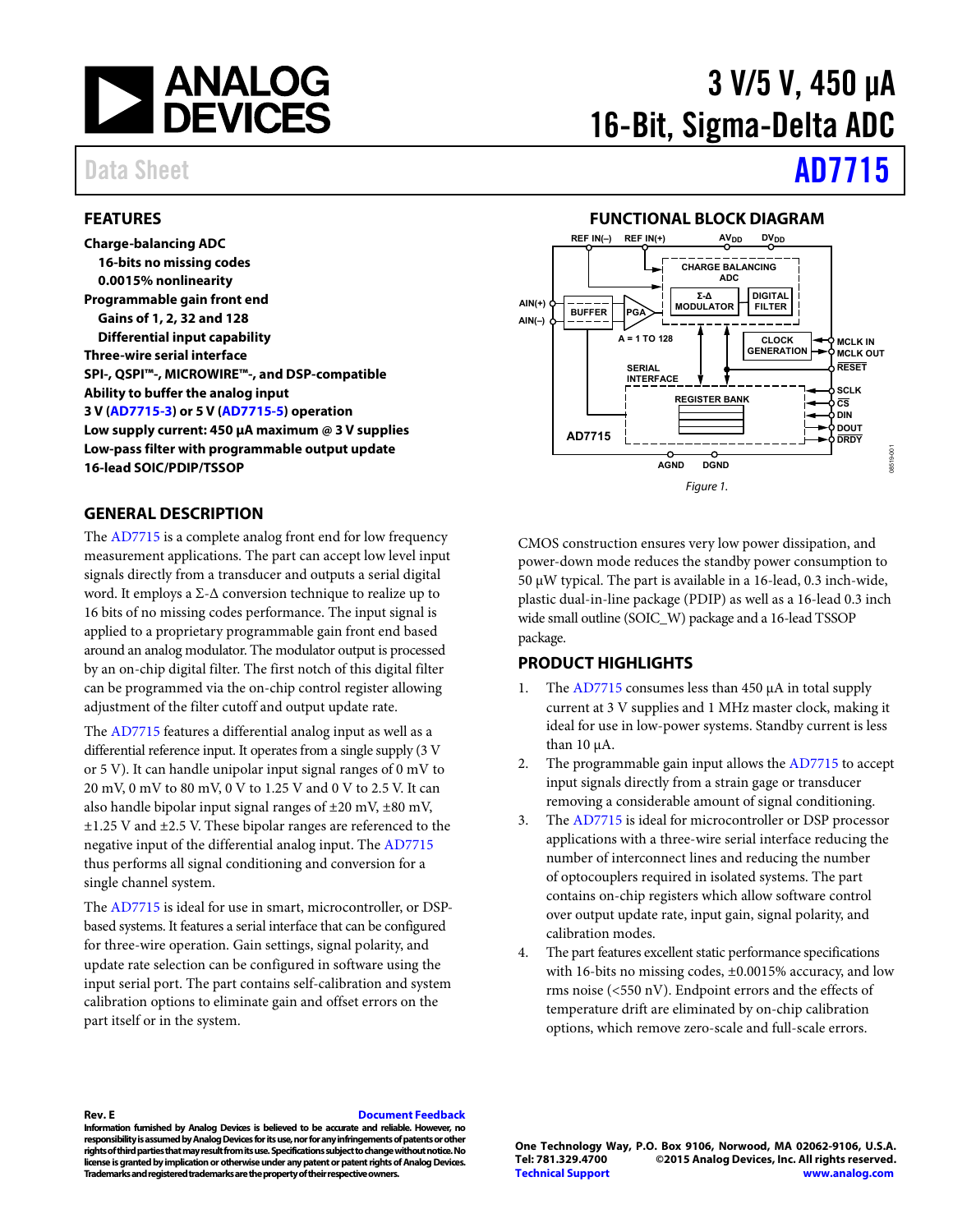

### <span id="page-0-0"></span>**FEATURES**

**Charge-balancing ADC 16-bits no missing codes 0.0015% nonlinearity Programmable gain front end Gains of 1, 2, 32 and 128 Differential input capability Three-wire serial interface SPI-, QSPI™-, MICROWIRE™-, and DSP-compatible Ability to buffer the analog input 3 V [\(AD7715-3\)](http://www.analog.com/AD7715?doc=AD7715.pdf) or 5 V [\(AD7715-5\)](http://www.analog.com/AD7715?doc=AD7715.pdf) operation Low supply current: 450 µA maximum @ 3 V supplies Low-pass filter with programmable output update 16-lead SOIC/PDIP/TSSOP**

### <span id="page-0-2"></span>**GENERAL DESCRIPTION**

The [AD7715](http://www.analog.com/AD7715?doc=AD7715.pdf) is a complete analog front end for low frequency measurement applications. The part can accept low level input signals directly from a transducer and outputs a serial digital word. It employs a  $\Sigma$ - $\Delta$  conversion technique to realize up to 16 bits of no missing codes performance. The input signal is applied to a proprietary programmable gain front end based around an analog modulator. The modulator output is processed by an on-chip digital filter. The first notch of this digital filter can be programmed via the on-chip control register allowing adjustment of the filter cutoff and output update rate.

The [AD7715](http://www.analog.com/AD7715?doc=AD7715.pdf) features a differential analog input as well as a differential reference input. It operates from a single supply (3 V or 5 V). It can handle unipolar input signal ranges of 0 mV to 20 mV, 0 mV to 80 mV, 0 V to 1.25 V and 0 V to 2.5 V. It can also handle bipolar input signal ranges of  $\pm 20$  mV,  $\pm 80$  mV, ±1.25 V and ±2.5 V. These bipolar ranges are referenced to the negative input of the differential analog input. The [AD7715](http://www.analog.com/AD7715?doc=AD7715.pdf) thus performs all signal conditioning and conversion for a single channel system.

The [AD7715](http://www.analog.com/AD7715?doc=AD7715.pdf) is ideal for use in smart, microcontroller, or DSPbased systems. It features a serial interface that can be configured for three-wire operation. Gain settings, signal polarity, and update rate selection can be configured in software using the input serial port. The part contains self-calibration and system calibration options to eliminate gain and offset errors on the part itself or in the system.

# 3 V/5 V, 450 µA 16-Bit, Sigma-Delta ADC

# Data Sheet **[AD7715](http://www.analog.com/AD7715?doc=AD7715.pdf)**

#### **FUNCTIONAL BLOCK DIAGRAM**

<span id="page-0-1"></span>

CMOS construction ensures very low power dissipation, and power-down mode reduces the standby power consumption to 50 µW typical. The part is available in a 16-lead, 0.3 inch-wide, plastic dual-in-line package (PDIP) as well as a 16-lead 0.3 inch wide small outline (SOIC\_W) package and a 16-lead TSSOP package.

#### <span id="page-0-3"></span>**PRODUCT HIGHLIGHTS**

- 1. The [AD7715](http://www.analog.com/AD7715?doc=AD7715.pdf) consumes less than 450 µA in total supply current at 3 V supplies and 1 MHz master clock, making it ideal for use in low-power systems. Standby current is less than  $10 \mu A$ .
- 2. The programmable gain input allows the [AD7715](http://www.analog.com/AD7715?doc=AD7715.pdf) to accept input signals directly from a strain gage or transducer removing a considerable amount of signal conditioning.
- 3. The [AD7715](http://www.analog.com/AD7715?doc=AD7715.pdf) is ideal for microcontroller or DSP processor applications with a three-wire serial interface reducing the number of interconnect lines and reducing the number of optocouplers required in isolated systems. The part contains on-chip registers which allow software control over output update rate, input gain, signal polarity, and calibration modes.
- 4. The part features excellent static performance specifications with 16-bits no missing codes, ±0.0015% accuracy, and low rms noise (<550 nV). Endpoint errors and the effects of temperature drift are eliminated by on-chip calibration options, which remove zero-scale and full-scale errors.

#### **Rev. E [Document Feedback](https://form.analog.com/Form_Pages/feedback/documentfeedback.aspx?doc=AD7715.pdf&product=AD7715&rev=E)**

**Information furnished by Analog Devices is believed to be accurate and reliable. However, no responsibility is assumed by Analog Devices for its use, nor for any infringements of patents or other rights of third parties that may result from its use. Specifications subject to change without notice. No license is granted by implication or otherwise under any patent or patent rights of Analog Devices. Trademarks and registered trademarks are the property of their respective owners.**

**One Technology Way, P.O. Box 9106, Norwood, MA 02062-9106, U.S.A. Tel: 781.329.4700 ©2015 Analog Devices, Inc. All rights reserved. [Technical Support](http://www.analog.com/en/content/technical_support_page/fca.html) [www.analog.com](http://www.analog.com/)**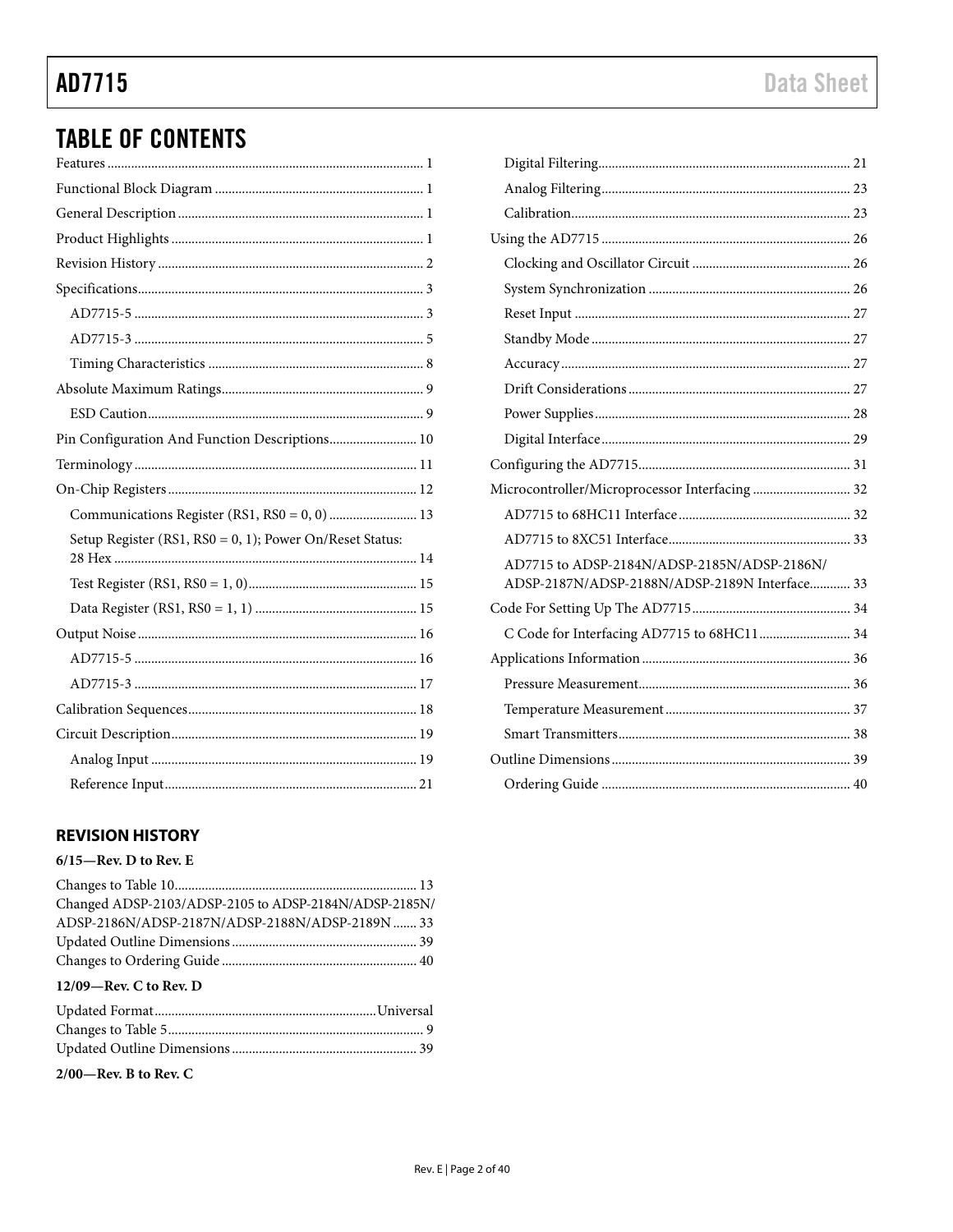# **TABLE OF CONTENTS**

| Pin Configuration And Function Descriptions 10           |
|----------------------------------------------------------|
|                                                          |
|                                                          |
| Communications Register (RS1, RS0 = 0, 0)  13            |
| Setup Register (RS1, RS0 = 0, 1); Power On/Reset Status: |
|                                                          |
|                                                          |
|                                                          |
|                                                          |
|                                                          |
|                                                          |
|                                                          |
|                                                          |
|                                                          |

# <span id="page-1-0"></span>**REVISION HISTORY**

## $6/15$ —Rev. D to Rev. E

| Changed ADSP-2103/ADSP-2105 to ADSP-2184N/ADSP-2185N/ |
|-------------------------------------------------------|
| ADSP-2186N/ADSP-2187N/ADSP-2188N/ADSP-2189N  33       |
|                                                       |
|                                                       |
| $12/09$ —Rev. C to Rev. D                             |
|                                                       |
|                                                       |
|                                                       |

# $2/00$ —Rev. B to Rev. C

| Microcontroller/Microprocessor Interfacing 32 |
|-----------------------------------------------|
|                                               |
|                                               |
| AD7715 to ADSP-2184N/ADSP-2185N/ADSP-2186N/   |
| ADSP-2187N/ADSP-2188N/ADSP-2189N Interface 33 |
|                                               |
|                                               |
|                                               |
|                                               |
|                                               |
|                                               |
|                                               |
|                                               |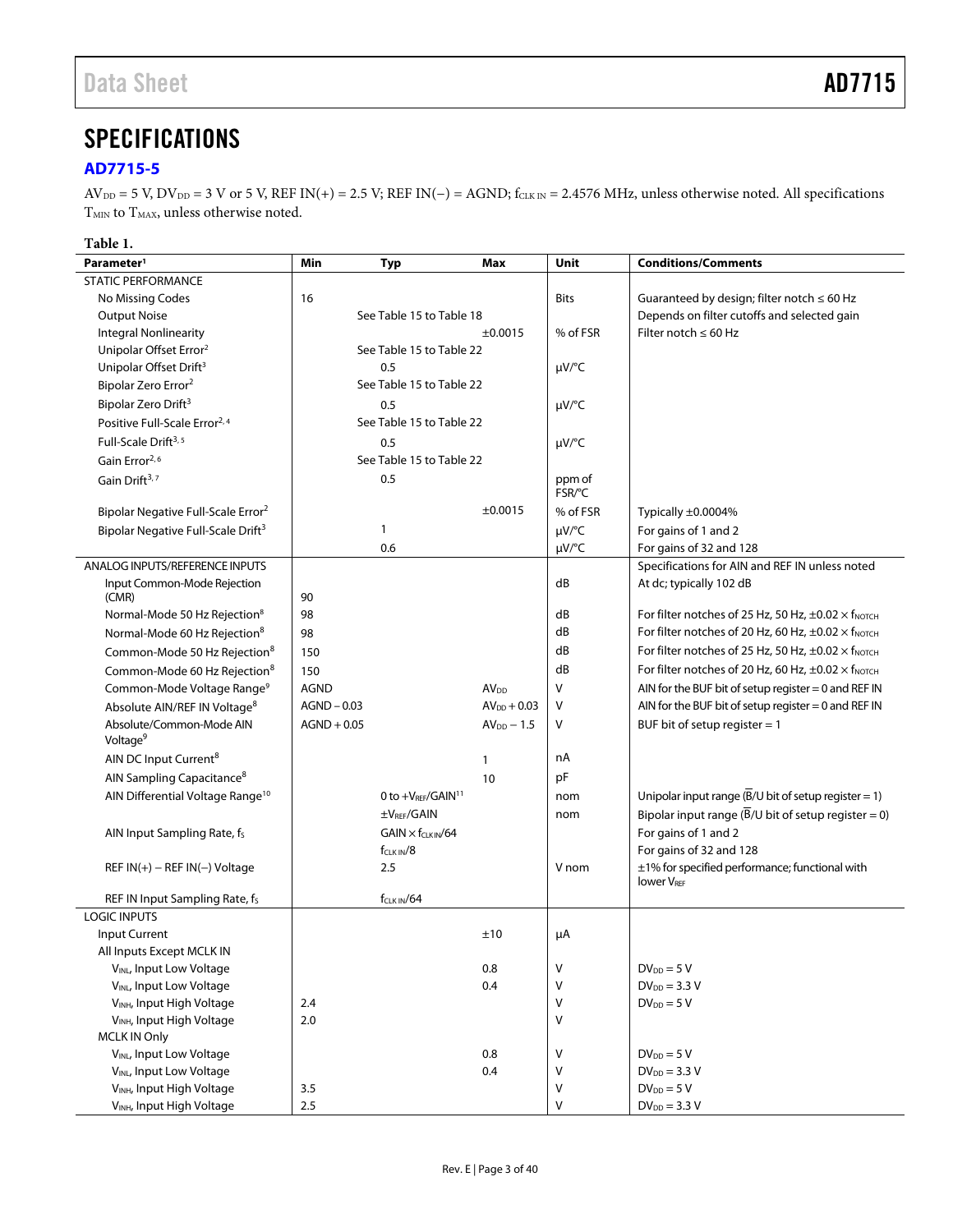# <span id="page-2-0"></span>**SPECIFICATIONS**

# <span id="page-2-1"></span>**[AD7715-5](http://www.analog.com/AD7715?doc=AD7715.pdf)**

 $AV_{DD} = 5$  V,  $DV_{DD} = 3$  V or 5 V, REF IN(+) = 2.5 V; REF IN(-) = AGND;  $f_{CLKN} = 2.4576$  MHz, unless otherwise noted. All specifications  ${\rm T}_{\rm MIN}$  to  ${\rm T}_{\rm MAX}$  unless otherwise noted.

### **Table 1.**

| Parameter <sup>1</sup>                           | Min           | <b>Typ</b>                 | Max              | Unit         | <b>Conditions/Comments</b>                                                 |
|--------------------------------------------------|---------------|----------------------------|------------------|--------------|----------------------------------------------------------------------------|
| <b>STATIC PERFORMANCE</b>                        |               |                            |                  |              |                                                                            |
| No Missing Codes                                 | 16            |                            |                  | <b>Bits</b>  | Guaranteed by design; filter notch $\leq 60$ Hz                            |
| <b>Output Noise</b>                              |               | See Table 15 to Table 18   |                  |              | Depends on filter cutoffs and selected gain                                |
| <b>Integral Nonlinearity</b>                     |               |                            | ±0.0015          | % of FSR     | Filter notch $\leq 60$ Hz                                                  |
| Unipolar Offset Error <sup>2</sup>               |               | See Table 15 to Table 22   |                  |              |                                                                            |
| Unipolar Offset Drift <sup>3</sup>               |               | 0.5                        |                  | µV/°C        |                                                                            |
| Bipolar Zero Error <sup>2</sup>                  |               | See Table 15 to Table 22   |                  |              |                                                                            |
| Bipolar Zero Drift <sup>3</sup>                  |               | 0.5                        |                  | $\mu V$ /°C  |                                                                            |
| Positive Full-Scale Error <sup>2, 4</sup>        |               | See Table 15 to Table 22   |                  |              |                                                                            |
| Full-Scale Drift <sup>3, 5</sup>                 |               | 0.5                        |                  | $\mu V$ /°C  |                                                                            |
| Gain Error <sup>2,6</sup>                        |               | See Table 15 to Table 22   |                  |              |                                                                            |
| Gain Drift <sup>3,7</sup>                        |               | 0.5                        |                  | ppm of       |                                                                            |
|                                                  |               |                            |                  | FSR/°C       |                                                                            |
| Bipolar Negative Full-Scale Error <sup>2</sup>   |               |                            | ±0.0015          | % of FSR     | Typically ±0.0004%                                                         |
| Bipolar Negative Full-Scale Drift <sup>3</sup>   |               | 1                          |                  | $\mu V$ /°C  | For gains of 1 and 2                                                       |
|                                                  |               | 0.6                        |                  | $\mu V$ /°C  | For gains of 32 and 128                                                    |
| ANALOG INPUTS/REFERENCE INPUTS                   |               |                            |                  |              | Specifications for AIN and REF IN unless noted                             |
| Input Common-Mode Rejection                      |               |                            |                  | dB           | At dc; typically 102 dB                                                    |
| (CMR)                                            | 90            |                            |                  |              |                                                                            |
| Normal-Mode 50 Hz Rejection <sup>8</sup>         | 98            |                            |                  | dB           | For filter notches of 25 Hz, 50 Hz, $\pm$ 0.02 $\times$ f <sub>NOTCH</sub> |
| Normal-Mode 60 Hz Rejection <sup>8</sup>         | 98            |                            |                  | dB           | For filter notches of 20 Hz, 60 Hz, $\pm 0.02 \times$ f <sub>NOTCH</sub>   |
| Common-Mode 50 Hz Rejection <sup>8</sup>         | 150           |                            |                  | dB           | For filter notches of 25 Hz, 50 Hz, $\pm 0.02 \times$ f <sub>NOTCH</sub>   |
| Common-Mode 60 Hz Rejection <sup>8</sup>         | 150           |                            |                  | dB           | For filter notches of 20 Hz, 60 Hz, $\pm 0.02 \times$ f <sub>NOTCH</sub>   |
| Common-Mode Voltage Range <sup>9</sup>           | <b>AGND</b>   |                            | AV <sub>DD</sub> | $\vee$       | AIN for the BUF bit of setup register $= 0$ and REF IN                     |
| Absolute AIN/REF IN Voltage <sup>8</sup>         | $AGND - 0.03$ |                            | $AV_{DD} + 0.03$ | $\vee$       | AIN for the BUF bit of setup register $= 0$ and REF IN                     |
| Absolute/Common-Mode AIN<br>Voltage <sup>9</sup> | $AGND + 0.05$ |                            | $AVDD - 1.5$     | V            | BUF bit of setup register $= 1$                                            |
| AIN DC Input Current <sup>8</sup>                |               |                            | 1                | nA           |                                                                            |
| AIN Sampling Capacitance <sup>8</sup>            |               |                            | 10               | pF           |                                                                            |
| AIN Differential Voltage Range <sup>10</sup>     |               | 0 to $+V_{REF}/GAIN11$     |                  | nom          | Unipolar input range $(\overline{B}/U)$ bit of setup register = 1)         |
|                                                  |               | ±V <sub>REF</sub> /GAIN    |                  | nom          | Bipolar input range ( $\overline{B}/U$ bit of setup register = 0)          |
| AIN Input Sampling Rate, fs                      |               | $GAIN \times f_{CLKIN}/64$ |                  |              | For gains of 1 and 2                                                       |
|                                                  |               | $f_{CLKIN}/8$              |                  |              | For gains of 32 and 128                                                    |
| $REF IN(+) - REF IN(-) Voltage$                  |               | 2.5                        |                  | V nom        | ±1% for specified performance; functional with                             |
|                                                  |               |                            |                  |              | <b>lower VREF</b>                                                          |
| REF IN Input Sampling Rate, fs                   |               | $f_{CLK IN}/64$            |                  |              |                                                                            |
| <b>LOGIC INPUTS</b>                              |               |                            |                  |              |                                                                            |
| Input Current                                    |               |                            | ±10              | μA           |                                                                            |
| All Inputs Except MCLK IN                        |               |                            |                  |              |                                                                            |
| V <sub>INL</sub> , Input Low Voltage             |               |                            | 0.8              | V            | $DV_{DD} = 5 V$                                                            |
| VINL, Input Low Voltage                          |               |                            | 0.4              | V            | $DV_{DD} = 3.3 V$                                                          |
| V <sub>INH</sub> , Input High Voltage            | 2.4           |                            |                  | $\mathsf{V}$ | $DV_{DD} = 5 V$                                                            |
| VINH, Input High Voltage                         | 2.0           |                            |                  | V            |                                                                            |
| <b>MCLK IN Only</b>                              |               |                            |                  |              |                                                                            |
| VINL, Input Low Voltage                          |               |                            | 0.8              | $\vee$       | $DV_{DD} = 5 V$                                                            |
| VINL, Input Low Voltage                          |               |                            | 0.4              | $\mathsf{V}$ | $DV_{DD} = 3.3 V$                                                          |
| V <sub>INH</sub> , Input High Voltage            | 3.5           |                            |                  | V            | $DV_{DD} = 5 V$                                                            |
| VINH, Input High Voltage                         | 2.5           |                            |                  | $\vee$       | $DV_{DD} = 3.3 V$                                                          |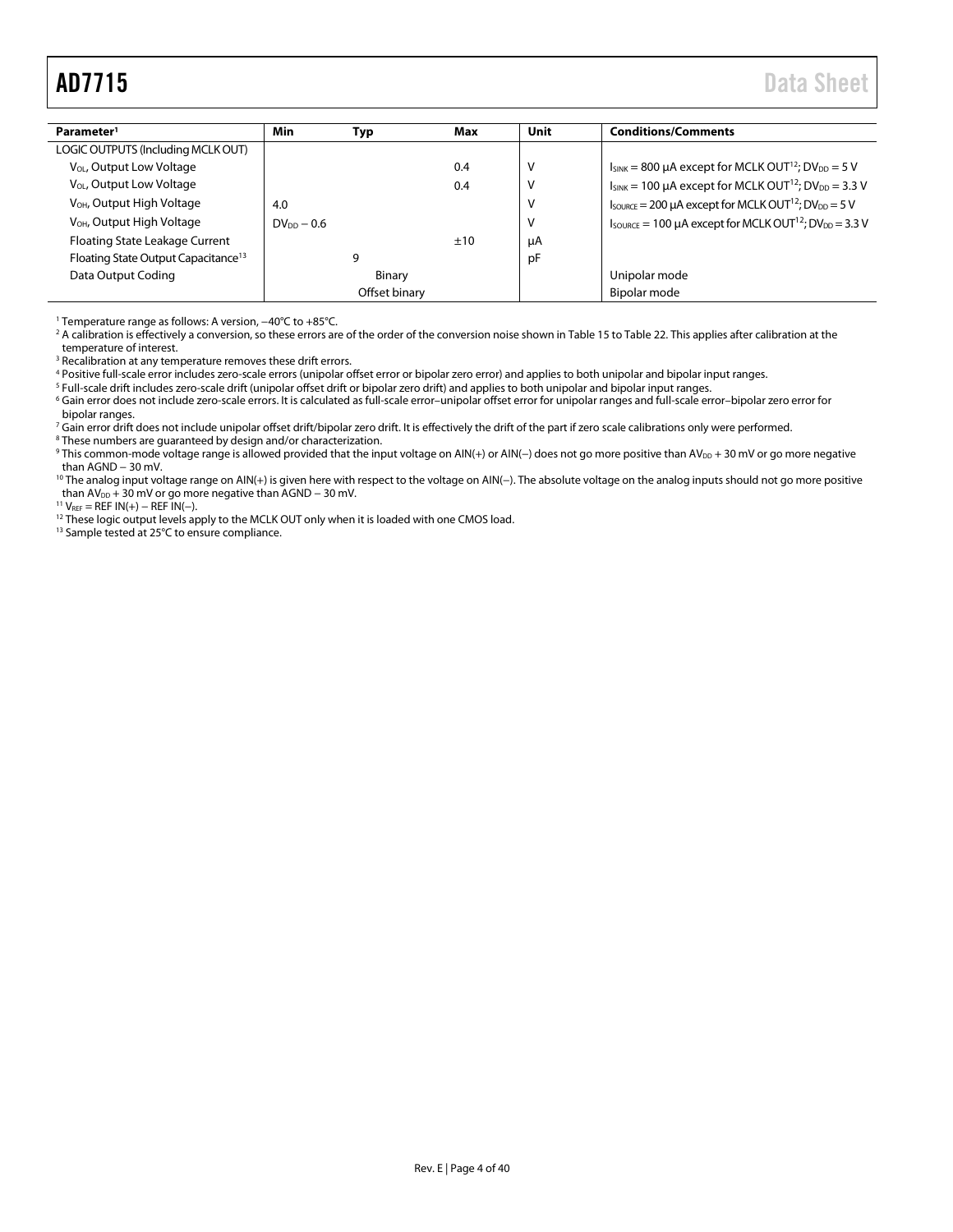<span id="page-3-0"></span>

| Parameter <sup>1</sup>                          | Min             | Typ           | Max | Unit | <b>Conditions/Comments</b>                                                                   |
|-------------------------------------------------|-----------------|---------------|-----|------|----------------------------------------------------------------------------------------------|
| LOGIC OUTPUTS (Including MCLK OUT)              |                 |               |     |      |                                                                                              |
| V <sub>OL</sub> , Output Low Voltage            |                 |               | 0.4 | ν    | $I_{SINK} = 800 \mu A$ except for MCLK OUT <sup>12</sup> ; DV <sub>DD</sub> = 5 V            |
| V <sub>OL</sub> , Output Low Voltage            |                 |               | 0.4 | ν    | $I_{SINK}$ = 100 µA except for MCLK OUT <sup>12</sup> ; DV <sub>DD</sub> = 3.3 V             |
| V <sub>OH</sub> , Output High Voltage           | 4.0             |               |     | ν    | $I_{\text{SOURCE}} = 200 \mu A$ except for MCLK OUT <sup>12</sup> ; DV <sub>DD</sub> = 5 V   |
| V <sub>OH</sub> , Output High Voltage           | $DV_{DD} - 0.6$ |               |     | ٧    | $I_{\text{SOURCE}} = 100 \mu A$ except for MCLK OUT <sup>12</sup> ; DV <sub>DD</sub> = 3.3 V |
| Floating State Leakage Current                  |                 |               | ±10 | μA   |                                                                                              |
| Floating State Output Capacitance <sup>13</sup> |                 | 9             |     | pF   |                                                                                              |
| Data Output Coding                              |                 | Binary        |     |      | Unipolar mode                                                                                |
|                                                 |                 | Offset binary |     |      | Bipolar mode                                                                                 |

<sup>1</sup> Temperature range as follows: A version, −40°C to +85°C.

<sup>2</sup> A calibration is effectively a conversion, so these errors are of the order of the conversion noise shown i[n Table](#page-15-2) 15 to [Table 22.](#page-16-1) This applies after calibration at the temperature of interest.

<sup>3</sup> Recalibration at any temperature removes these drift errors.

<sup>4</sup> Positive full-scale error includes zero-scale errors (unipolar offset error or bipolar zero error) and applies to both unipolar and bipolar input ranges.

<sup>5</sup> Full-scale drift includes zero-scale drift (unipolar offset drift or bipolar zero drift) and applies to both unipolar and bipolar input ranges.

<sup>6</sup> Gain error does not include zero-scale errors. It is calculated as full-scale error–unipolar offset error for unipolar ranges and full-scale error–bipolar zero error for bipolar ranges.

<sup>7</sup> Gain error drift does not include unipolar offset drift/bipolar zero drift. It is effectively the drift of the part if zero scale calibrations only were performed. <sup>8</sup> These numbers are guaranteed by design and/or characterization.

° This common-mode voltage range is allowed provided that the input voltage on AIN(+) or AIN(−) does not go more positive than AV $_{\rm DD}$  + 30 mV or go more negative than AGND − 30 mV.

<sup>10</sup> The analog input voltage range on AIN(+) is given here with respect to the voltage on AIN(−). The absolute voltage on the analog inputs should not go more positive than AV<sub>DD</sub> + 30 mV or go more negative than AGND – 30 mV.

 $11$  V<sub>REF</sub> = REF IN(+) – REF IN(-).

<sup>12</sup> These logic output levels apply to the MCLK OUT only when it is loaded with one CMOS load.

13 Sample tested at 25°C to ensure compliance.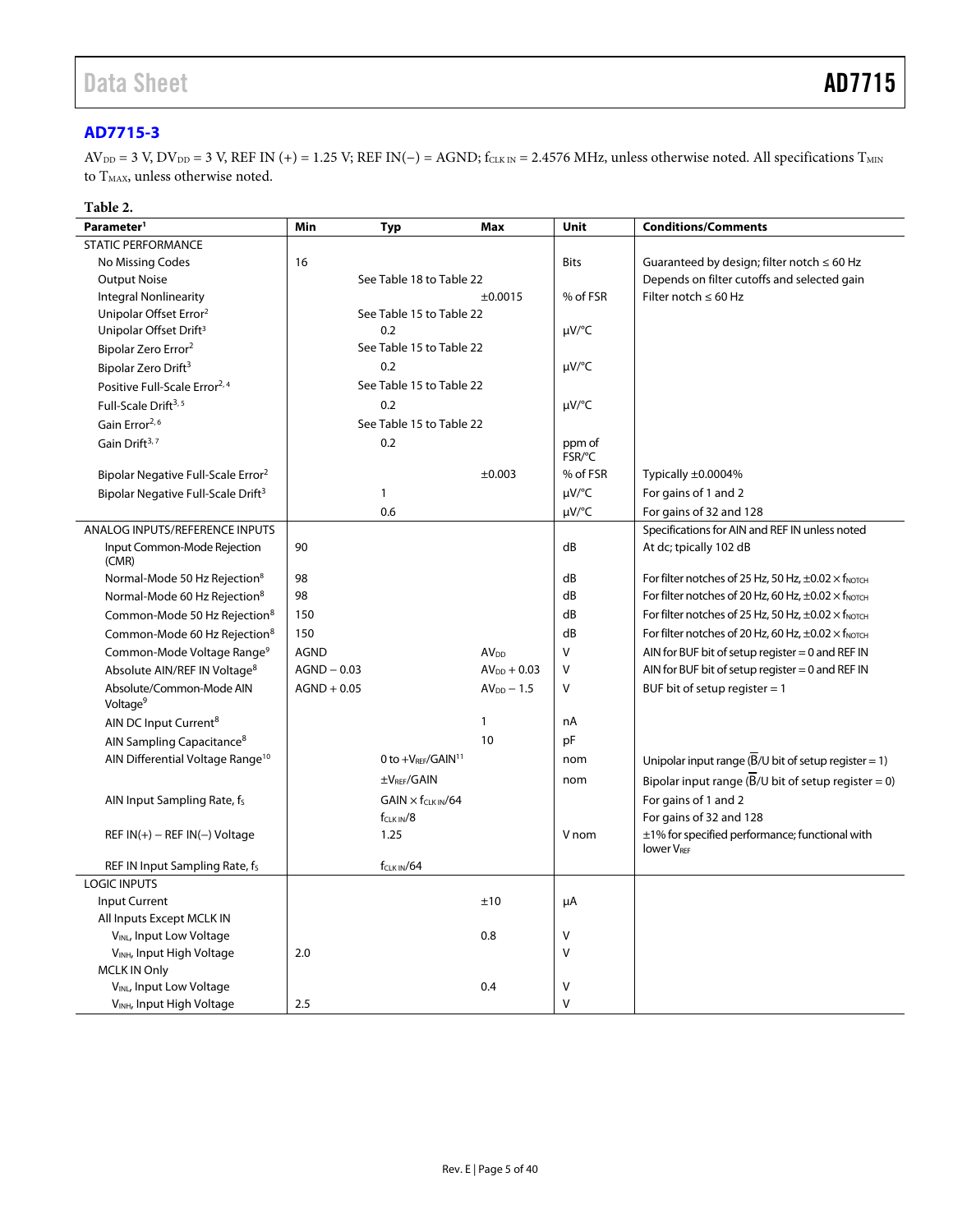# <span id="page-4-0"></span>**[AD7715-3](http://www.analog.com/AD7715?doc=AD7715.pdf)**

 $AV_{DD} = 3 V, DV_{DD} = 3 V, REF IN (+) = 1.25 V; REF IN(-) = AGND; f<sub>CLK IN</sub> = 2.4576 MHz, unless otherwise noted. All specifications T<sub>MIN</sub>$ to  $\rm T_{MAX}$  unless otherwise noted.

# **Table 2.**

| Parameter <sup>1</sup>                           | Min           | <b>Typ</b>                    | Max              | Unit        | <b>Conditions/Comments</b>                                               |
|--------------------------------------------------|---------------|-------------------------------|------------------|-------------|--------------------------------------------------------------------------|
| <b>STATIC PERFORMANCE</b>                        |               |                               |                  |             |                                                                          |
| No Missing Codes                                 | 16            |                               |                  | <b>Bits</b> | Guaranteed by design; filter notch $\leq 60$ Hz                          |
| <b>Output Noise</b>                              |               | See Table 18 to Table 22      |                  |             | Depends on filter cutoffs and selected gain                              |
| <b>Integral Nonlinearity</b>                     |               |                               | ±0.0015          | % of FSR    | Filter notch $\leq 60$ Hz                                                |
| Unipolar Offset Error <sup>2</sup>               |               | See Table 15 to Table 22      |                  |             |                                                                          |
| Unipolar Offset Drift <sup>3</sup>               |               | 0.2                           |                  | µV/°C       |                                                                          |
| Bipolar Zero Error <sup>2</sup>                  |               | See Table 15 to Table 22      |                  |             |                                                                          |
| Bipolar Zero Drift <sup>3</sup>                  |               | 0.2                           |                  | µV/°C       |                                                                          |
| Positive Full-Scale Error <sup>2, 4</sup>        |               | See Table 15 to Table 22      |                  |             |                                                                          |
| Full-Scale Drift <sup>3, 5</sup>                 |               | 0.2                           |                  | µV/°C       |                                                                          |
| Gain Error <sup>2,6</sup>                        |               | See Table 15 to Table 22      |                  |             |                                                                          |
| Gain Drift <sup>3,7</sup>                        |               | 0.2                           |                  | ppm of      |                                                                          |
|                                                  |               |                               |                  | FSR/°C      |                                                                          |
| Bipolar Negative Full-Scale Error <sup>2</sup>   |               |                               | ±0.003           | % of FSR    | Typically $\pm 0.0004\%$                                                 |
| Bipolar Negative Full-Scale Drift <sup>3</sup>   |               | 1                             |                  | µV/°C       | For gains of 1 and 2                                                     |
|                                                  |               | 0.6                           |                  | µV/°C       | For gains of 32 and 128                                                  |
| ANALOG INPUTS/REFERENCE INPUTS                   |               |                               |                  |             | Specifications for AIN and REF IN unless noted                           |
| Input Common-Mode Rejection<br>(CMR)             | 90            |                               |                  | dB          | At dc; tpically 102 dB                                                   |
| Normal-Mode 50 Hz Rejection <sup>8</sup>         | 98            |                               |                  | dB          | For filter notches of 25 Hz, 50 Hz, $\pm 0.02 \times$ f <sub>NOTCH</sub> |
| Normal-Mode 60 Hz Rejection <sup>8</sup>         | 98            |                               |                  | dB          | For filter notches of 20 Hz, 60 Hz, $\pm 0.02 \times$ f <sub>NOTCH</sub> |
| Common-Mode 50 Hz Rejection <sup>8</sup>         | 150           |                               |                  | dB          | For filter notches of 25 Hz, 50 Hz, $\pm 0.02 \times$ f <sub>NOTCH</sub> |
| Common-Mode 60 Hz Rejection <sup>8</sup>         | 150           |                               |                  | dB          | For filter notches of 20 Hz, 60 Hz, $\pm 0.02 \times$ f <sub>NOTCH</sub> |
| Common-Mode Voltage Range <sup>9</sup>           | <b>AGND</b>   |                               | AV <sub>DD</sub> | V           | AIN for BUF bit of setup register $= 0$ and REF IN                       |
| Absolute AIN/REF IN Voltage <sup>8</sup>         | $AGND - 0.03$ |                               | $AVDD + 0.03$    | $\vee$      | AIN for BUF bit of setup register $= 0$ and REF IN                       |
| Absolute/Common-Mode AIN<br>Voltage <sup>9</sup> | $AGND + 0.05$ |                               | $AV_{DD} - 1.5$  | V           | BUF bit of setup register $= 1$                                          |
| AIN DC Input Current <sup>8</sup>                |               |                               | 1                | nA          |                                                                          |
| AIN Sampling Capacitance <sup>8</sup>            |               |                               | 10               | pF          |                                                                          |
| AIN Differential Voltage Range <sup>10</sup>     |               | 0 to +VRFF/GAIN <sup>11</sup> |                  | nom         | Unipolar input range $(B/U$ bit of setup register = 1)                   |
|                                                  |               | ±VRFF/GAIN                    |                  | nom         | Bipolar input range $(\overline{B}/U)$ bit of setup register = 0)        |
| AIN Input Sampling Rate, f <sub>s</sub>          |               | $GAIN \times f_{CLKIN}/64$    |                  |             | For gains of 1 and 2                                                     |
|                                                  |               | $f_{CLKIN}/8$                 |                  |             | For gains of 32 and 128                                                  |
| REF $IN(+)$ – REF $IN(-)$ Voltage                |               | 1.25                          |                  | V nom       | $\pm$ 1% for specified performance; functional with                      |
|                                                  |               |                               |                  |             | <b>lower VREF</b>                                                        |
| REF IN Input Sampling Rate, fs                   |               | $f_{CLK IN}/64$               |                  |             |                                                                          |
| <b>LOGIC INPUTS</b>                              |               |                               |                  |             |                                                                          |
| Input Current                                    |               |                               | ±10              | μA          |                                                                          |
| All Inputs Except MCLK IN                        |               |                               |                  |             |                                                                          |
| VINL, Input Low Voltage                          |               |                               | 0.8              | $\vee$      |                                                                          |
| VINH, Input High Voltage                         | 2.0           |                               |                  | $\vee$      |                                                                          |
| <b>MCLK IN Only</b>                              |               |                               |                  |             |                                                                          |
| VINL, Input Low Voltage                          |               |                               | 0.4              | $\vee$      |                                                                          |
| V <sub>INH</sub> , Input High Voltage            | 2.5           |                               |                  | V           |                                                                          |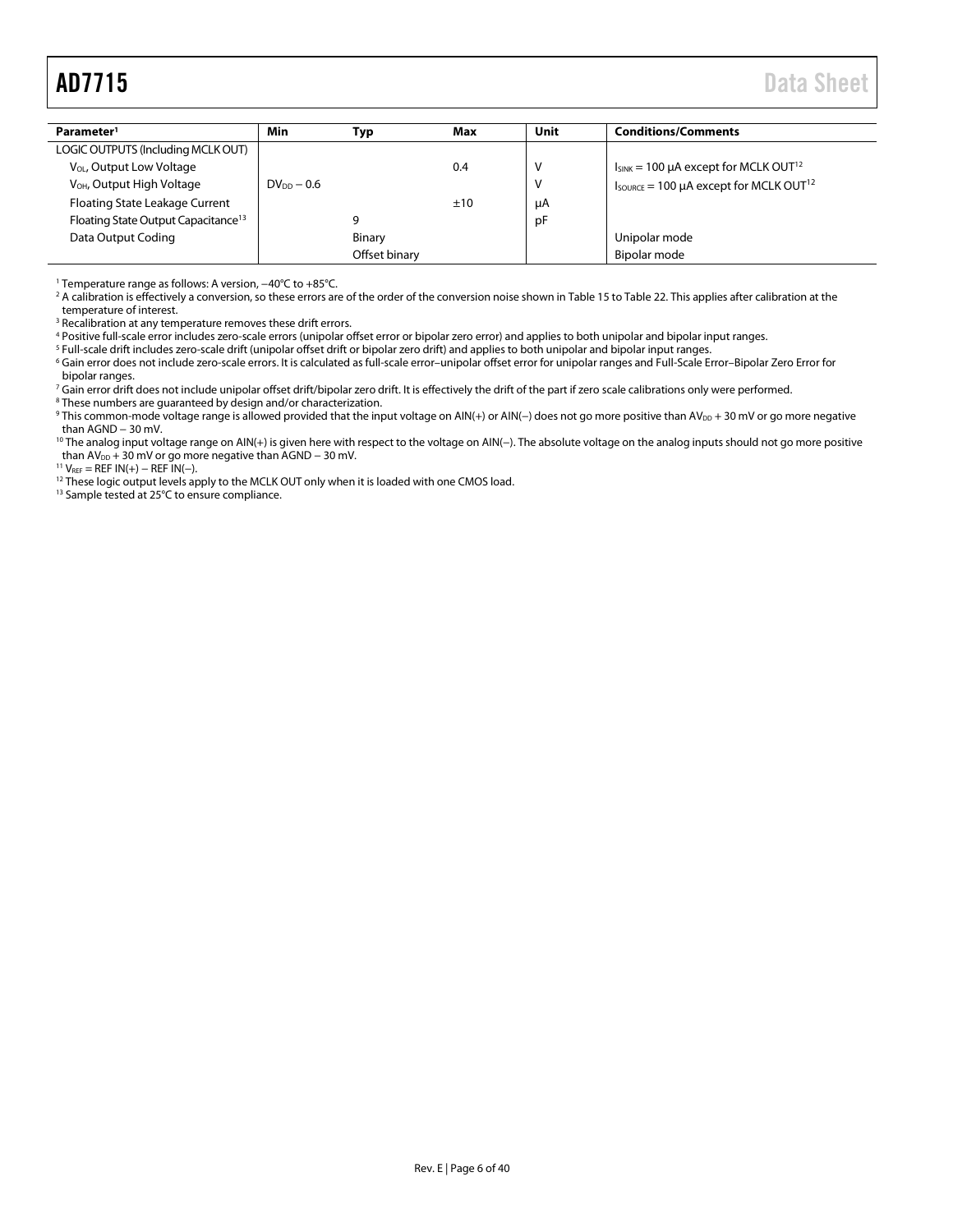<span id="page-5-0"></span>

| Parameter <sup>1</sup>                          | Min             | Typ           | Max | Unit | <b>Conditions/Comments</b>                                        |
|-------------------------------------------------|-----------------|---------------|-----|------|-------------------------------------------------------------------|
| LOGIC OUTPUTS (Including MCLK OUT)              |                 |               |     |      |                                                                   |
| V <sub>OL</sub> , Output Low Voltage            |                 |               | 0.4 | v    | $I_{SINK}$ = 100 µA except for MCLK OUT <sup>12</sup>             |
| V <sub>OH</sub> , Output High Voltage           | $DV_{DD} - 0.6$ |               |     | v    | $I_{\text{SOURCE}} = 100 \mu A$ except for MCLK OUT <sup>12</sup> |
| Floating State Leakage Current                  |                 |               | ±10 | μA   |                                                                   |
| Floating State Output Capacitance <sup>13</sup> |                 | 9             |     | pF   |                                                                   |
| Data Output Coding                              |                 | Binary        |     |      | Unipolar mode                                                     |
|                                                 |                 | Offset binary |     |      | Bipolar mode                                                      |

<sup>1</sup> Temperature range as follows: A version, −40°C to +85°C.

2 A calibration is effectively a conversion, so these errors are of the order of the conversion noise shown i[n Table](#page-15-2) 15 to [Table 22.](#page-16-1) This applies after calibration at the temperature of interest.

<sup>3</sup> Recalibration at any temperature removes these drift errors.

<sup>4</sup> Positive full-scale error includes zero-scale errors (unipolar offset error or bipolar zero error) and applies to both unipolar and bipolar input ranges.

<sup>5</sup> Full-scale drift includes zero-scale drift (unipolar offset drift or bipolar zero drift) and applies to both unipolar and bipolar input ranges.

<sup>6</sup> Gain error does not include zero-scale errors. It is calculated as full-scale error–unipolar offset error for unipolar ranges and Full-Scale Error–Bipolar Zero Error for bipolar ranges.

<sup>7</sup> Gain error drift does not include unipolar offset drift/bipolar zero drift. It is effectively the drift of the part if zero scale calibrations only were performed.

<sup>8</sup> These numbers are guaranteed by design and/or characterization.

<sup>9</sup> This common-mode voltage range is allowed provided that the input voltage on AIN(+) or AIN(-) does not go more positive than AV<sub>DD</sub> + 30 mV or go more negative than AGND − 30 mV.

<sup>10</sup> The analog input voltage range on AIN(+) is given here with respect to the voltage on AIN(−). The absolute voltage on the analog inputs should not go more positive than AV<sub>DD</sub> + 30 mV or go more negative than AGND − 30 mV.

 $11 V_{REF} = REF IN(+) - REF IN(-).$ 

<sup>12</sup> These logic output levels apply to the MCLK OUT only when it is loaded with one CMOS load.

<sup>13</sup> Sample tested at 25°C to ensure compliance.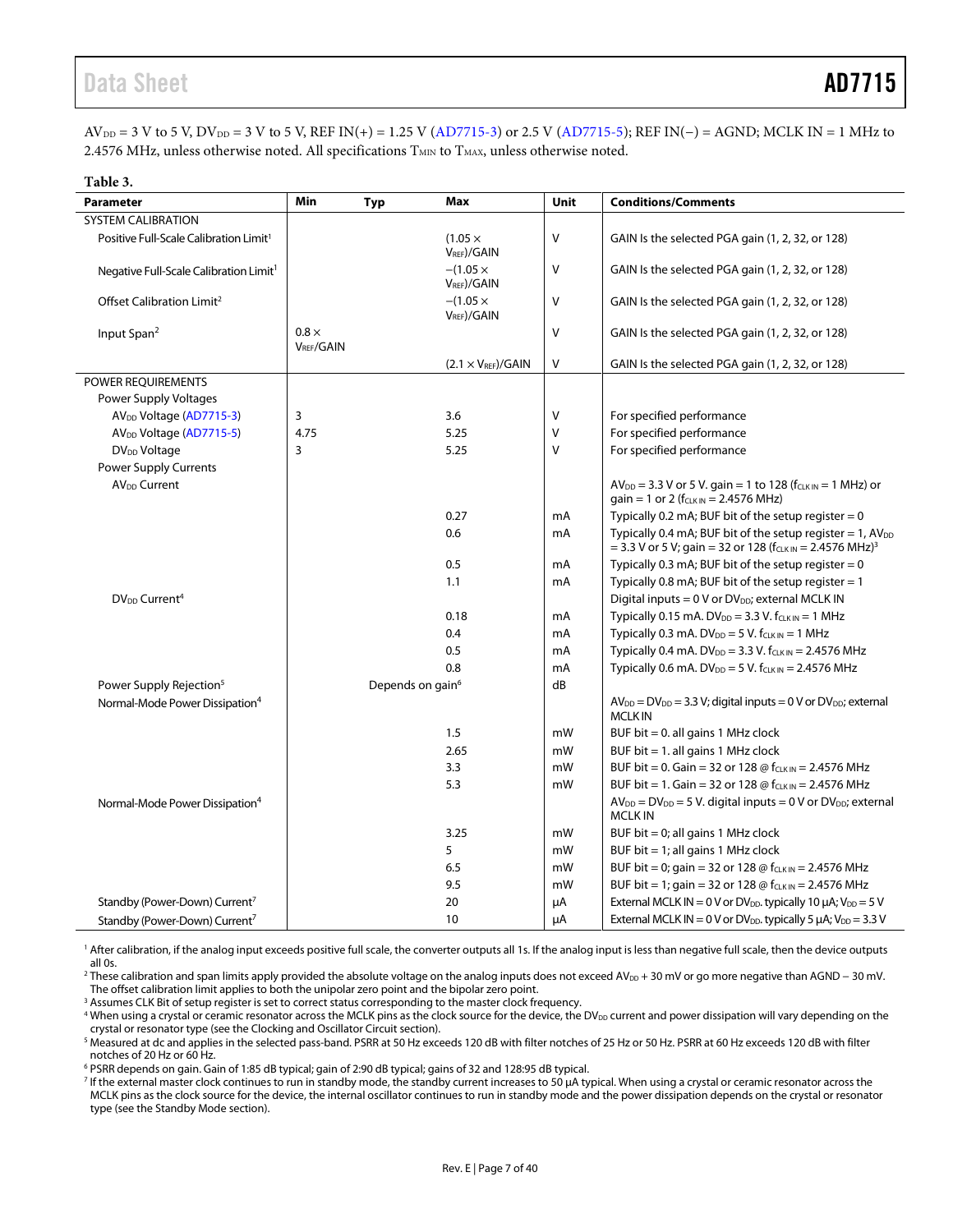# Data Sheet **AD7715**

 $AV_{DD} = 3 V$  to 5 V,  $DV_{DD} = 3 V$  to 5 V,  $REF IN(+) = 1.25 V (AD7715-3)$  $REF IN(+) = 1.25 V (AD7715-3)$  or 2.5 V  $(AD7715-5)$ ;  $REF IN(-) = AGND$ ;  $MCLK IN = 1 MHz$  to 2.4576 MHz, unless otherwise noted. All specifications  $T_{MIN}$  to  $T_{MAX}$ , unless otherwise noted.

| Table 3.                                           |                                        |                              |                                           |        |                                                                                                                                             |
|----------------------------------------------------|----------------------------------------|------------------------------|-------------------------------------------|--------|---------------------------------------------------------------------------------------------------------------------------------------------|
| <b>Parameter</b>                                   | Min                                    | Typ                          | Max                                       | Unit   | <b>Conditions/Comments</b>                                                                                                                  |
| <b>SYSTEM CALIBRATION</b>                          |                                        |                              |                                           |        |                                                                                                                                             |
| Positive Full-Scale Calibration Limit <sup>1</sup> |                                        |                              | $(1.05 \times$<br>V <sub>REF</sub> )/GAIN | V      | GAIN Is the selected PGA gain (1, 2, 32, or 128)                                                                                            |
| Negative Full-Scale Calibration Limit <sup>1</sup> |                                        |                              | $-(1.05 \times$<br>$V_{REF}$ /GAIN        | V      | GAIN Is the selected PGA gain (1, 2, 32, or 128)                                                                                            |
| Offset Calibration Limit <sup>2</sup>              |                                        |                              | $-(1.05 \times$<br>$V_{REF}$ )/GAIN       | V      | GAIN Is the selected PGA gain (1, 2, 32, or 128)                                                                                            |
| Input Span <sup>2</sup>                            | $0.8 \times$<br>V <sub>RFF</sub> /GAIN |                              |                                           | V      | GAIN Is the selected PGA gain (1, 2, 32, or 128)                                                                                            |
|                                                    |                                        |                              | $(2.1 \times V_{REF})$ /GAIN              | $\vee$ | GAIN Is the selected PGA gain (1, 2, 32, or 128)                                                                                            |
| POWER REQUIREMENTS                                 |                                        |                              |                                           |        |                                                                                                                                             |
| Power Supply Voltages                              |                                        |                              |                                           |        |                                                                                                                                             |
| AV <sub>DD</sub> Voltage (AD7715-3)                | 3                                      |                              | 3.6                                       | V      | For specified performance                                                                                                                   |
| AV <sub>DD</sub> Voltage (AD7715-5)                | 4.75                                   |                              | 5.25                                      | V      | For specified performance                                                                                                                   |
| DV <sub>DD</sub> Voltage                           | 3                                      |                              | 5.25                                      | v      | For specified performance                                                                                                                   |
| Power Supply Currents                              |                                        |                              |                                           |        |                                                                                                                                             |
| AV <sub>DD</sub> Current                           |                                        |                              |                                           |        | $AV_{DD} = 3.3 V$ or 5 V. gain = 1 to 128 ( $f_{CLK IN} = 1$ MHz) or<br>gain = 1 or 2 ( $f_{CLK IN}$ = 2.4576 MHz)                          |
|                                                    |                                        |                              | 0.27                                      | mA     | Typically 0.2 mA; BUF bit of the setup register = $0$                                                                                       |
|                                                    |                                        |                              | 0.6                                       | mA     | Typically 0.4 mA; BUF bit of the setup register = 1, $AV_{DD}$<br>= 3.3 V or 5 V; gain = 32 or 128 ( $f_{CLKIN}$ = 2.4576 MHz) <sup>3</sup> |
|                                                    |                                        |                              | 0.5                                       | mA     | Typically 0.3 mA; BUF bit of the setup register $= 0$                                                                                       |
|                                                    |                                        |                              | 1.1                                       | mA     | Typically 0.8 mA; BUF bit of the setup register $= 1$                                                                                       |
| DV <sub>DD</sub> Current <sup>4</sup>              |                                        |                              |                                           |        | Digital inputs = $0$ V or DV <sub>DD</sub> ; external MCLK IN                                                                               |
|                                                    |                                        |                              | 0.18                                      | mA     | Typically 0.15 mA. $DV_{DD} = 3.3$ V. $f_{CLK IN} = 1$ MHz                                                                                  |
|                                                    |                                        |                              | 0.4                                       | mA     | Typically 0.3 mA. DV <sub>DD</sub> = 5 V. $f_{CLK IN}$ = 1 MHz                                                                              |
|                                                    |                                        |                              | 0.5                                       | mA     | Typically 0.4 mA. DV <sub>DD</sub> = 3.3 V. $f_{CLK IN}$ = 2.4576 MHz                                                                       |
|                                                    |                                        |                              | 0.8                                       | mA     | Typically 0.6 mA. DV <sub>DD</sub> = 5 V. $f_{CLK IN}$ = 2.4576 MHz                                                                         |
| Power Supply Rejection <sup>5</sup>                |                                        | Depends on gain <sup>6</sup> |                                           | dB     |                                                                                                                                             |
| Normal-Mode Power Dissipation <sup>4</sup>         |                                        |                              |                                           |        | $AV_{DD} = DV_{DD} = 3.3 V$ ; digital inputs = 0 V or $DV_{DD}$ ; external<br><b>MCLKIN</b>                                                 |
|                                                    |                                        |                              | 1.5                                       | mW     | BUF bit $= 0$ . all gains 1 MHz clock                                                                                                       |
|                                                    |                                        |                              | 2.65                                      | mW     | BUF bit $= 1$ . all gains 1 MHz clock                                                                                                       |
|                                                    |                                        |                              | 3.3                                       | mW     | BUF bit = 0. Gain = 32 or 128 @ $f_{CLKIN}$ = 2.4576 MHz                                                                                    |
|                                                    |                                        |                              | 5.3                                       | mW     | BUF bit = 1. Gain = 32 or 128 @ $f_{CLKIN}$ = 2.4576 MHz                                                                                    |
| Normal-Mode Power Dissipation <sup>4</sup>         |                                        |                              |                                           |        | $AV_{DD} = DV_{DD} = 5 V$ . digital inputs = 0 V or $DV_{DD}$ ; external<br><b>MCLK IN</b>                                                  |
|                                                    |                                        |                              | 3.25                                      | mW     | BUF bit $= 0$ ; all gains 1 MHz clock                                                                                                       |
|                                                    |                                        |                              | 5                                         | mW     | BUF bit = 1; all gains 1 MHz clock                                                                                                          |
|                                                    |                                        |                              | 6.5                                       | mW     | BUF bit = 0; gain = 32 or 128 @ $f_{CLK IN}$ = 2.4576 MHz                                                                                   |
|                                                    |                                        |                              | 9.5                                       | mW     | BUF bit = 1; gain = 32 or 128 @ $f_{CLK IN}$ = 2.4576 MHz                                                                                   |
| Standby (Power-Down) Current <sup>7</sup>          |                                        |                              | 20                                        | μA     | External MCLK IN = $0$ V or DV <sub>DD</sub> . typically 10 $\mu$ A; V <sub>DD</sub> = $5$ V                                                |
| Standby (Power-Down) Current <sup>7</sup>          |                                        |                              | 10                                        | μA     | External MCLK IN = 0 V or DV <sub>DD</sub> . typically 5 $\mu$ A; V <sub>DD</sub> = 3.3 V                                                   |

<sup>1</sup> After calibration, if the analog input exceeds positive full scale, the converter outputs all 1s. If the analog input is less than negative full scale, then the device outputs all 0s.

<sup>2</sup> These calibration and span limits apply provided the absolute voltage on the analog inputs does not exceed AV<sub>DD</sub> + 30 mV or go more negative than AGND − 30 mV. The offset calibration limit applies to both the unipolar zero point and the bipolar zero point.

<sup>3</sup> Assumes CLK Bit of setup register is set to correct status corresponding to the master clock frequency.

<sup>4</sup> When using a crystal or ceramic resonator across the MCLK pins as the clock source for the device, the DV<sub>DD</sub> current and power dissipation will vary depending on the crystal or resonator type (see the [Clocking and Oscillator Circuit](#page-25-1) section).

<sup>5</sup> Measured at dc and applies in the selected pass-band. PSRR at 50 Hz exceeds 120 dB with filter notches of 25 Hz or 50 Hz. PSRR at 60 Hz exceeds 120 dB with filter notches of 20 Hz or 60 Hz.

<sup>6</sup> PSRR depends on gain. Gain of 1:85 dB typical; gain of 2:90 dB typical; gains of 32 and 128:95 dB typical.

<sup>7</sup> If the external master clock continues to run in standby mode, the standby current increases to 50 µA typical. When using a crystal or ceramic resonator across the MCLK pins as the clock source for the device, the internal oscillator continues to run in standby mode and the power dissipation depends on the crystal or resonator type (see th[e Standby Mode](#page-26-1) section).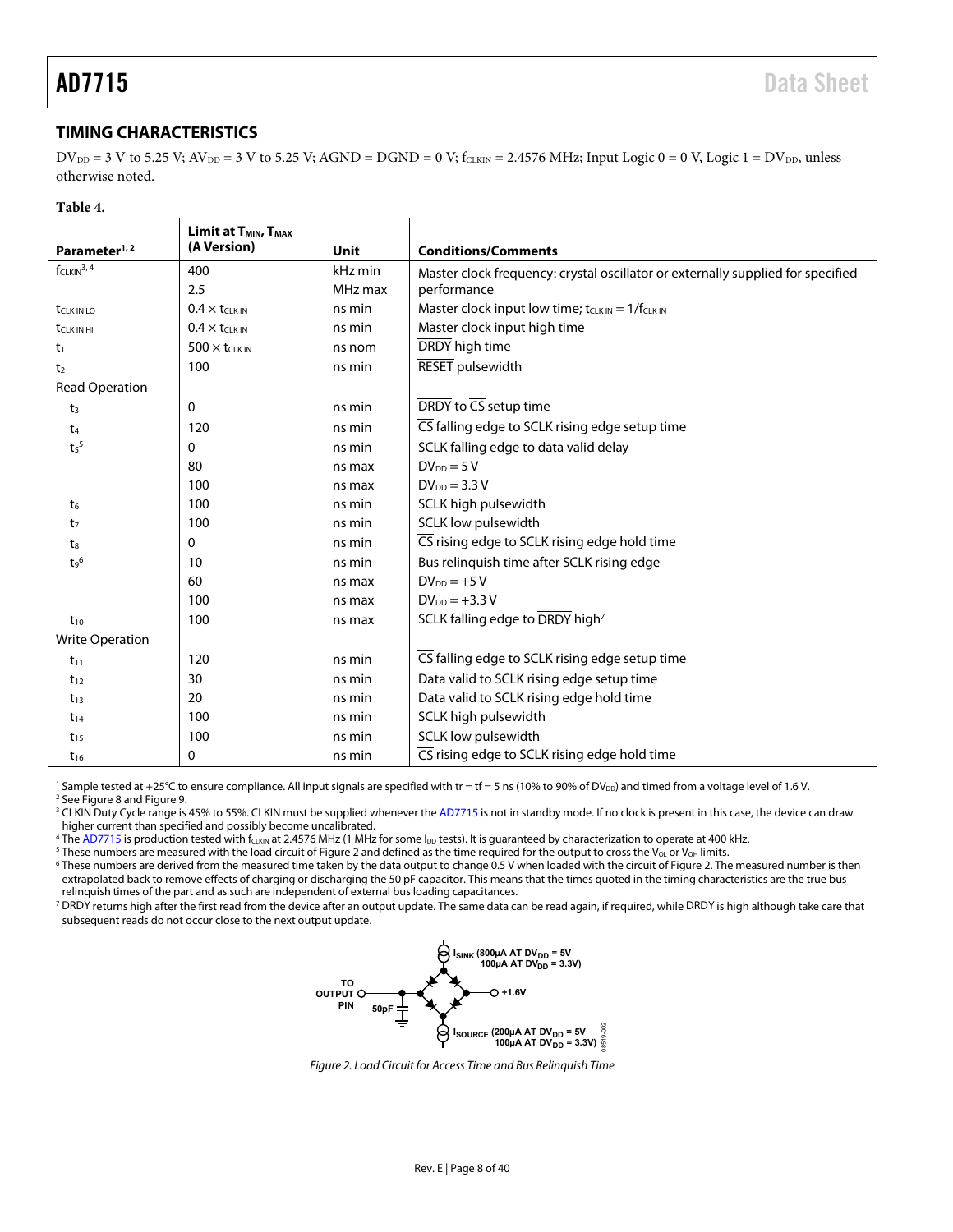# <span id="page-7-0"></span>**TIMING CHARACTERISTICS**

 $D V_{DD} = 3 V$  to 5.25 V;  $A V_{DD} = 3 V$  to 5.25 V;  $A GND = D GND = 0 V$ ;  $f_{CLKIN} = 2.4576$  MHz; Input Logic 0 = 0 V, Logic 1 =  $D V_{DD}$ , unless otherwise noted.

#### **Table 4.**

|                          | Limit at T <sub>MIN</sub> , T <sub>MAX</sub> |         |                                                                                 |  |  |  |  |
|--------------------------|----------------------------------------------|---------|---------------------------------------------------------------------------------|--|--|--|--|
| Parameter <sup>1,2</sup> | (A Version)                                  | Unit    | <b>Conditions/Comments</b>                                                      |  |  |  |  |
| $f_{CLKIN}^{3,4}$        | 400                                          | kHz min | Master clock frequency: crystal oscillator or externally supplied for specified |  |  |  |  |
|                          | 2.5                                          | MHz max | performance                                                                     |  |  |  |  |
| <b>t</b> CLK IN LO       | $0.4 \times t$ CLK IN                        | ns min  | Master clock input low time; $t_{CLKIN} = 1/f_{CLKIN}$                          |  |  |  |  |
| <b>t</b> CLK IN HI       | $0.4 \times t_{CLKIN}$                       | ns min  | Master clock input high time                                                    |  |  |  |  |
| t <sub>1</sub>           | $500 \times t$ CLK IN                        | ns nom  | DRDY high time                                                                  |  |  |  |  |
| t <sub>2</sub>           | 100                                          | ns min  | <b>RESET</b> pulsewidth                                                         |  |  |  |  |
| <b>Read Operation</b>    |                                              |         |                                                                                 |  |  |  |  |
| t <sub>3</sub>           | 0                                            | ns min  | DRDY to CS setup time                                                           |  |  |  |  |
| $t_4$                    | 120                                          | ns min  | CS falling edge to SCLK rising edge setup time                                  |  |  |  |  |
| t <sub>5</sub>           | 0                                            | ns min  | SCLK falling edge to data valid delay                                           |  |  |  |  |
|                          | 80                                           | ns max  | $DV_{DD} = 5V$                                                                  |  |  |  |  |
|                          | 100                                          | ns max  | $DV_{DD} = 3.3 V$                                                               |  |  |  |  |
| $t_6$                    | 100                                          | ns min  | SCLK high pulsewidth                                                            |  |  |  |  |
| t <sub>7</sub>           | 100                                          | ns min  | SCLK low pulsewidth                                                             |  |  |  |  |
| $t_8$                    | 0                                            | ns min  | CS rising edge to SCLK rising edge hold time                                    |  |  |  |  |
| $t_9^6$                  | 10                                           | ns min  | Bus relinquish time after SCLK rising edge                                      |  |  |  |  |
|                          | 60                                           | ns max  | $DV_{DD} = +5V$                                                                 |  |  |  |  |
|                          | 100                                          | ns max  | $DV_{DD} = +3.3 V$                                                              |  |  |  |  |
| $t_{10}$                 | 100                                          | ns max  | SCLK falling edge to DRDY high <sup>7</sup>                                     |  |  |  |  |
| <b>Write Operation</b>   |                                              |         |                                                                                 |  |  |  |  |
| $t_{11}$                 | 120                                          | ns min  | CS falling edge to SCLK rising edge setup time                                  |  |  |  |  |
| $t_{12}$                 | 30                                           | ns min  | Data valid to SCLK rising edge setup time                                       |  |  |  |  |
| $t_{13}$                 | 20                                           | ns min  | Data valid to SCLK rising edge hold time                                        |  |  |  |  |
| $t_{14}$                 | 100                                          | ns min  | SCLK high pulsewidth                                                            |  |  |  |  |
| $t_{15}$                 | 100                                          | ns min  | SCLK low pulsewidth                                                             |  |  |  |  |
| $t_{16}$                 | 0                                            | ns min  | CS rising edge to SCLK rising edge hold time                                    |  |  |  |  |

<sup>1</sup> Sample tested at +25°C to ensure compliance. All input signals are specified with tr = tf = 5 ns (10% to 90% of DV<sub>DD</sub>) and timed from a voltage level of 1.6 V.

<sup>2</sup> Se[e Figure 8](#page-29-0) an[d Figure 9.](#page-29-1)

<sup>3</sup> CLKIN Duty Cycle range is 45% to 55%. CLKIN must be supplied whenever th[e AD7715](http://www.analog.com/AD7715?doc=AD7715.pdf) is not in standby mode. If no clock is present in this case, the device can draw higher current than specified and possibly become uncalibrated.

<sup>4</sup> Th[e AD7715](http://www.analog.com/AD7715?doc=AD7715.pdf) is production tested with f<sub>CLKIN</sub> at 2.4576 MHz (1 MHz for some I<sub>DD</sub> tests). It is guaranteed by characterization to operate at 400 kHz.

<sup>5</sup> These numbers are measured with the load circuit o[f Figure 2](#page-7-1) and defined as the time required for the output to cross the V<sub>OL</sub> or V<sub>OH</sub> limits.

<sup>6</sup> These numbers are derived from the measured time taken by the data output to change 0.5 V when loaded with the circuit o[f Figure 2.](#page-7-1) The measured number is then extrapolated back to remove effects of charging or discharging the 50 pF capacitor. This means that the times quoted in the timing characteristics are the true bus relinquish times of the part and as such are independent of external bus loading capacitances.

<span id="page-7-1"></span> $^{7}$   $\overline{\rm DRDY}$  returns high after the first read from the device after an output update. The same data can be read again, if required, while  $\overline{\rm DRDY}$  is high although take care that subsequent reads do not occur close to the next output update.



*Figure 2. Load Circuit for Access Time and Bus Relinquish Time*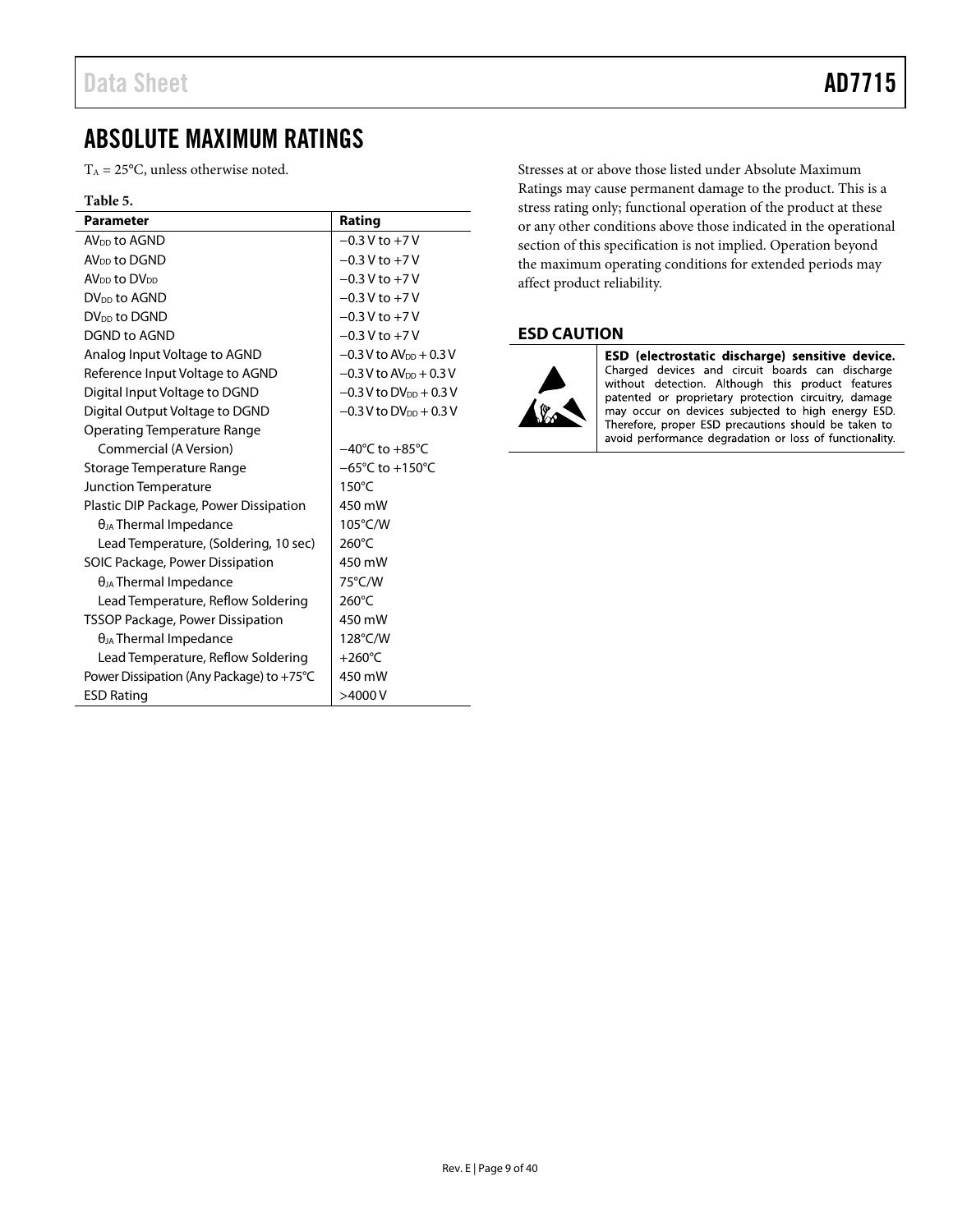# <span id="page-8-0"></span>ABSOLUTE MAXIMUM RATINGS

 $T_A = 25$ °C, unless otherwise noted.

#### **Table 5.**

| <b>Parameter</b>                         | Rating                               |
|------------------------------------------|--------------------------------------|
| AV <sub>DD</sub> to AGND                 | $-0.3$ V to $+7$ V                   |
| AV <sub>DD</sub> to DGND                 | $-0.3$ V to $+7$ V                   |
| AV <sub>DD</sub> to DV <sub>DD</sub>     | $-0.3$ V to $+7$ V                   |
| $DV_{DD}$ to AGND                        | $-0.3 V$ to $+7 V$                   |
| DV <sub>DD</sub> to DGND                 | $-0.3$ V to $+7$ V                   |
| DGND to AGND                             | $-0.3$ V to $+7$ V                   |
| Analog Input Voltage to AGND             | $-0.3$ V to AV <sub>pp</sub> + 0.3 V |
| Reference Input Voltage to AGND          | $-0.3$ V to AV <sub>DD</sub> + 0.3 V |
| Digital Input Voltage to DGND            | $-0.3$ V to DV <sub>DD</sub> + 0.3 V |
| Digital Output Voltage to DGND           | $-0.3$ V to DV <sub>pp</sub> + 0.3 V |
| Operating Temperature Range              |                                      |
| Commercial (A Version)                   | $-40^{\circ}$ C to $+85^{\circ}$ C   |
| Storage Temperature Range                | $-65^{\circ}$ C to +150 $^{\circ}$ C |
| Junction Temperature                     | $150^{\circ}$ C                      |
| Plastic DIP Package, Power Dissipation   | 450 mW                               |
| $\theta_{JA}$ Thermal Impedance          | 105°C/W                              |
| Lead Temperature, (Soldering, 10 sec)    | $260^{\circ}$ C                      |
| SOIC Package, Power Dissipation          | 450 mW                               |
| $\theta_{JA}$ Thermal Impedance          | 75°C/W                               |
| Lead Temperature, Reflow Soldering       | $260^{\circ}$ C                      |
| <b>TSSOP Package, Power Dissipation</b>  | 450 mW                               |
| $\theta_{JA}$ Thermal Impedance          | 128°C/W                              |
| Lead Temperature, Reflow Soldering       | $+260^{\circ}$ C                     |
| Power Dissipation (Any Package) to +75°C | 450 mW                               |
| <b>ESD Rating</b>                        | >4000V                               |

Stresses at or above those listed under Absolute Maximum Ratings may cause permanent damage to the product. This is a stress rating only; functional operation of the product at these or any other conditions above those indicated in the operational section of this specification is not implied. Operation beyond the maximum operating conditions for extended periods may affect product reliability.

# <span id="page-8-1"></span>**ESD CAUTION**



ESD (electrostatic discharge) sensitive device. Charged devices and circuit boards can discharge<br>without detection. Although this product features patented or proprietary protection circuitry, damage may occur on devices subjected to high energy ESD.<br>Therefore, proper ESD precautions should be taken to avoid performance degradation or loss of functionality.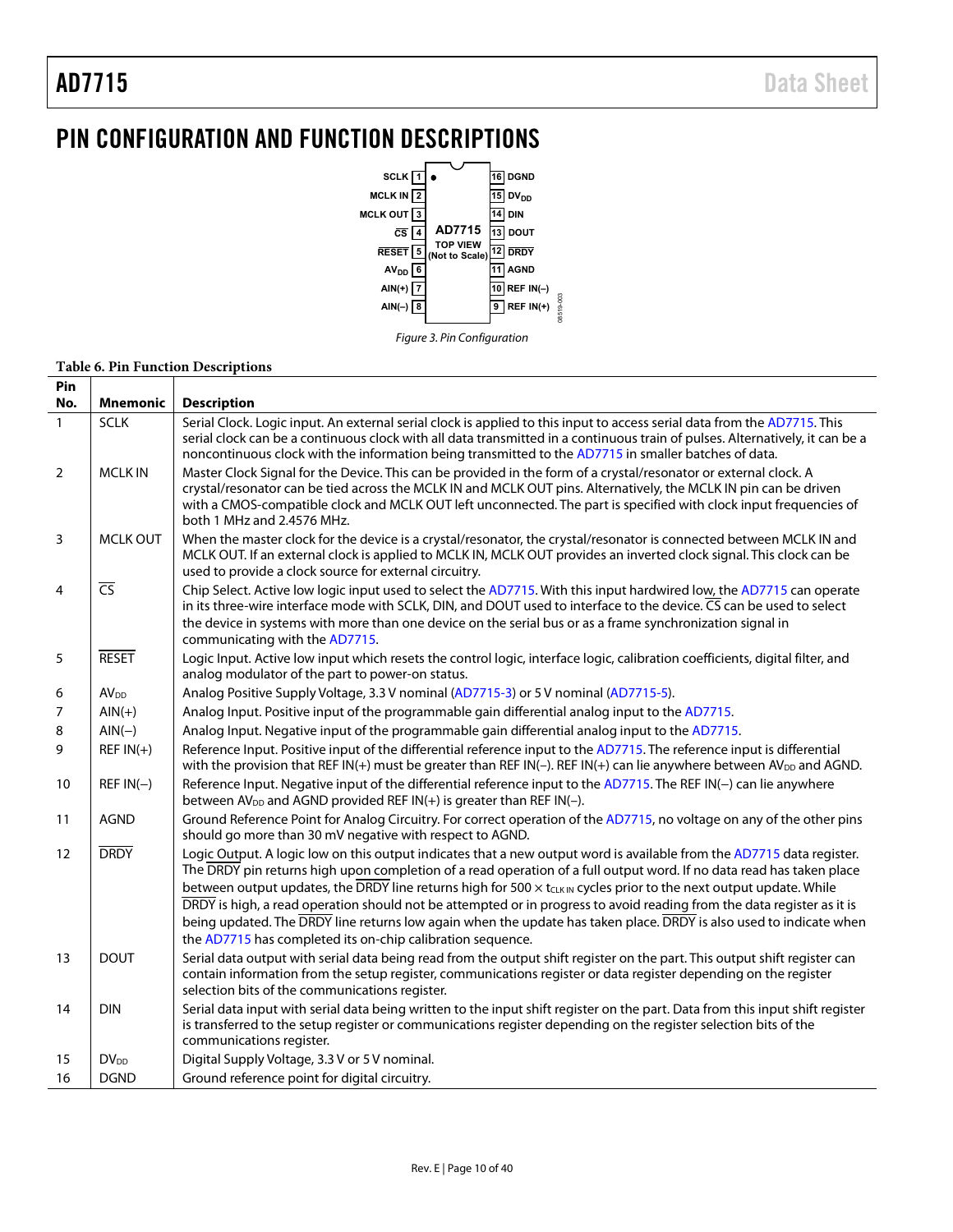# <span id="page-9-0"></span>PIN CONFIGURATION AND FUNCTION DESCRIPTIONS



### **Table 6. Pin Function Descriptions**

| Pin          |                  |                                                                                                                                                                                                                                                                                                                                                                                                                                                                                                                                                                                                                                                                                                     |
|--------------|------------------|-----------------------------------------------------------------------------------------------------------------------------------------------------------------------------------------------------------------------------------------------------------------------------------------------------------------------------------------------------------------------------------------------------------------------------------------------------------------------------------------------------------------------------------------------------------------------------------------------------------------------------------------------------------------------------------------------------|
| No.          | Mnemonic         | <b>Description</b>                                                                                                                                                                                                                                                                                                                                                                                                                                                                                                                                                                                                                                                                                  |
| $\mathbf{1}$ | <b>SCLK</b>      | Serial Clock. Logic input. An external serial clock is applied to this input to access serial data from the AD7715. This<br>serial clock can be a continuous clock with all data transmitted in a continuous train of pulses. Alternatively, it can be a<br>noncontinuous clock with the information being transmitted to the AD7715 in smaller batches of data.                                                                                                                                                                                                                                                                                                                                    |
| 2            | <b>MCLK IN</b>   | Master Clock Signal for the Device. This can be provided in the form of a crystal/resonator or external clock. A<br>crystal/resonator can be tied across the MCLK IN and MCLK OUT pins. Alternatively, the MCLK IN pin can be driven<br>with a CMOS-compatible clock and MCLK OUT left unconnected. The part is specified with clock input frequencies of<br>both 1 MHz and 2.4576 MHz.                                                                                                                                                                                                                                                                                                             |
| 3            | <b>MCLK OUT</b>  | When the master clock for the device is a crystal/resonator, the crystal/resonator is connected between MCLK IN and<br>MCLK OUT. If an external clock is applied to MCLK IN, MCLK OUT provides an inverted clock signal. This clock can be<br>used to provide a clock source for external circuitry.                                                                                                                                                                                                                                                                                                                                                                                                |
| 4            | $\overline{CS}$  | Chip Select. Active low logic input used to select the AD7715. With this input hardwired low, the AD7715 can operate<br>in its three-wire interface mode with SCLK, DIN, and DOUT used to interface to the device. CS can be used to select<br>the device in systems with more than one device on the serial bus or as a frame synchronization signal in<br>communicating with the AD7715.                                                                                                                                                                                                                                                                                                          |
| 5            | <b>RESET</b>     | Logic Input. Active low input which resets the control logic, interface logic, calibration coefficients, digital filter, and<br>analog modulator of the part to power-on status.                                                                                                                                                                                                                                                                                                                                                                                                                                                                                                                    |
| 6            | AV <sub>DD</sub> | Analog Positive Supply Voltage, 3.3 V nominal (AD7715-3) or 5 V nominal (AD7715-5).                                                                                                                                                                                                                                                                                                                                                                                                                                                                                                                                                                                                                 |
| 7            | $AIN(+)$         | Analog Input. Positive input of the programmable gain differential analog input to the AD7715.                                                                                                                                                                                                                                                                                                                                                                                                                                                                                                                                                                                                      |
| 8            | $AIN(-)$         | Analog Input. Negative input of the programmable gain differential analog input to the AD7715.                                                                                                                                                                                                                                                                                                                                                                                                                                                                                                                                                                                                      |
| 9            | $REF IN(+)$      | Reference Input. Positive input of the differential reference input to the AD7715. The reference input is differential<br>with the provision that REF IN(+) must be greater than REF IN(-). REF IN(+) can lie anywhere between AV <sub>DD</sub> and AGND.                                                                                                                                                                                                                                                                                                                                                                                                                                           |
| 10           | $REF IN(-)$      | Reference Input. Negative input of the differential reference input to the AD7715. The REF IN(-) can lie anywhere<br>between AV <sub>DD</sub> and AGND provided REF IN(+) is greater than REF IN(-).                                                                                                                                                                                                                                                                                                                                                                                                                                                                                                |
| 11           | <b>AGND</b>      | Ground Reference Point for Analog Circuitry. For correct operation of the AD7715, no voltage on any of the other pins<br>should go more than 30 mV negative with respect to AGND.                                                                                                                                                                                                                                                                                                                                                                                                                                                                                                                   |
| 12           | <b>DRDY</b>      | Logic Output. A logic low on this output indicates that a new output word is available from the AD7715 data register.<br>The DRDY pin returns high upon completion of a read operation of a full output word. If no data read has taken place<br>between output updates, the DRDY line returns high for 500 $\times$ t <sub>CLKIN</sub> cycles prior to the next output update. While<br>DRDY is high, a read operation should not be attempted or in progress to avoid reading from the data register as it is<br>being updated. The DRDY line returns low again when the update has taken place. DRDY is also used to indicate when<br>the AD7715 has completed its on-chip calibration sequence. |
| 13           | <b>DOUT</b>      | Serial data output with serial data being read from the output shift register on the part. This output shift register can<br>contain information from the setup register, communications register or data register depending on the register<br>selection bits of the communications register.                                                                                                                                                                                                                                                                                                                                                                                                      |
| 14           | <b>DIN</b>       | Serial data input with serial data being written to the input shift register on the part. Data from this input shift register<br>is transferred to the setup register or communications register depending on the register selection bits of the<br>communications register.                                                                                                                                                                                                                                                                                                                                                                                                                        |
| 15           | $DV_{DD}$        | Digital Supply Voltage, 3.3 V or 5 V nominal.                                                                                                                                                                                                                                                                                                                                                                                                                                                                                                                                                                                                                                                       |
| 16           | <b>DGND</b>      | Ground reference point for digital circuitry.                                                                                                                                                                                                                                                                                                                                                                                                                                                                                                                                                                                                                                                       |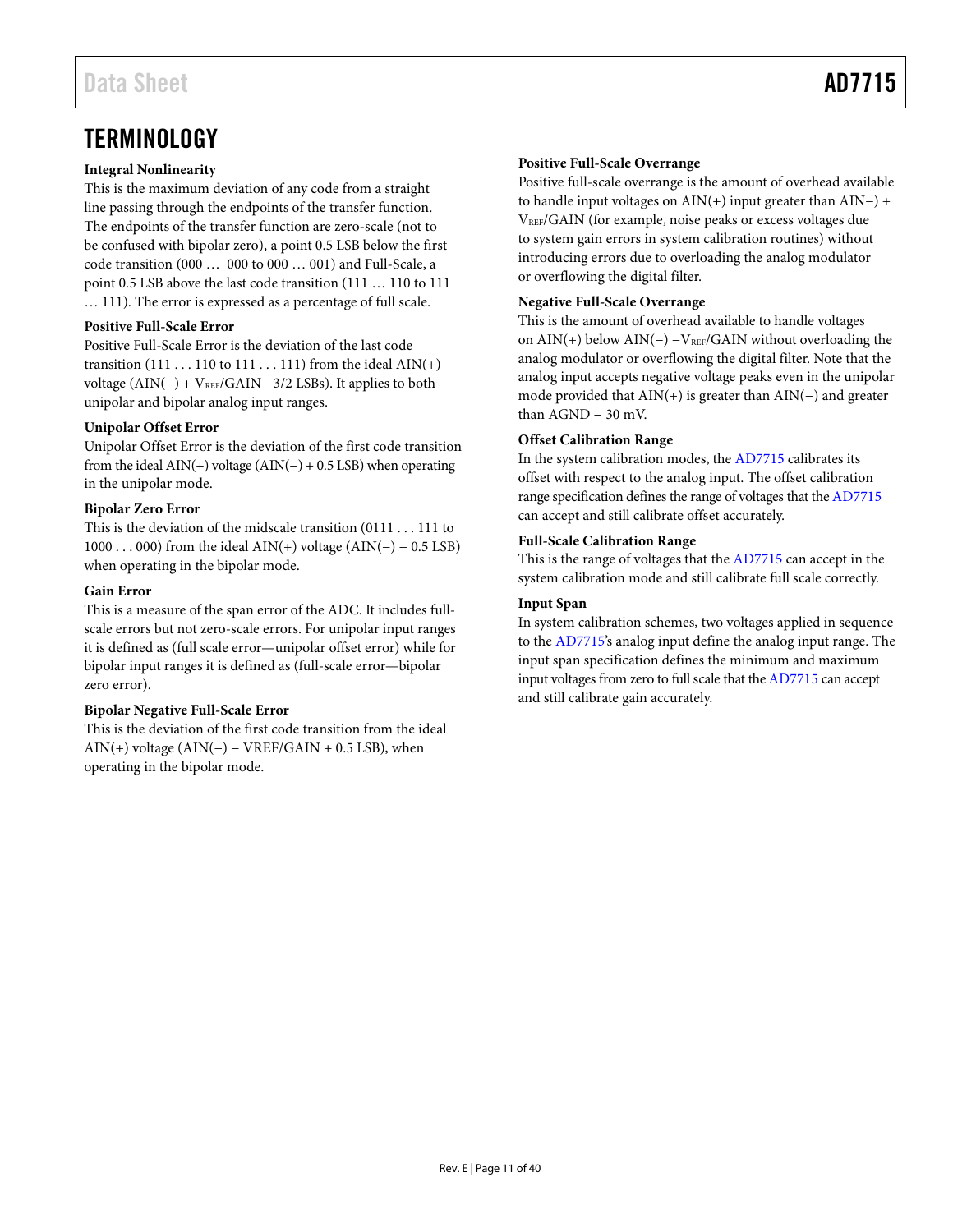# <span id="page-10-0"></span>**TERMINOLOGY**

### **Integral Nonlinearity**

This is the maximum deviation of any code from a straight line passing through the endpoints of the transfer function. The endpoints of the transfer function are zero-scale (not to be confused with bipolar zero), a point 0.5 LSB below the first code transition (000 … 000 to 000 … 001) and Full-Scale, a point 0.5 LSB above the last code transition (111 … 110 to 111 … 111). The error is expressed as a percentage of full scale.

### **Positive Full-Scale Error**

Positive Full-Scale Error is the deviation of the last code transition  $(111 \dots 110$  to  $111 \dots 111)$  from the ideal AIN(+) voltage (AIN(−) + V<sub>REF</sub>/GAIN −3/2 LSBs). It applies to both unipolar and bipolar analog input ranges.

### **Unipolar Offset Error**

Unipolar Offset Error is the deviation of the first code transition from the ideal  $\text{AIN}(+)$  voltage  $\text{(AIN}(-) + 0.5 \text{ LSB)}$  when operating in the unipolar mode.

### **Bipolar Zero Error**

This is the deviation of the midscale transition (0111 . . . 111 to 1000 . . . 000) from the ideal AIN(+) voltage (AIN(−) − 0.5 LSB) when operating in the bipolar mode.

### **Gain Error**

This is a measure of the span error of the ADC. It includes fullscale errors but not zero-scale errors. For unipolar input ranges it is defined as (full scale error—unipolar offset error) while for bipolar input ranges it is defined as (full-scale error—bipolar zero error).

### **Bipolar Negative Full-Scale Error**

This is the deviation of the first code transition from the ideal AIN(+) voltage  $(AIN(-) - VREF/GAIN + 0.5 LSB)$ , when operating in the bipolar mode.

### **Positive Full-Scale Overrange**

Positive full-scale overrange is the amount of overhead available to handle input voltages on AIN(+) input greater than AIN−) + VREF/GAIN (for example, noise peaks or excess voltages due to system gain errors in system calibration routines) without introducing errors due to overloading the analog modulator or overflowing the digital filter.

### **Negative Full-Scale Overrange**

This is the amount of overhead available to handle voltages on  $\text{AIN}(+)$  below  $\text{AIN}(-)$  –  $\text{V}_{\text{REF}}/\text{GAN}$  without overloading the analog modulator or overflowing the digital filter. Note that the analog input accepts negative voltage peaks even in the unipolar mode provided that AIN(+) is greater than AIN(−) and greater than AGND − 30 mV.

### **Offset Calibration Range**

In the system calibration modes, th[e AD7715](http://www.analog.com/AD7715?doc=AD7715.pdf) calibrates its offset with respect to the analog input. The offset calibration range specification defines the range of voltages that th[e AD7715](http://www.analog.com/AD7715?doc=AD7715.pdf) can accept and still calibrate offset accurately.

### **Full-Scale Calibration Range**

This is the range of voltages that the [AD7715](http://www.analog.com/AD7715?doc=AD7715.pdf) can accept in the system calibration mode and still calibrate full scale correctly.

### **Input Span**

In system calibration schemes, two voltages applied in sequence to the [AD7715's](http://www.analog.com/AD7715?doc=AD7715.pdf) analog input define the analog input range. The input span specification defines the minimum and maximum input voltages from zero to full scale that th[e AD7715](http://www.analog.com/AD7715?doc=AD7715.pdf) can accept and still calibrate gain accurately.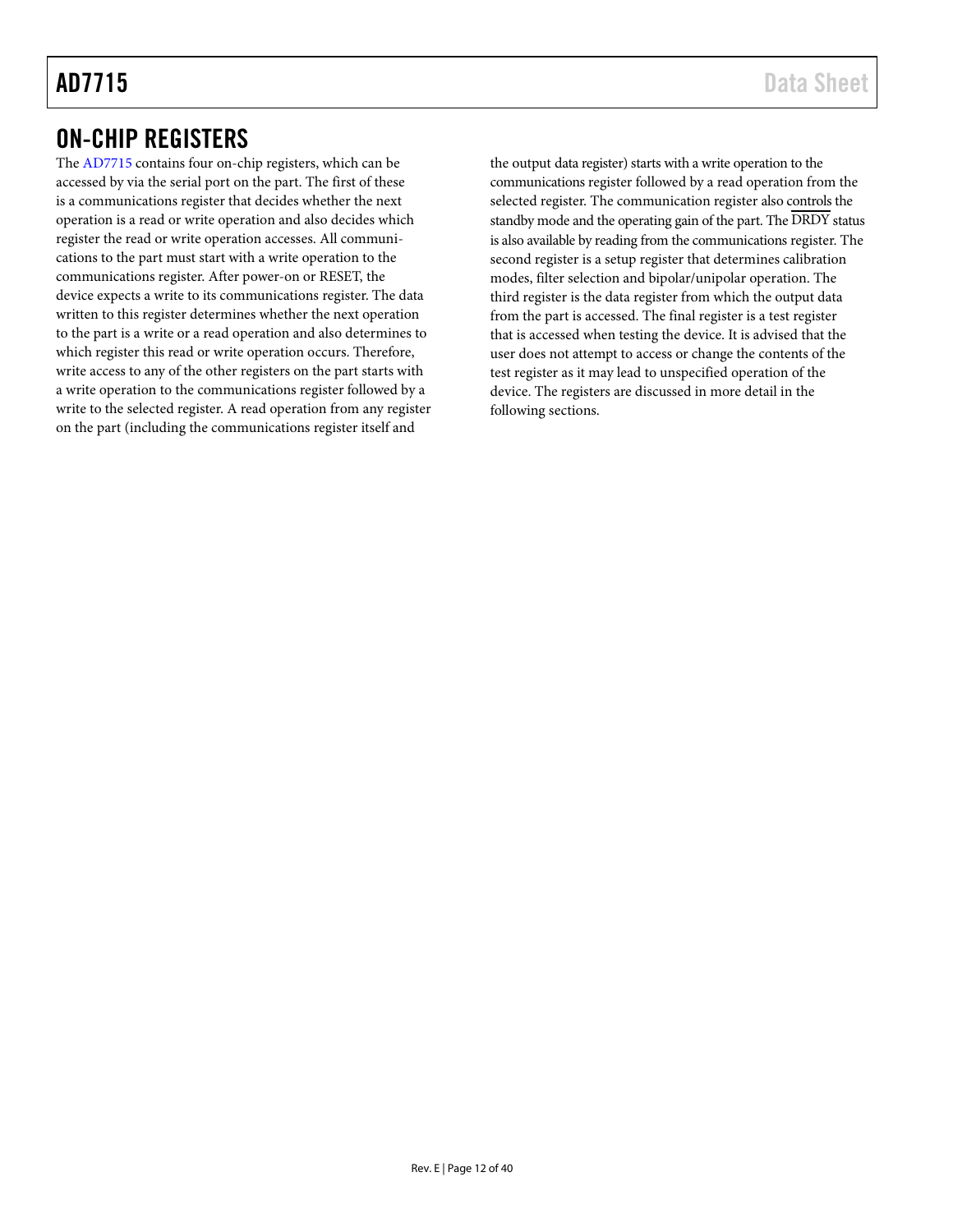# <span id="page-11-0"></span>ON-CHIP REGISTERS

The [AD7715](http://www.analog.com/AD7715?doc=AD7715.pdf) contains four on-chip registers, which can be accessed by via the serial port on the part. The first of these is a communications register that decides whether the next operation is a read or write operation and also decides which register the read or write operation accesses. All communications to the part must start with a write operation to the communications register. After power-on or RESET, the device expects a write to its communications register. The data written to this register determines whether the next operation to the part is a write or a read operation and also determines to which register this read or write operation occurs. Therefore, write access to any of the other registers on the part starts with a write operation to the communications register followed by a write to the selected register. A read operation from any register on the part (including the communications register itself and

the output data register) starts with a write operation to the communications register followed by a read operation from the selected register. The communication register also controls the standby mode and the operating gain of the part. The DRDY status is also available by reading from the communications register. The second register is a setup register that determines calibration modes, filter selection and bipolar/unipolar operation. The third register is the data register from which the output data from the part is accessed. The final register is a test register that is accessed when testing the device. It is advised that the user does not attempt to access or change the contents of the test register as it may lead to unspecified operation of the device. The registers are discussed in more detail in the following sections.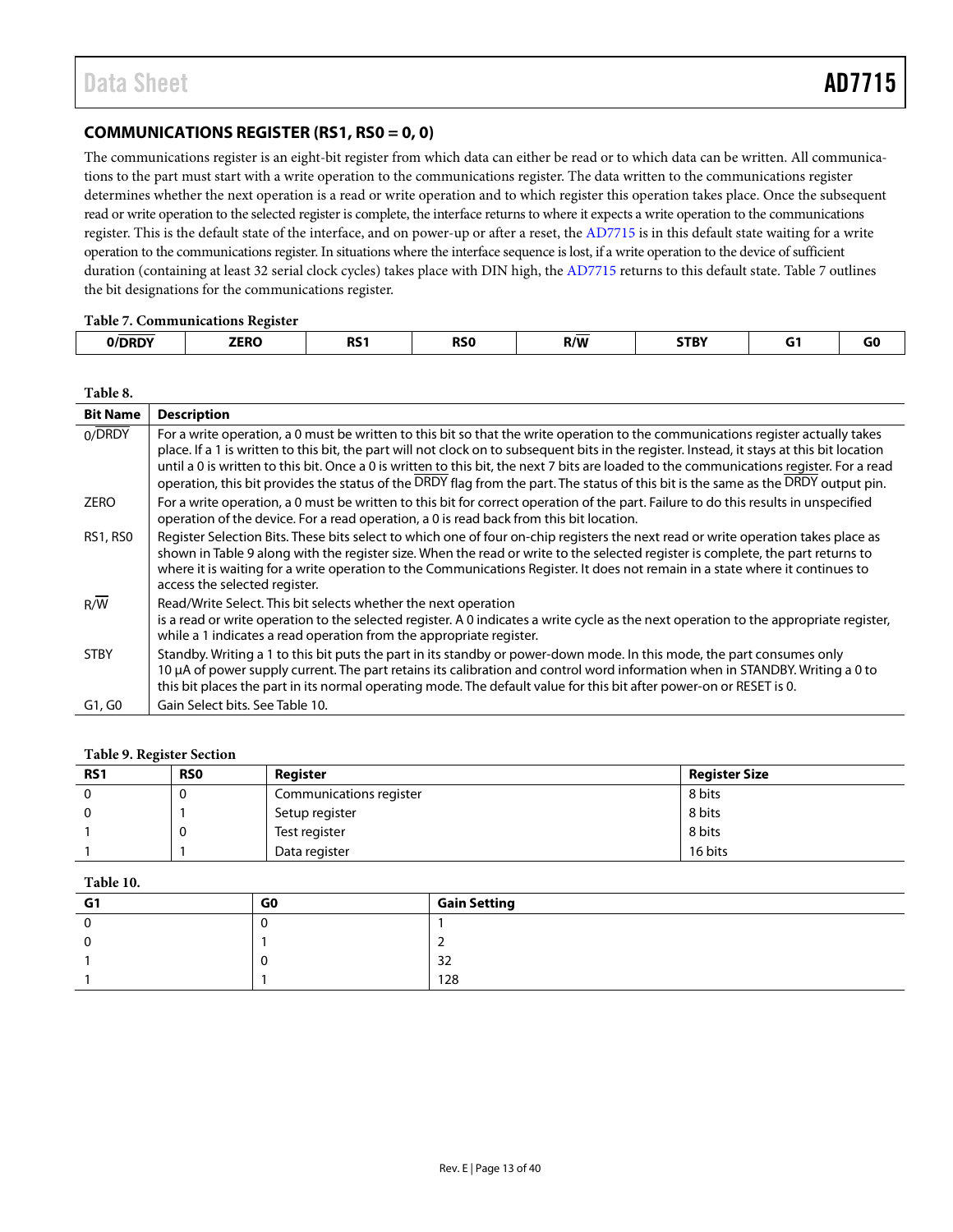# <span id="page-12-0"></span>**COMMUNICATIONS REGISTER (RS1, RS0 = 0, 0)**

The communications register is an eight-bit register from which data can either be read or to which data can be written. All communications to the part must start with a write operation to the communications register. The data written to the communications register determines whether the next operation is a read or write operation and to which register this operation takes place. Once the subsequent read or write operation to the selected register is complete, the interface returns to where it expects a write operation to the communications register. This is the default state of the interface, and on power-up or after a reset, th[e AD7715](http://www.analog.com/AD7715?doc=AD7715.pdf) is in this default state waiting for a write operation to the communications register. In situations where the interface sequence is lost, if a write operation to the device of sufficient duration (containing at least 32 serial clock cycles) takes place with DIN high, th[e AD7715](http://www.analog.com/AD7715?doc=AD7715.pdf) returns to this default state[. Table 7](#page-12-1) outlines the bit designations for the communications register.

#### <span id="page-12-1"></span>**Table 7. Communications Register**

| - wore , , occasional water were now a completed<br>. |                     |           |            |            |              |  |    |  |  |
|-------------------------------------------------------|---------------------|-----------|------------|------------|--------------|--|----|--|--|
| /DRDY<br>_____                                        | <b>7FRO</b><br>---- | ne-<br>כח | <b>RSO</b> | ___<br>R/W | STBY<br>____ |  | uu |  |  |
|                                                       |                     |           |            |            |              |  |    |  |  |

| <b>Bit Name</b>  | <b>Description</b>                                                                                                                                                                                                                                                                                                                                                                                                                                                                                                                                                |
|------------------|-------------------------------------------------------------------------------------------------------------------------------------------------------------------------------------------------------------------------------------------------------------------------------------------------------------------------------------------------------------------------------------------------------------------------------------------------------------------------------------------------------------------------------------------------------------------|
| 0/DRDY           | For a write operation, a 0 must be written to this bit so that the write operation to the communications register actually takes<br>place. If a 1 is written to this bit, the part will not clock on to subsequent bits in the register. Instead, it stays at this bit location<br>until a 0 is written to this bit. Once a 0 is written to this bit, the next 7 bits are loaded to the communications register. For a read<br>operation, this bit provides the status of the DRDY flag from the part. The status of this bit is the same as the DRDY output pin. |
| <b>ZERO</b>      | For a write operation, a 0 must be written to this bit for correct operation of the part. Failure to do this results in unspecified<br>operation of the device. For a read operation, a 0 is read back from this bit location.                                                                                                                                                                                                                                                                                                                                    |
| <b>RS1, RS0</b>  | Register Selection Bits. These bits select to which one of four on-chip registers the next read or write operation takes place as<br>shown in Table 9 along with the register size. When the read or write to the selected register is complete, the part returns to<br>where it is waiting for a write operation to the Communications Register. It does not remain in a state where it continues to<br>access the selected register.                                                                                                                            |
| $R/\overline{W}$ | Read/Write Select. This bit selects whether the next operation<br>is a read or write operation to the selected register. A 0 indicates a write cycle as the next operation to the appropriate register,<br>while a 1 indicates a read operation from the appropriate register.                                                                                                                                                                                                                                                                                    |
| <b>STBY</b>      | Standby. Writing a 1 to this bit puts the part in its standby or power-down mode. In this mode, the part consumes only<br>10 µA of power supply current. The part retains its calibration and control word information when in STANDBY. Writing a 0 to<br>this bit places the part in its normal operating mode. The default value for this bit after power-on or RESET is 0.                                                                                                                                                                                     |
| G1, G0           | Gain Select bits. See Table 10.                                                                                                                                                                                                                                                                                                                                                                                                                                                                                                                                   |

#### <span id="page-12-2"></span>**Table 9. Register Section**

| <b>RS1</b> | <b>RSO</b> | Reaister                | <b>Register Size</b> |
|------------|------------|-------------------------|----------------------|
|            | υ          | Communications register | 8 bits               |
|            |            | Setup register          | 8 bits               |
|            |            | Test register           | 8 bits               |
|            |            | Data register           | 16 bits              |

#### <span id="page-12-3"></span>**Table 10.**

| G1 | G0 | <b>Gain Setting</b> |
|----|----|---------------------|
|    |    |                     |
|    |    |                     |
|    |    | 32                  |
|    |    | 128                 |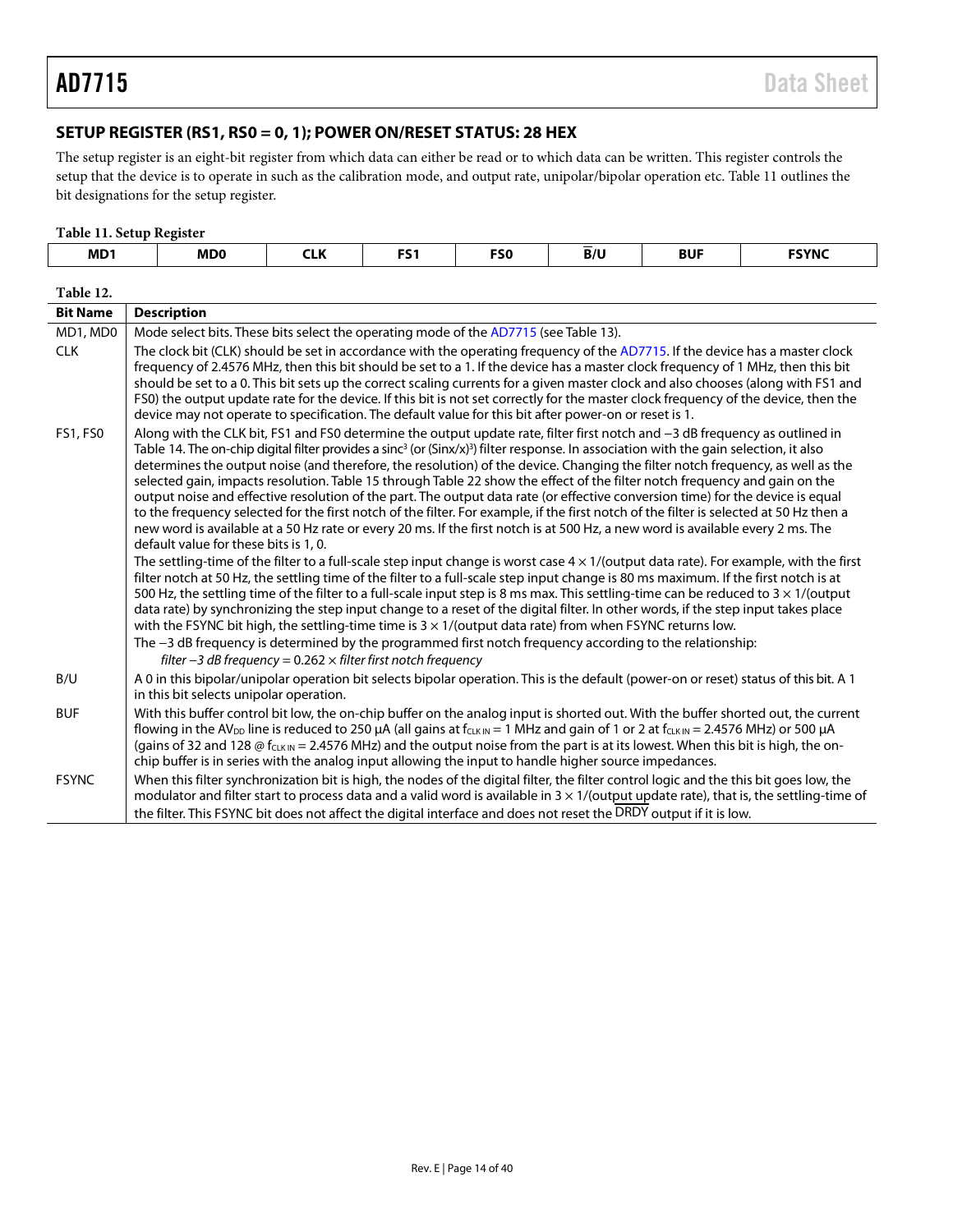# <span id="page-13-0"></span>**SETUP REGISTER (RS1, RS0 = 0, 1); POWER ON/RESET STATUS: 28 HEX**

The setup register is an eight-bit register from which data can either be read or to which data can be written. This register controls the setup that the device is to operate in such as the calibration mode, and output rate, unipolar/bipolar operation etc. [Table 11](#page-13-1) outlines the bit designations for the setup register.

#### <span id="page-13-1"></span>**Table 11. Setup Register**

| MD <sub>1</sub> | MD <sub>0</sub>                                                                      | <b>CLK</b> | FS <sub>1</sub> | <b>FSO</b> | B/U | <b>BUF</b> | <b>FSYNC</b> |
|-----------------|--------------------------------------------------------------------------------------|------------|-----------------|------------|-----|------------|--------------|
| Table 12.       |                                                                                      |            |                 |            |     |            |              |
| <b>Bit Name</b> | <b>Description</b>                                                                   |            |                 |            |     |            |              |
| MD1, MD0        | Mode select bits. These bits select the operating mode of the AD7715 (see Table 13). |            |                 |            |     |            |              |

| <b>IVID I, IVIDU</b> | Tribute select bits. These bits select the operating mode of the AD7715 (see Table 13).                                                                                                                                                                                                                                                                                                                                                                                                                                                                                                                                                                                                                                                                                                                                                                                                                                                                                                                                                                                                                                                                                                                                                                                                                                                                                                                                                                                                                                                                                                                                                                                                                                                                                                                                                                                                                   |
|----------------------|-----------------------------------------------------------------------------------------------------------------------------------------------------------------------------------------------------------------------------------------------------------------------------------------------------------------------------------------------------------------------------------------------------------------------------------------------------------------------------------------------------------------------------------------------------------------------------------------------------------------------------------------------------------------------------------------------------------------------------------------------------------------------------------------------------------------------------------------------------------------------------------------------------------------------------------------------------------------------------------------------------------------------------------------------------------------------------------------------------------------------------------------------------------------------------------------------------------------------------------------------------------------------------------------------------------------------------------------------------------------------------------------------------------------------------------------------------------------------------------------------------------------------------------------------------------------------------------------------------------------------------------------------------------------------------------------------------------------------------------------------------------------------------------------------------------------------------------------------------------------------------------------------------------|
| <b>CLK</b>           | The clock bit (CLK) should be set in accordance with the operating frequency of the AD7715. If the device has a master clock<br>frequency of 2.4576 MHz, then this bit should be set to a 1. If the device has a master clock frequency of 1 MHz, then this bit<br>should be set to a 0. This bit sets up the correct scaling currents for a given master clock and also chooses (along with FS1 and<br>FS0) the output update rate for the device. If this bit is not set correctly for the master clock frequency of the device, then the<br>device may not operate to specification. The default value for this bit after power-on or reset is 1.                                                                                                                                                                                                                                                                                                                                                                                                                                                                                                                                                                                                                                                                                                                                                                                                                                                                                                                                                                                                                                                                                                                                                                                                                                                      |
| <b>FS1, FS0</b>      | Along with the CLK bit, FS1 and FS0 determine the output update rate, filter first notch and -3 dB frequency as outlined in<br>Table 14. The on-chip digital filter provides a sinc <sup>3</sup> (or (Sinx/x) <sup>3</sup> ) filter response. In association with the gain selection, it also<br>determines the output noise (and therefore, the resolution) of the device. Changing the filter notch frequency, as well as the<br>selected gain, impacts resolution. Table 15 through Table 22 show the effect of the filter notch frequency and gain on the<br>output noise and effective resolution of the part. The output data rate (or effective conversion time) for the device is equal<br>to the frequency selected for the first notch of the filter. For example, if the first notch of the filter is selected at 50 Hz then a<br>new word is available at a 50 Hz rate or every 20 ms. If the first notch is at 500 Hz, a new word is available every 2 ms. The<br>default value for these bits is 1, 0.<br>The settling-time of the filter to a full-scale step input change is worst case $4 \times 1$ /(output data rate). For example, with the first<br>filter notch at 50 Hz, the settling time of the filter to a full-scale step input change is 80 ms maximum. If the first notch is at<br>500 Hz, the settling time of the filter to a full-scale input step is 8 ms max. This settling-time can be reduced to $3 \times 1$ /(output<br>data rate) by synchronizing the step input change to a reset of the digital filter. In other words, if the step input takes place<br>with the FSYNC bit high, the settling-time time is $3 \times 1$ /(output data rate) from when FSYNC returns low.<br>The -3 dB frequency is determined by the programmed first notch frequency according to the relationship:<br>filter $-3$ dB frequency = 0.262 $\times$ filter first notch frequency |
| B/U                  | A 0 in this bipolar/unipolar operation bit selects bipolar operation. This is the default (power-on or reset) status of this bit. A 1<br>in this bit selects unipolar operation.                                                                                                                                                                                                                                                                                                                                                                                                                                                                                                                                                                                                                                                                                                                                                                                                                                                                                                                                                                                                                                                                                                                                                                                                                                                                                                                                                                                                                                                                                                                                                                                                                                                                                                                          |
| <b>BUF</b>           | With this buffer control bit low, the on-chip buffer on the analog input is shorted out. With the buffer shorted out, the current<br>flowing in the AV <sub>DD</sub> line is reduced to 250 µA (all gains at f <sub>CLKIN</sub> = 1 MHz and gain of 1 or 2 at f <sub>CLKIN</sub> = 2.4576 MHz) or 500 µA<br>(gains of 32 and 128 $\odot$ f <sub>CLKIN</sub> = 2.4576 MHz) and the output noise from the part is at its lowest. When this bit is high, the on-<br>chip buffer is in series with the analog input allowing the input to handle higher source impedances.                                                                                                                                                                                                                                                                                                                                                                                                                                                                                                                                                                                                                                                                                                                                                                                                                                                                                                                                                                                                                                                                                                                                                                                                                                                                                                                                    |
| <b>FSYNC</b>         | When this filter synchronization bit is high, the nodes of the digital filter, the filter control logic and the this bit goes low, the<br>modulator and filter start to process data and a valid word is available in $3 \times 1$ /(output update rate), that is, the settling-time of<br>the filter. This FSYNC bit does not affect the digital interface and does not reset the DRDY output if it is low.                                                                                                                                                                                                                                                                                                                                                                                                                                                                                                                                                                                                                                                                                                                                                                                                                                                                                                                                                                                                                                                                                                                                                                                                                                                                                                                                                                                                                                                                                              |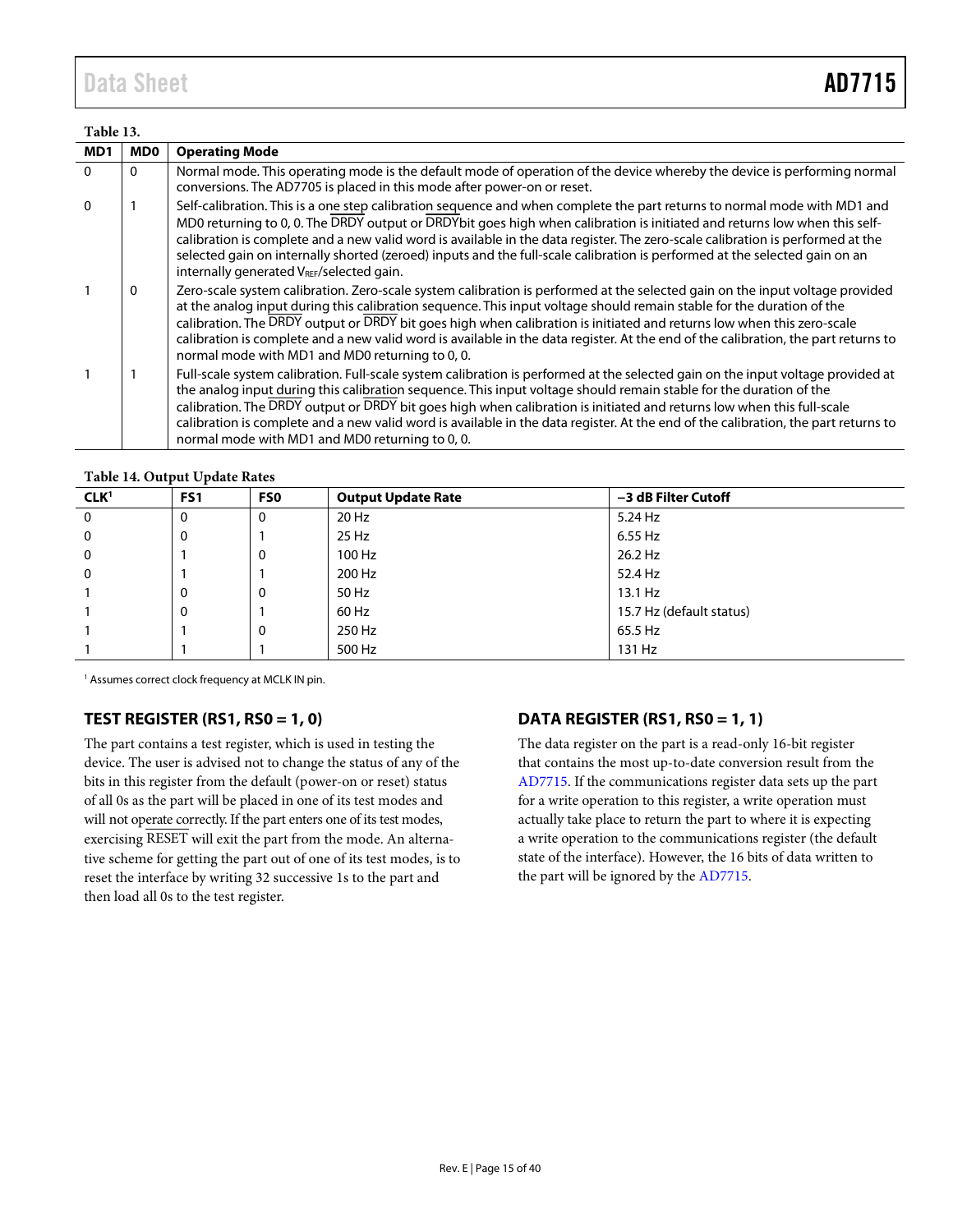# Data Sheet **AD7715**

# <span id="page-14-2"></span>**Table 13.**

| тане 15.        |              |                                                                                                                                                                                                                                                                                                                                                                                                                                                                                                                                                                         |
|-----------------|--------------|-------------------------------------------------------------------------------------------------------------------------------------------------------------------------------------------------------------------------------------------------------------------------------------------------------------------------------------------------------------------------------------------------------------------------------------------------------------------------------------------------------------------------------------------------------------------------|
| MD <sub>1</sub> | <b>MD0</b>   | <b>Operating Mode</b>                                                                                                                                                                                                                                                                                                                                                                                                                                                                                                                                                   |
| 0               | $\Omega$     | Normal mode. This operating mode is the default mode of operation of the device whereby the device is performing normal<br>conversions. The AD7705 is placed in this mode after power-on or reset.                                                                                                                                                                                                                                                                                                                                                                      |
| 0               |              | Self-calibration. This is a one step calibration sequence and when complete the part returns to normal mode with MD1 and<br>MD0 returning to 0, 0. The DRDY output or DRDYbit goes high when calibration is initiated and returns low when this self-<br>calibration is complete and a new valid word is available in the data register. The zero-scale calibration is performed at the<br>selected gain on internally shorted (zeroed) inputs and the full-scale calibration is performed at the selected gain on an<br>internally generated VREF/selected gain.       |
|                 | $\mathbf{0}$ | Zero-scale system calibration. Zero-scale system calibration is performed at the selected gain on the input voltage provided<br>at the analog input during this calibration sequence. This input voltage should remain stable for the duration of the<br>calibration. The DRDY output or DRDY bit goes high when calibration is initiated and returns low when this zero-scale<br>calibration is complete and a new valid word is available in the data register. At the end of the calibration, the part returns to<br>normal mode with MD1 and MD0 returning to 0, 0. |
|                 |              | Full-scale system calibration. Full-scale system calibration is performed at the selected gain on the input voltage provided at<br>the analog input during this calibration sequence. This input voltage should remain stable for the duration of the<br>calibration. The DRDY output or DRDY bit goes high when calibration is initiated and returns low when this full-scale<br>calibration is complete and a new valid word is available in the data register. At the end of the calibration, the part returns to<br>normal mode with MD1 and MD0 returning to 0, 0. |

#### <span id="page-14-3"></span>**Table 14. Output Update Rates**

| CLK <sup>1</sup> | FS <sub>1</sub> | <b>FSO</b>   | <b>Output Update Rate</b> | -3 dB Filter Cutoff      |  |
|------------------|-----------------|--------------|---------------------------|--------------------------|--|
| $\mathbf{0}$     | 0               | $\mathbf{0}$ | 20 Hz                     | 5.24 Hz                  |  |
| $\Omega$         | 0               |              | 25 Hz                     | 6.55 Hz                  |  |
| 0                |                 | 0            | 100 Hz                    | 26.2 Hz                  |  |
| 0                |                 |              | 200 Hz                    | 52.4 Hz                  |  |
|                  | 0               | $\Omega$     | 50 Hz                     | 13.1 Hz                  |  |
|                  | 0               |              | 60 Hz                     | 15.7 Hz (default status) |  |
|                  |                 | $\mathbf{0}$ | 250 Hz                    | 65.5 Hz                  |  |
|                  |                 |              | 500 Hz                    | 131 Hz                   |  |

<sup>1</sup> Assumes correct clock frequency at MCLK IN pin.

# <span id="page-14-0"></span>**TEST REGISTER (RS1, RS0 = 1, 0)**

The part contains a test register, which is used in testing the device. The user is advised not to change the status of any of the bits in this register from the default (power-on or reset) status of all 0s as the part will be placed in one of its test modes and will not operate correctly. If the part enters one of its test modes, exercising RESET will exit the part from the mode. An alternative scheme for getting the part out of one of its test modes, is to reset the interface by writing 32 successive 1s to the part and then load all 0s to the test register.

# <span id="page-14-1"></span>**DATA REGISTER (RS1, RS0 = 1, 1)**

The data register on the part is a read-only 16-bit register that contains the most up-to-date conversion result from the [AD7715.](http://www.analog.com/AD7715?doc=AD7715.pdf) If the communications register data sets up the part for a write operation to this register, a write operation must actually take place to return the part to where it is expecting a write operation to the communications register (the default state of the interface). However, the 16 bits of data written to the part will be ignored by the [AD7715.](http://www.analog.com/AD7715?doc=AD7715.pdf)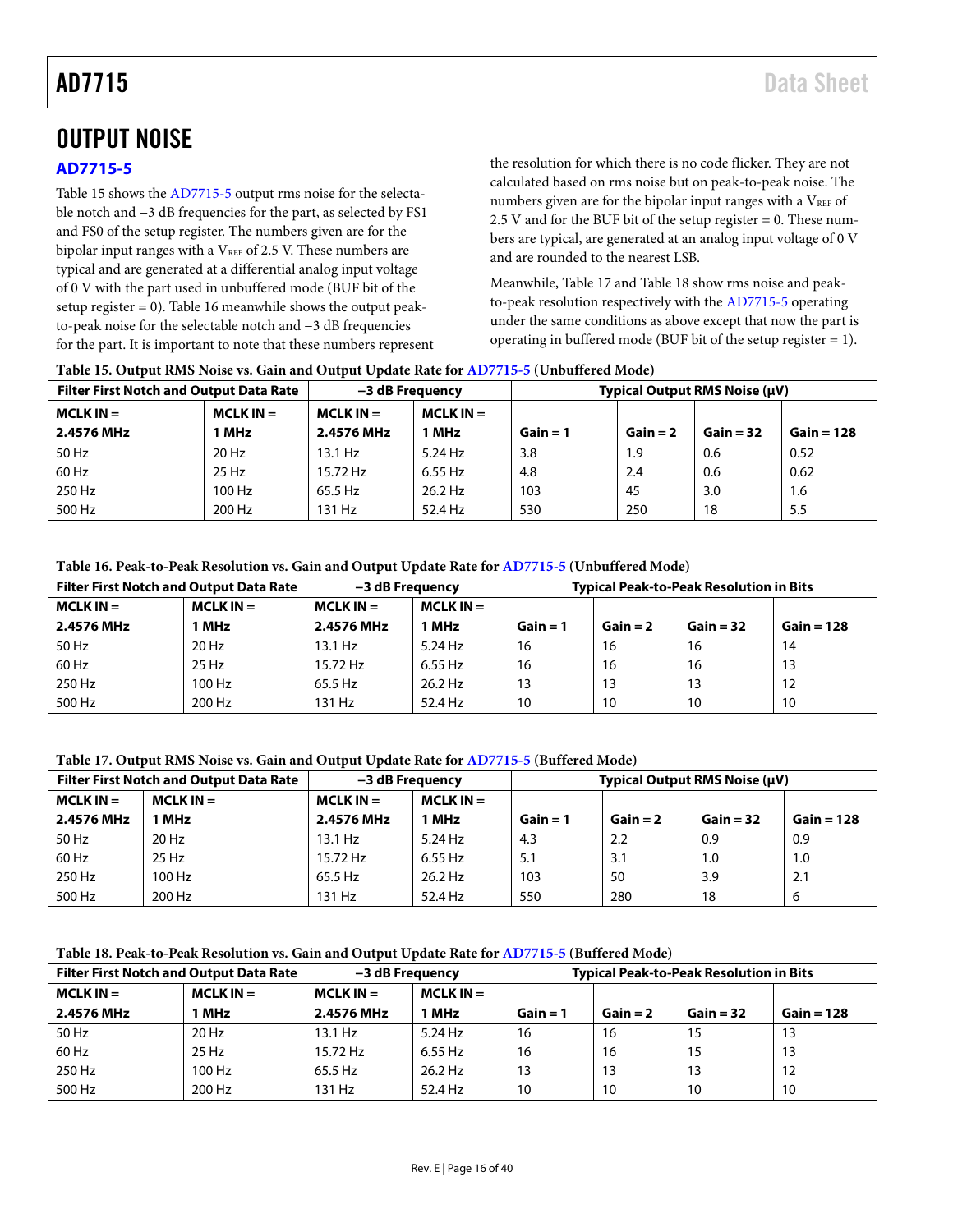# <span id="page-15-0"></span>OUTPUT NOISE

# <span id="page-15-1"></span>**[AD7715-5](http://www.analog.com/AD7715?doc=AD7715.pdf)**

[Table](#page-15-2) 15 shows the [AD7715-5](http://www.analog.com/AD7715?doc=AD7715.pdf) output rms noise for the selectable notch and −3 dB frequencies for the part, as selected by FS1 and FS0 of the setup register. The numbers given are for the bipolar input ranges with a  $V_{REF}$  of 2.5 V. These numbers are typical and are generated at a differential analog input voltage of 0 V with the part used in unbuffered mode (BUF bit of the setup register  $= 0$ )[. Table 16](#page-15-4) meanwhile shows the output peakto-peak noise for the selectable notch and −3 dB frequencies for the part. It is important to note that these numbers represent the resolution for which there is no code flicker. They are not calculated based on rms noise but on peak-to-peak noise. The numbers given are for the bipolar input ranges with a  $V_{REF}$  of 2.5 V and for the BUF bit of the setup register  $= 0$ . These numbers are typical, are generated at an analog input voltage of 0 V and are rounded to the nearest LSB.

Meanwhile[, Table 17](#page-15-5) an[d Table 18](#page-15-3) show rms noise and peakto-peak resolution respectively with the [AD7715-5](http://www.analog.com/AD7715?doc=AD7715.pdf) operating under the same conditions as above except that now the part is operating in buffered mode (BUF bit of the setup register = 1).

| <b>Filter First Notch and Output Data Rate</b> |             | -3 dB Freauency |             | Typical Output RMS Noise (µV) |            |             |              |
|------------------------------------------------|-------------|-----------------|-------------|-------------------------------|------------|-------------|--------------|
| $MCLK IN =$                                    | $MCLK IN =$ | $MCLK IN =$     | $MCLK IN =$ |                               |            |             |              |
| 2.4576 MHz                                     | <b>MHz</b>  | 2.4576 MHz      | MHz         | $Gain = 1$                    | $Gain = 2$ | $Gain = 32$ | $Gain = 128$ |
| 50 Hz                                          | 20 Hz       | $13.1$ Hz       | 5.24 Hz     | 3.8                           | 1.9        | 0.6         | 0.52         |
| 60 Hz                                          | 25 Hz       | 15.72 Hz        | 6.55 Hz     | 4.8                           | 2.4        | 0.6         | 0.62         |
| 250 Hz                                         | 100 Hz      | 65.5 Hz         | 26.2 Hz     | 103                           | -45        | 3.0         | 1.6          |
| 500 Hz                                         | 200 Hz      | 131 Hz          | 52.4 Hz     | 530                           | 250        | 18          | 5.5          |

<span id="page-15-2"></span>**Table 15. Output RMS Noise vs. Gain and Output Update Rate fo[r AD7715-5](http://www.analog.com/AD7715?doc=AD7715.pdf) (Unbuffered Mode)**

### <span id="page-15-4"></span>**Table 16. Peak-to-Peak Resolution vs. Gain and Output Update Rate for [AD7715-5](http://www.analog.com/AD7715?doc=AD7715.pdf) (Unbuffered Mode)**

| <b>Filter First Notch and Output Data Rate</b> |             | –3 dB Frequency |             | <b>Typical Peak-to-Peak Resolution in Bits</b> |            |             |              |
|------------------------------------------------|-------------|-----------------|-------------|------------------------------------------------|------------|-------------|--------------|
| $MCLK IN =$                                    | $MCLK IN =$ | $MCLK IN =$     | $MCLK IN =$ |                                                |            |             |              |
| 2.4576 MHz                                     | l MHz       | 2.4576 MHz      | <b>MHz</b>  | $Gain = 1$                                     | $Gain = 2$ | $Gain = 32$ | $Gain = 128$ |
| 50 Hz                                          | 20 Hz       | 13.1 Hz         | $5.24$ Hz   | 16                                             | 16         | 16          | 14           |
| $60$ Hz                                        | 25 Hz       | 15.72 Hz        | 6.55 Hz     | 16                                             | 16         | 16          | 13           |
| 250 Hz                                         | 100 Hz      | 65.5 Hz         | $26.2$ Hz   | 13                                             | 13         | 13          | 12           |
| 500 Hz                                         | 200 Hz      | 131 Hz          | 52.4 Hz     | 10                                             | 10         | 10          | 10           |

#### <span id="page-15-5"></span>**Table 17. Output RMS Noise vs. Gain and Output Update Rate fo[r AD7715-5](http://www.analog.com/AD7715?doc=AD7715.pdf) (Buffered Mode)**

| <b>Filter First Notch and Output Data Rate</b> |             | -3 dB Frequency |             | Typical Output RMS Noise (µV) |            |             |              |
|------------------------------------------------|-------------|-----------------|-------------|-------------------------------|------------|-------------|--------------|
| $MCLK IN =$                                    | $MCLK IN =$ | $MCLK IN =$     | $MCLK IN =$ |                               |            |             |              |
| 2.4576 MHz                                     | 1 MHz       | 2.4576 MHz      | 1 MHz       | $Gain = 1$                    | $Gain = 2$ | $Gain = 32$ | $Gain = 128$ |
| 50 Hz                                          | 20 Hz       | $13.1$ Hz       | 5.24 Hz     | 4.3                           | 2.2        | 0.9         | 0.9          |
| $60$ Hz                                        | 25 Hz       | 15.72 Hz        | 6.55 Hz     | 5.1                           | 3.1        | 1.0         | 1.0          |
| 250 Hz                                         | 100 Hz      | 65.5 Hz         | 26.2 Hz     | 103                           | 50         | 3.9         | 2.1          |
| 500 Hz                                         | 200 Hz      | 131 Hz          | 52.4 Hz     | 550                           | 280        | 18          | 6            |

<span id="page-15-3"></span>**Table 18. Peak-to-Peak Resolution vs. Gain and Output Update Rate for [AD7715-5](http://www.analog.com/AD7715?doc=AD7715.pdf) (Buffered Mode)**

| <b>Filter First Notch and Output Data Rate</b> |             | -3 dB Freauency |             | <b>Typical Peak-to-Peak Resolution in Bits</b> |            |             |              |
|------------------------------------------------|-------------|-----------------|-------------|------------------------------------------------|------------|-------------|--------------|
| $MCLK IN =$                                    | $MCLK IN =$ | $MCLK IN =$     | $MCLK IN =$ |                                                |            |             |              |
| 2.4576 MHz                                     | 1 MHz       | 2.4576 MHz      | 1 MHz       | $Gain = 1$                                     | $Gain = 2$ | $Gain = 32$ | $Gain = 128$ |
| 50 Hz                                          | $20$ Hz     | $13.1$ Hz       | 5.24 Hz     | 16                                             | 16         | 15          | 13           |
| 60 Hz                                          | $25$ Hz     | 15.72 Hz        | 6.55 Hz     | 16                                             | 16         | 15          | 13           |
| 250 Hz                                         | 100 Hz      | 65.5 Hz         | 26.2 Hz     | 13                                             | 13         | 13          | 12           |
| 500 Hz                                         | 200 Hz      | 131 Hz          | 52.4 Hz     | 10                                             | 10         | 10          | 10           |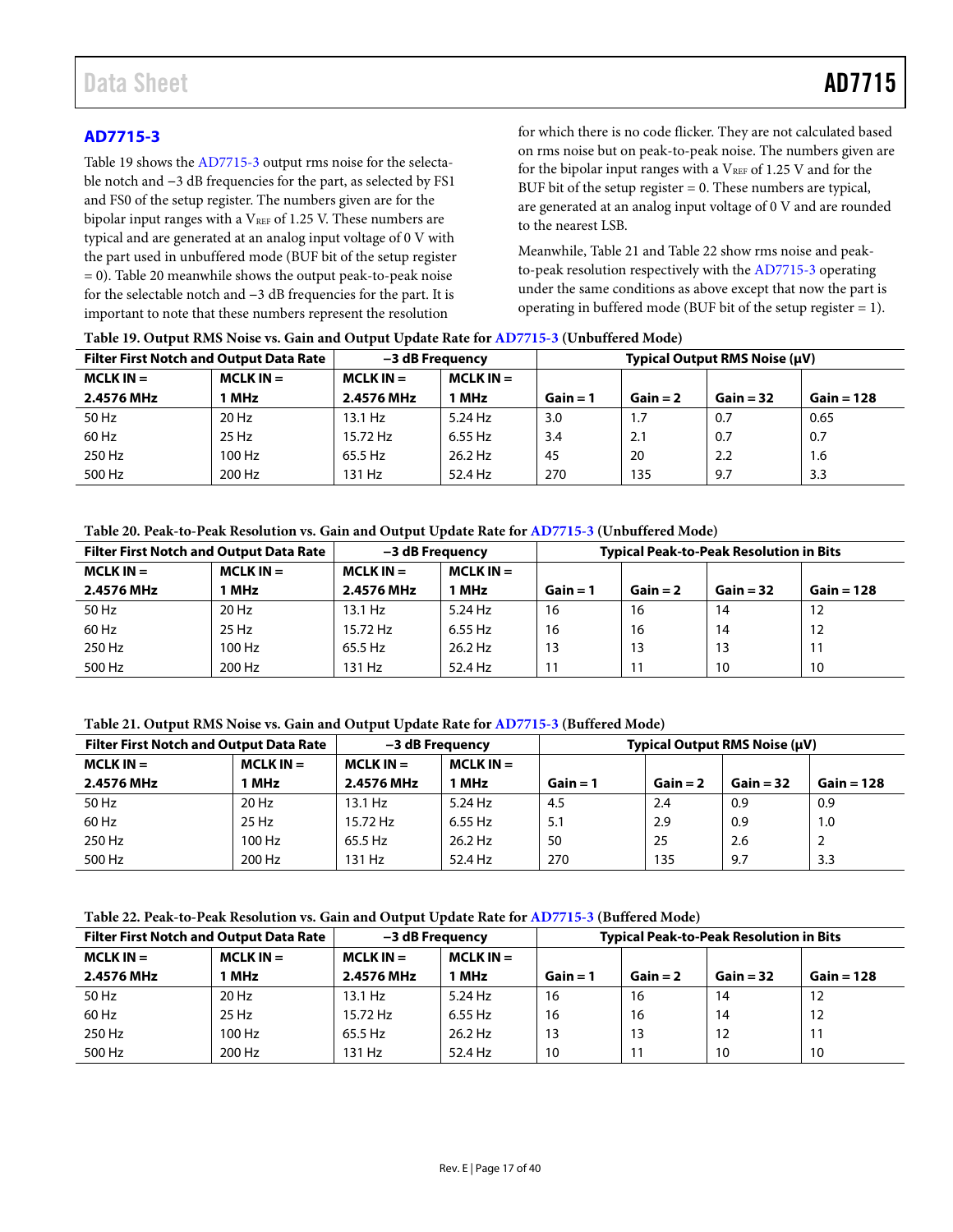# <span id="page-16-0"></span>**[AD7715-3](http://www.analog.com/AD7715?doc=AD7715.pdf)**

[Table 19](#page-16-2) shows the [AD7715-3](http://www.analog.com/AD7715?doc=AD7715.pdf) output rms noise for the selectable notch and **−**3 dB frequencies for the part, as selected by FS1 and FS0 of the setup register. The numbers given are for the bipolar input ranges with a  $V_{REF}$  of 1.25 V. These numbers are typical and are generated at an analog input voltage of 0 V with the part used in unbuffered mode (BUF bit of the setup register  $= 0$ ). [Table 20](#page-16-3) meanwhile shows the output peak-to-peak noise for the selectable notch and **−**3 dB frequencies for the part. It is important to note that these numbers represent the resolution

for which there is no code flicker. They are not calculated based on rms noise but on peak-to-peak noise. The numbers given are for the bipolar input ranges with a  $V_{REF}$  of 1.25 V and for the BUF bit of the setup register  $= 0$ . These numbers are typical, are generated at an analog input voltage of 0 V and are rounded to the nearest LSB.

Meanwhile[, Table 21](#page-16-4) an[d Table 22](#page-16-1) show rms noise and peakto-peak resolution respectively with the [AD7715-3](http://www.analog.com/AD7715?doc=AD7715.pdf) operating under the same conditions as above except that now the part is operating in buffered mode (BUF bit of the setup register = 1).

| <b>Filter First Notch and Output Data Rate</b> |             | -3 dB Frequency            |         | Typical Output RMS Noise (µV) |            |             |              |
|------------------------------------------------|-------------|----------------------------|---------|-------------------------------|------------|-------------|--------------|
| $MCLK IN =$                                    | $MCLK IN =$ | $MCLK IN =$<br>$MCLK IN =$ |         |                               |            |             |              |
| 2.4576 MHz                                     | 1 MHz       | 2.4576 MHz                 | 1 MHz   | $Gain = 1$                    | $Gain = 2$ | $Gain = 32$ | $Gain = 128$ |
| 50 Hz                                          | $20$ Hz     | $13.1$ Hz                  | 5.24 Hz | 3.0                           | 1.7        | 0.7         | 0.65         |
| 60 Hz                                          | $25$ Hz     | 15.72 Hz                   | 6.55 Hz | 3.4                           | 2.1        | 0.7         | 0.7          |
| 250 Hz                                         | 100 Hz      | 65.5 Hz                    | 26.2 Hz | 45                            | 20         | 2.2         | 1.6          |
| 500 Hz                                         | 200 Hz      | 131 Hz                     | 52.4 Hz | 270                           | 135        | 9.7         | 3.3          |

#### <span id="page-16-2"></span>**Table 19. Output RMS Noise vs. Gain and Output Update Rate fo[r AD7715-3](http://www.analog.com/AD7715?doc=AD7715.pdf) (Unbuffered Mode)**

#### <span id="page-16-3"></span>**Table 20. Peak-to-Peak Resolution vs. Gain and Output Update Rate for [AD7715-3](http://www.analog.com/AD7715?doc=AD7715.pdf) (Unbuffered Mode)**

| <b>Filter First Notch and Output Data Rate</b> |             | –3 dB Freauency |             | <b>Typical Peak-to-Peak Resolution in Bits</b> |            |             |              |
|------------------------------------------------|-------------|-----------------|-------------|------------------------------------------------|------------|-------------|--------------|
| $MCLK IN =$                                    | $MCLK IN =$ | $MCLK IN =$     | $MCLK IN =$ |                                                |            |             |              |
| 2.4576 MHz                                     | 1 MHz       | 2.4576 MHz      | 1 MHz       | $Gain = 1$                                     | $Gain = 2$ | $Gain = 32$ | $Gain = 128$ |
| 50 Hz                                          | $20$ Hz     | 13.1 Hz         | $5.24$ Hz   | 16                                             | 16         | 14          | 12           |
| 60 Hz                                          | 25 Hz       | 15.72 Hz        | 6.55 Hz     | 16                                             | 16         | 14          | 12           |
| 250 Hz                                         | 100 Hz      | 65.5 Hz         | $26.2$ Hz   | 13                                             | 13         | 13          |              |
| 500 Hz                                         | 200 Hz      | 131 Hz          | 52.4 Hz     |                                                | 11         | 10          | 10           |

#### <span id="page-16-4"></span>**Table 21. Output RMS Noise vs. Gain and Output Update Rate fo[r AD7715-3](http://www.analog.com/AD7715?doc=AD7715.pdf) (Buffered Mode)**

| <b>Filter First Notch and Output Data Rate</b> |             | –3 dB Frequency |             | Typical Output RMS Noise (µV) |            |             |              |
|------------------------------------------------|-------------|-----------------|-------------|-------------------------------|------------|-------------|--------------|
| $MCLK IN =$                                    | $MCLK IN =$ | $MCLK IN =$     | $MCLK IN =$ |                               |            |             |              |
| 2.4576 MHz                                     | 1 MHz       | 2.4576 MHz      | MHz         | $Gain = 1$                    | $Gain = 2$ | $Gain = 32$ | $Gain = 128$ |
| 50 Hz                                          | 20 Hz       | 13.1 Hz         | $5.24$ Hz   | 4.5                           | 2.4        | 0.9         | 0.9          |
| 60 Hz                                          | 25 Hz       | 15.72 Hz        | 6.55 Hz     | 5.1                           | 2.9        | 0.9         | 1.0          |
| 250 Hz                                         | 100 Hz      | 65.5 Hz         | $26.2$ Hz   | 50                            | 25         | 2.6         | 2            |
| 500 Hz                                         | 200 Hz      | 131 Hz          | 52.4 Hz     | 270                           | 135        | 9.7         | 3.3          |

#### <span id="page-16-1"></span>**Table 22. Peak-to-Peak Resolution vs. Gain and Output Update Rate for [AD7715-3](http://www.analog.com/AD7715?doc=AD7715.pdf) (Buffered Mode)**

| <b>Filter First Notch and Output Data Rate</b> |             | -3 dB Freauency            |         | <b>Typical Peak-to-Peak Resolution in Bits</b> |            |             |              |
|------------------------------------------------|-------------|----------------------------|---------|------------------------------------------------|------------|-------------|--------------|
| $MCLK IN =$                                    | $MCLK IN =$ | $MCLK IN =$<br>$MCLK IN =$ |         |                                                |            |             |              |
| 2.4576 MHz                                     | 1 MHz       | 2.4576 MHz                 | MHz     | $Gain = 1$                                     | $Gain = 2$ | $Gain = 32$ | $Gain = 128$ |
| 50 Hz                                          | 20 Hz       | $13.1$ Hz                  | 5.24 Hz | 16                                             | 16         | 14          | 12           |
| 60 Hz                                          | 25 Hz       | 15.72 Hz                   | 6.55 Hz | 16                                             | 16         | 14          | 12           |
| 250 Hz                                         | 100 Hz      | 65.5 Hz                    | 26.2 Hz | 13                                             | 13         | 12          |              |
| 500 Hz                                         | 200 Hz      | 131 Hz                     | 52.4 Hz | 10                                             | 11         | 10          | 10           |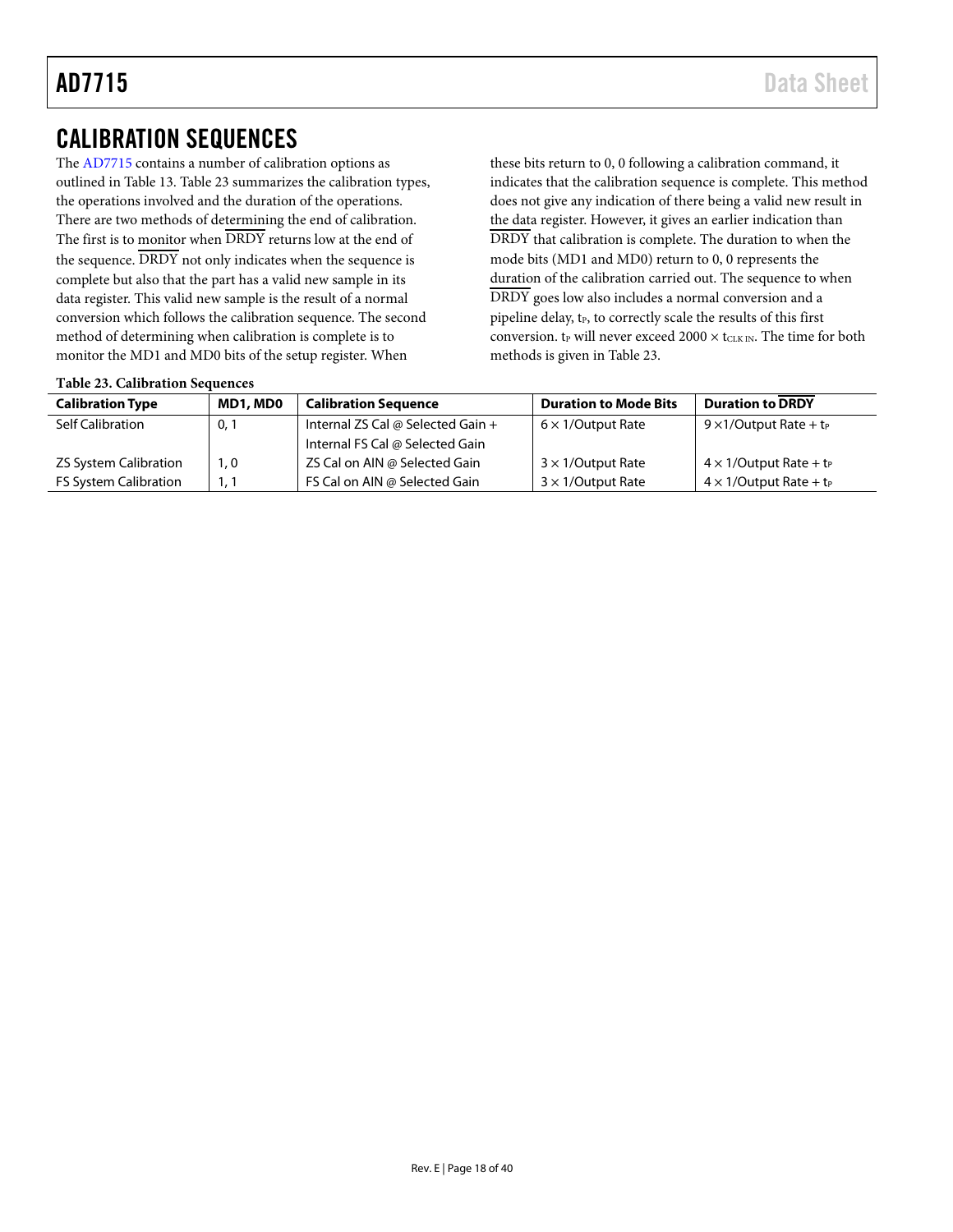# <span id="page-17-0"></span>CALIBRATION SEQUENCES

The [AD7715](http://www.analog.com/AD7715?doc=AD7715.pdf) contains a number of calibration options as outlined in [Table 13.](#page-14-2) [Table 23](#page-17-1) summarizes the calibration types, the operations involved and the duration of the operations. There are two methods of determining the end of calibration. The first is to monitor when  $\overline{DRDY}$  returns low at the end of the sequence. DRDY not only indicates when the sequence is complete but also that the part has a valid new sample in its data register. This valid new sample is the result of a normal conversion which follows the calibration sequence. The second method of determining when calibration is complete is to monitor the MD1 and MD0 bits of the setup register. When

these bits return to 0, 0 following a calibration command, it indicates that the calibration sequence is complete. This method does not give any indication of there being a valid new result in the data register. However, it gives an earlier indication than DRDY that calibration is complete. The duration to when the mode bits (MD1 and MD0) return to 0, 0 represents the duration of the calibration carried out. The sequence to when DRDY goes low also includes a normal conversion and a pipeline delay, t<sub>P</sub>, to correctly scale the results of this first conversion.  $t_{P}$  will never exceed 2000  $\times$  t<sub>CLK IN</sub>. The time for both methods is given in [Table 23.](#page-17-1)

<span id="page-17-1"></span>

|  | <b>Table 23. Calibration Sequences</b> |  |
|--|----------------------------------------|--|
|--|----------------------------------------|--|

| <b>Calibration Type</b>      | MD1, MD0 | <b>Calibration Sequence</b>       | <b>Duration to Mode Bits</b> | <b>Duration to DRDY</b>                    |
|------------------------------|----------|-----------------------------------|------------------------------|--------------------------------------------|
| Self Calibration             | 0,1      | Internal ZS Cal @ Selected Gain + | $6 \times 1$ /Output Rate    | $9 \times 1$ /Output Rate + t <sub>P</sub> |
|                              |          | Internal FS Cal @ Selected Gain   |                              |                                            |
| <b>ZS System Calibration</b> | 1,0      | ZS Cal on AIN @ Selected Gain     | $3 \times 1$ /Output Rate    | $4 \times 1$ /Output Rate + t <sub>P</sub> |
| <b>FS System Calibration</b> |          | FS Cal on AIN @ Selected Gain     | $3 \times 1$ /Output Rate    | $4 \times 1$ /Output Rate + t <sub>P</sub> |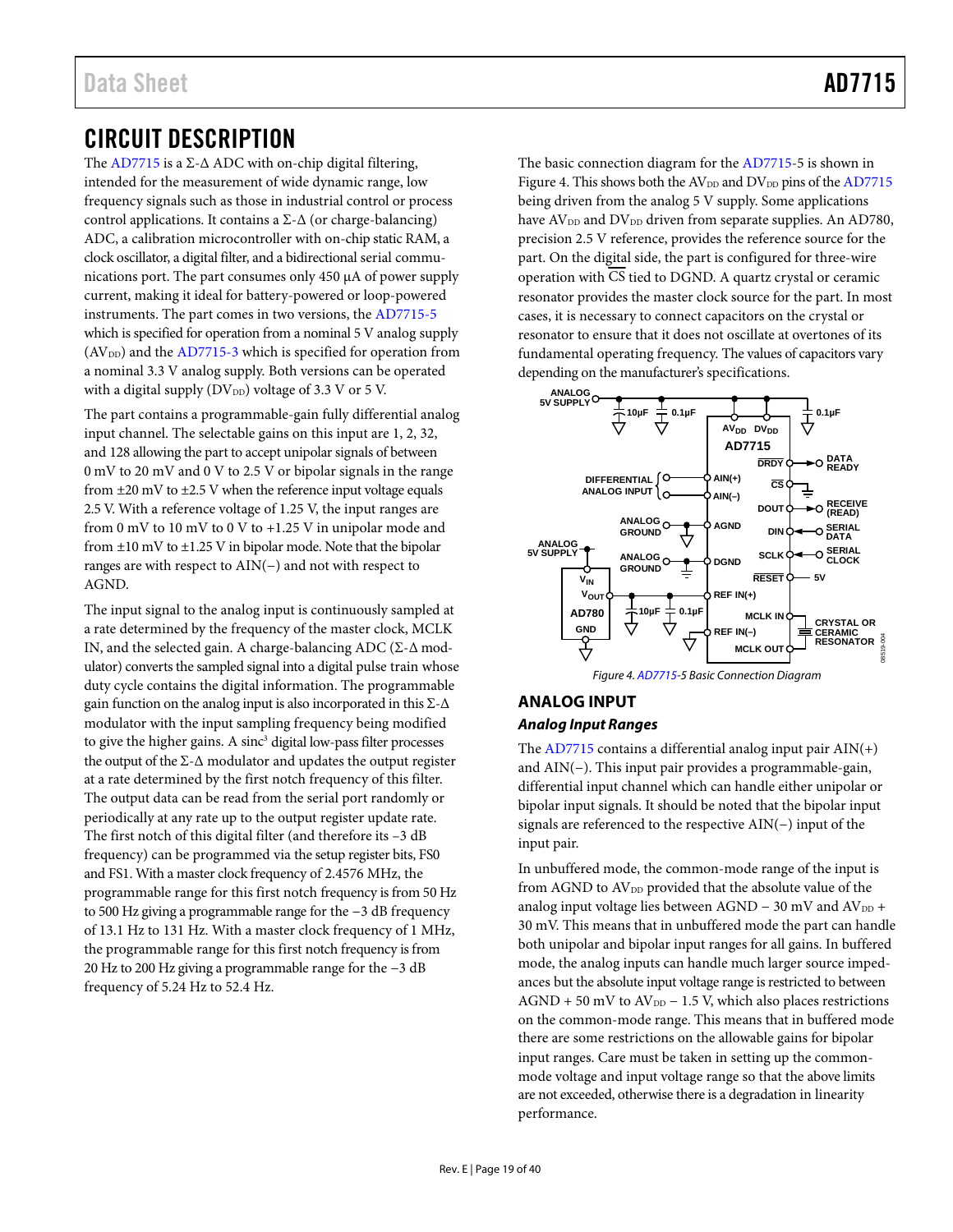# <span id="page-18-0"></span>CIRCUIT DESCRIPTION

The [AD7715 i](http://www.analog.com/AD7715?doc=AD7715.pdf)s a  $\Sigma$ - $\Delta$  ADC with on-chip digital filtering, intended for the measurement of wide dynamic range, low frequency signals such as those in industrial control or process control applications. It contains a  $\Sigma$ - $\Delta$  (or charge-balancing) ADC, a calibration microcontroller with on-chip static RAM, a clock oscillator, a digital filter, and a bidirectional serial communications port. The part consumes only 450 μA of power supply current, making it ideal for battery-powered or loop-powered instruments. The part comes in two versions, the [AD7715-5](http://www.analog.com/AD7715?doc=AD7715.pdf) which is specified for operation from a nominal 5 V analog supply  $(AV<sub>DD</sub>)$  and the  $AD7715-3$  which is specified for operation from a nominal 3.3 V analog supply. Both versions can be operated with a digital supply ( $DV_{DD}$ ) voltage of 3.3 V or 5 V.

The part contains a programmable-gain fully differential analog input channel. The selectable gains on this input are 1, 2, 32, and 128 allowing the part to accept unipolar signals of between 0 mV to 20 mV and 0 V to 2.5 V or bipolar signals in the range from  $\pm 20$  mV to  $\pm 2.5$  V when the reference input voltage equals 2.5 V. With a reference voltage of 1.25 V, the input ranges are from 0 mV to 10 mV to 0 V to +1.25 V in unipolar mode and from  $\pm 10$  mV to  $\pm 1.25$  V in bipolar mode. Note that the bipolar ranges are with respect to AIN(−) and not with respect to AGND.

The input signal to the analog input is continuously sampled at a rate determined by the frequency of the master clock, MCLK IN, and the selected gain. A charge-balancing ADC (Σ-Δ modulator) converts the sampled signal into a digital pulse train whose duty cycle contains the digital information. The programmable gain function on the analog input is also incorporated in this  $\Sigma$ - $\Delta$ modulator with the input sampling frequency being modified to give the higher gains. A sinc<sup>3</sup> digital low-pass filter processes the output of the  $\Sigma$ - $\Delta$  modulator and updates the output register at a rate determined by the first notch frequency of this filter. The output data can be read from the serial port randomly or periodically at any rate up to the output register update rate. The first notch of this digital filter (and therefore its –3 dB frequency) can be programmed via the setup register bits, FS0 and FS1. With a master clock frequency of 2.4576 MHz, the programmable range for this first notch frequency is from 50 Hz to 500 Hz giving a programmable range for the −3 dB frequency of 13.1 Hz to 131 Hz. With a master clock frequency of 1 MHz, the programmable range for this first notch frequency is from 20 Hz to 200 Hz giving a programmable range for the −3 dB frequency of 5.24 Hz to 52.4 Hz.

The basic connection diagram for the [AD7715-](http://www.analog.com/AD7715?doc=AD7715.pdf)5 is shown in [Figure 4.](#page-18-2) This shows both the  $AV_{DD}$  and  $DV_{DD}$  pins of the  $AD7715$ being driven from the analog 5 V supply. Some applications have AV<sub>DD</sub> and DV<sub>DD</sub> driven from separate supplies. An AD780, precision 2.5 V reference, provides the reference source for the part. On the digital side, the part is configured for three-wire operation with CS tied to DGND. A quartz crystal or ceramic resonator provides the master clock source for the part. In most cases, it is necessary to connect capacitors on the crystal or resonator to ensure that it does not oscillate at overtones of its fundamental operating frequency. The values of capacitors vary depending on the manufacturer's specifications.



# <span id="page-18-2"></span><span id="page-18-1"></span>**ANALOG INPUT**

# **Analog Input Ranges**

The [AD7715 c](http://www.analog.com/AD7715?doc=AD7715.pdf)ontains a differential analog input pair AIN(+) and AIN(−). This input pair provides a programmable-gain, differential input channel which can handle either unipolar or bipolar input signals. It should be noted that the bipolar input signals are referenced to the respective AIN(−) input of the input pair.

In unbuffered mode, the common-mode range of the input is from AGND to  $AV_{DD}$  provided that the absolute value of the analog input voltage lies between AGND − 30 mV and AV<sub>DD</sub> + 30 mV. This means that in unbuffered mode the part can handle both unipolar and bipolar input ranges for all gains. In buffered mode, the analog inputs can handle much larger source impedances but the absolute input voltage range is restricted to between  $AGND + 50$  mV to  $AV_{DD} - 1.5$  V, which also places restrictions on the common-mode range. This means that in buffered mode there are some restrictions on the allowable gains for bipolar input ranges. Care must be taken in setting up the commonmode voltage and input voltage range so that the above limits are not exceeded, otherwise there is a degradation in linearity performance.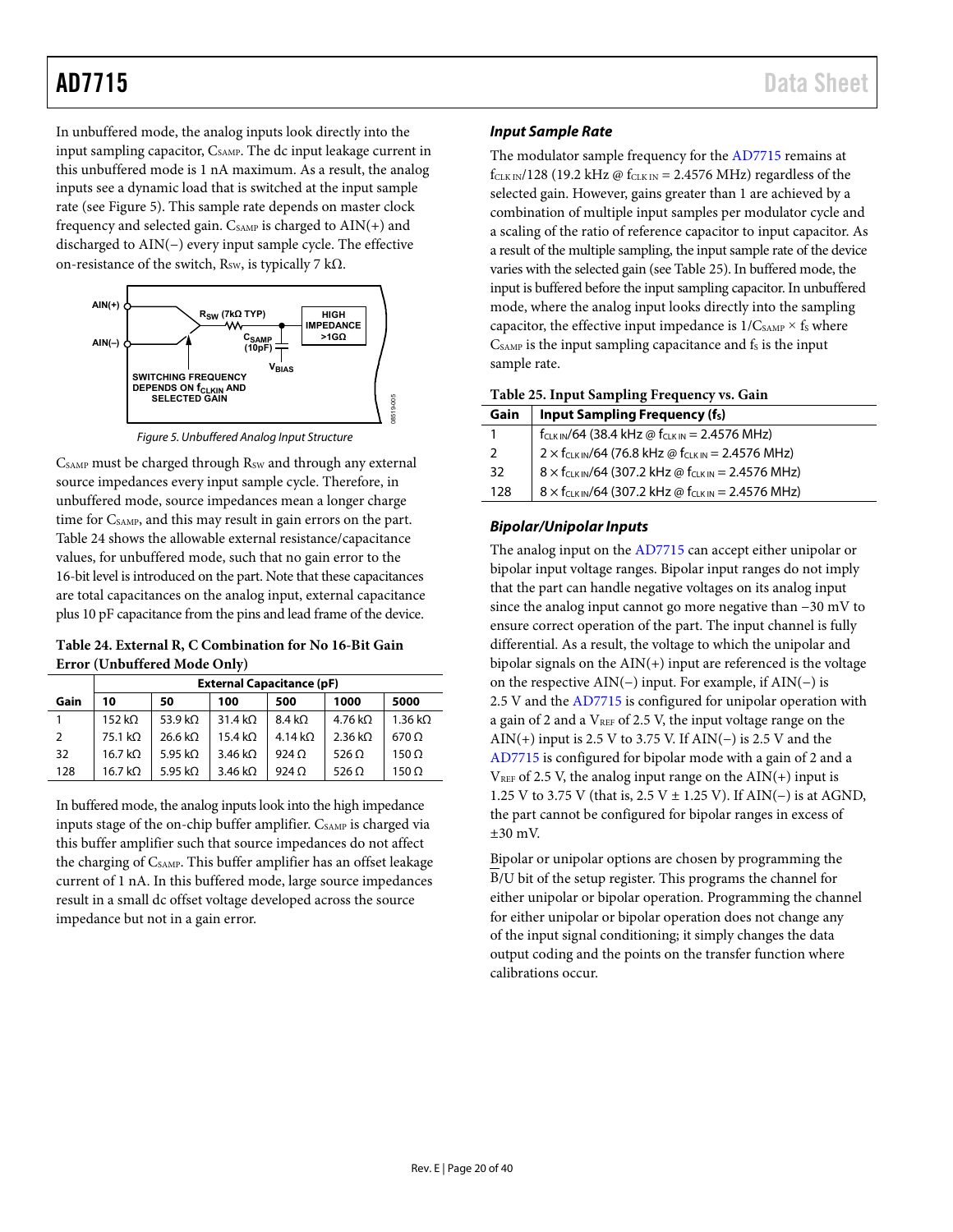In unbuffered mode, the analog inputs look directly into the input sampling capacitor, C<sub>SAMP</sub>. The dc input leakage current in this unbuffered mode is 1 nA maximum. As a result, the analog inputs see a dynamic load that is switched at the input sample rate (se[e Figure 5\)](#page-19-0). This sample rate depends on master clock frequency and selected gain.  $C_{SAMP}$  is charged to  $AIN(+)$  and discharged to AIN(−) every input sample cycle. The effective on-resistance of the switch,  $R_{SW}$ , is typically 7 k $\Omega$ .



*Figure 5. Unbuffered Analog Input Structure*

<span id="page-19-0"></span>CSAMP must be charged through R<sub>SW</sub> and through any external source impedances every input sample cycle. Therefore, in unbuffered mode, source impedances mean a longer charge time for CSAMP, and this may result in gain errors on the part. [Table 24](#page-19-1) shows the allowable external resistance/capacitance values, for unbuffered mode, such that no gain error to the 16-bit level is introduced on the part. Note that these capacitances are total capacitances on the analog input, external capacitance plus 10 pF capacitance from the pins and lead frame of the device.

<span id="page-19-1"></span>**Table 24. External R, C Combination for No 16-Bit Gain Error (Unbuffered Mode Only)**

|      | <b>External Capacitance (pF)</b>       |                     |                        |                  |                 |                        |  |  |  |
|------|----------------------------------------|---------------------|------------------------|------------------|-----------------|------------------------|--|--|--|
| Gain | 5000<br>1000<br>50<br>500<br>10<br>100 |                     |                        |                  |                 |                        |  |  |  |
|      | $152 k\Omega$                          | 53.9 k $\Omega$     | 31.4 k <sub>0</sub>    | $8.4 k\Omega$    | 4.76 k $\Omega$ | $1.36 \text{ k}\Omega$ |  |  |  |
| 2    | 75.1 k <sub>2</sub>                    | 26.6 k <sub>2</sub> | $15.4 \text{ k}\Omega$ | $4.14 k\Omega$   | $2.36 k\Omega$  | $670 \Omega$           |  |  |  |
| 32   | 16.7 k <sub>Q</sub>                    | 5.95 k $\Omega$     | $3.46 k\Omega$         | 924 <sub>O</sub> | 526 $\Omega$    | $150 \Omega$           |  |  |  |
| 128  | 16.7 kΩ                                | 5.95 k $\Omega$     | $3.46 k\Omega$         | 924O             | 526 $\Omega$    | $150 \Omega$           |  |  |  |

In buffered mode, the analog inputs look into the high impedance inputs stage of the on-chip buffer amplifier. C<sub>SAMP</sub> is charged via this buffer amplifier such that source impedances do not affect the charging of C<sub>SAMP</sub>. This buffer amplifier has an offset leakage current of 1 nA. In this buffered mode, large source impedances result in a small dc offset voltage developed across the source impedance but not in a gain error.

### *Input Sample Rate*

The modulator sample frequency for th[e AD7715](http://www.analog.com/AD7715?doc=AD7715.pdf) remains at  $f_{CLK IN}/128$  (19.2 kHz @  $f_{CLK IN}$  = 2.4576 MHz) regardless of the selected gain. However, gains greater than 1 are achieved by a combination of multiple input samples per modulator cycle and a scaling of the ratio of reference capacitor to input capacitor. As a result of the multiple sampling, the input sample rate of the device varies with the selected gain (se[e Table 25\)](#page-19-2). In buffered mode, the input is buffered before the input sampling capacitor. In unbuffered mode, where the analog input looks directly into the sampling capacitor, the effective input impedance is  $1/C_{SAMP} \times f_S$  where  $C_{SAMP}$  is the input sampling capacitance and  $f_S$  is the input sample rate.

<span id="page-19-2"></span>**Table 25. Input Sampling Frequency vs. Gain**

| Gain | <b>Input Sampling Frequency (fs)</b>                                  |
|------|-----------------------------------------------------------------------|
|      | f <sub>CLK IN</sub> /64 (38.4 kHz @ f <sub>CLK IN</sub> = 2.4576 MHz) |
| 2    | $2 \times f_{CLK IN}/64$ (76.8 kHz @ $f_{CLK IN} = 2.4576$ MHz)       |
| 32   | $8 \times f_{CLK IN}/64$ (307.2 kHz @ $f_{CLK IN} = 2.4576$ MHz)      |
| 128  | $8 \times f_{CLKIN}/64$ (307.2 kHz @ $f_{CLKIN}$ = 2.4576 MHz)        |

### *Bipolar/Unipolar Inputs*

The analog input on the [AD7715](http://www.analog.com/AD7715?doc=AD7715.pdf) can accept either unipolar or bipolar input voltage ranges. Bipolar input ranges do not imply that the part can handle negative voltages on its analog input since the analog input cannot go more negative than −30 mV to ensure correct operation of the part. The input channel is fully differential. As a result, the voltage to which the unipolar and bipolar signals on the  $AIN(+)$  input are referenced is the voltage on the respective AIN(−) input. For example, if AIN(−) is 2.5 V and the [AD7715](http://www.analog.com/AD7715?doc=AD7715.pdf) is configured for unipolar operation with a gain of 2 and a  $V_{REF}$  of 2.5 V, the input voltage range on the AIN(+) input is 2.5 V to 3.75 V. If AIN(−) is 2.5 V and the [AD7715](http://www.analog.com/AD7715?doc=AD7715.pdf) is configured for bipolar mode with a gain of 2 and a  $V<sub>REF</sub>$  of 2.5 V, the analog input range on the AIN(+) input is 1.25 V to 3.75 V (that is, 2.5 V ± 1.25 V). If AIN(−) is at AGND, the part cannot be configured for bipolar ranges in excess of ±30 mV.

Bipolar or unipolar options are chosen by programming the B/U bit of the setup register. This programs the channel for either unipolar or bipolar operation. Programming the channel for either unipolar or bipolar operation does not change any of the input signal conditioning; it simply changes the data output coding and the points on the transfer function where calibrations occur.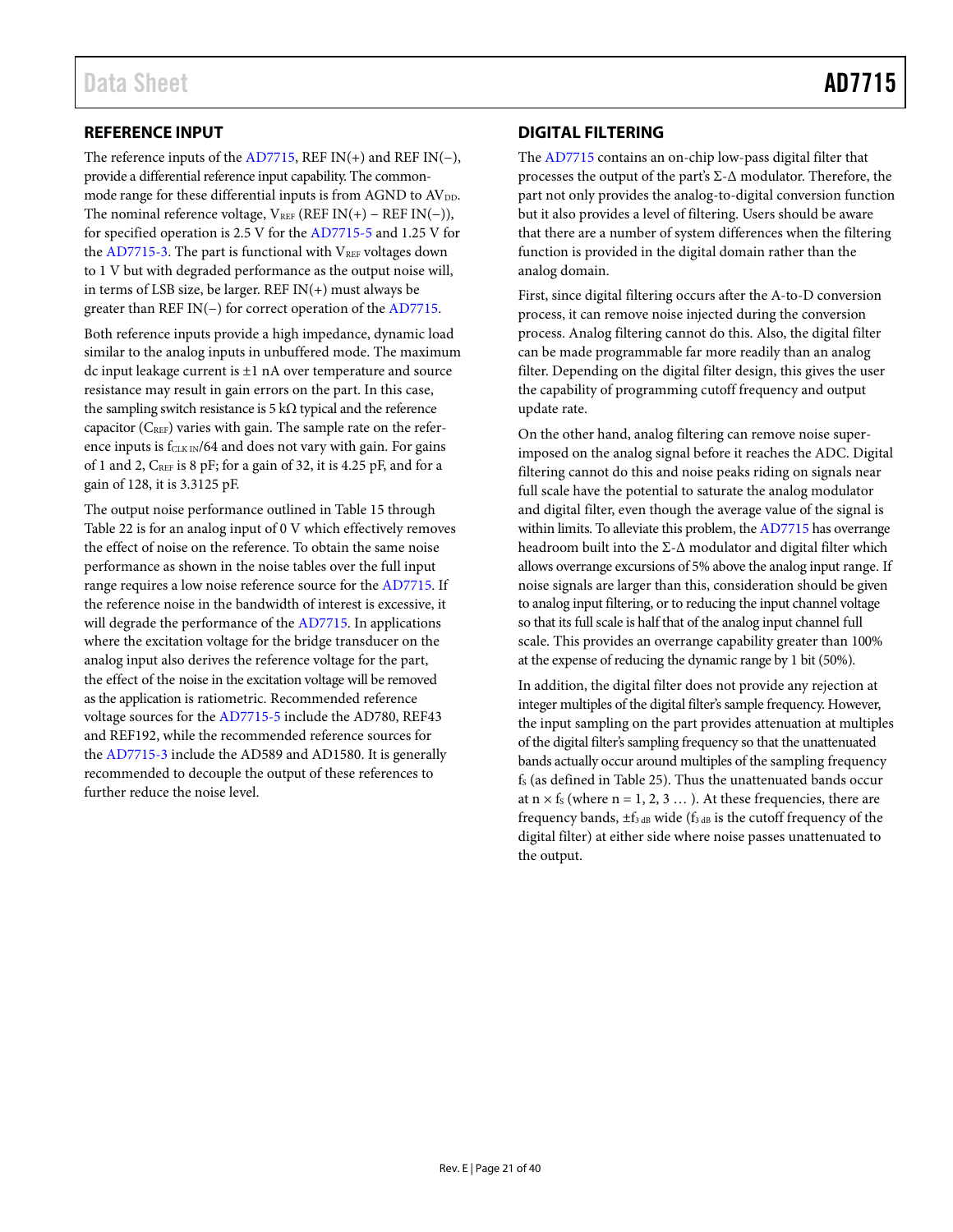## <span id="page-20-0"></span>**REFERENCE INPUT**

The reference inputs of the  $AD7715$ , REF IN(+) and REF IN(-), provide a differential reference input capability. The commonmode range for these differential inputs is from AGND to AV<sub>DD</sub>. The nominal reference voltage,  $V_{REF}$  (REF IN(+) – REF IN(−)), for specified operation is 2.5 V for th[e AD7715-5](http://www.analog.com/AD7715?doc=AD7715.pdf) and 1.25 V for the [AD7715-3.](http://www.analog.com/AD7715?doc=AD7715.pdf) The part is functional with  $V_{REF}$  voltages down to 1 V but with degraded performance as the output noise will, in terms of LSB size, be larger. REF IN(+) must always be greater than REF IN(−) for correct operation of the [AD7715.](http://www.analog.com/AD7715?doc=AD7715.pdf)

Both reference inputs provide a high impedance, dynamic load similar to the analog inputs in unbuffered mode. The maximum dc input leakage current is ±1 nA over temperature and source resistance may result in gain errors on the part. In this case, the sampling switch resistance is 5 k $\Omega$  typical and the reference capacitor  $(C<sub>REF</sub>)$  varies with gain. The sample rate on the reference inputs is  $f_{CLK IN}/64$  and does not vary with gain. For gains of 1 and 2, CREF is 8 pF; for a gain of 32, it is 4.25 pF, and for a gain of 128, it is 3.3125 pF.

The output noise performance outlined i[n Table](#page-15-2) 15 through [Table 22](#page-16-1) is for an analog input of 0 V which effectively removes the effect of noise on the reference. To obtain the same noise performance as shown in the noise tables over the full input range requires a low noise reference source for th[e AD7715.](http://www.analog.com/AD7715?doc=AD7715.pdf) If the reference noise in the bandwidth of interest is excessive, it will degrade the performance of th[e AD7715.](http://www.analog.com/AD7715?doc=AD7715.pdf) In applications where the excitation voltage for the bridge transducer on the analog input also derives the reference voltage for the part, the effect of the noise in the excitation voltage will be removed as the application is ratiometric. Recommended reference voltage sources for the [AD7715-5](http://www.analog.com/AD7715?doc=AD7715.pdf) include the AD780, REF43 and REF192, while the recommended reference sources for the [AD7715-3](http://www.analog.com/AD7715?doc=AD7715.pdf) include the AD589 and AD1580. It is generally recommended to decouple the output of these references to further reduce the noise level.

# <span id="page-20-1"></span>**DIGITAL FILTERING**

The [AD7715](http://www.analog.com/AD7715?doc=AD7715.pdf) contains an on-chip low-pass digital filter that processes the output of the part's Σ-Δ modulator. Therefore, the part not only provides the analog-to-digital conversion function but it also provides a level of filtering. Users should be aware that there are a number of system differences when the filtering function is provided in the digital domain rather than the analog domain.

First, since digital filtering occurs after the A-to-D conversion process, it can remove noise injected during the conversion process. Analog filtering cannot do this. Also, the digital filter can be made programmable far more readily than an analog filter. Depending on the digital filter design, this gives the user the capability of programming cutoff frequency and output update rate.

On the other hand, analog filtering can remove noise superimposed on the analog signal before it reaches the ADC. Digital filtering cannot do this and noise peaks riding on signals near full scale have the potential to saturate the analog modulator and digital filter, even though the average value of the signal is within limits. To alleviate this problem, th[e AD7715](http://www.analog.com/AD7715?doc=AD7715.pdf) has overrange headroom built into the Σ-Δ modulator and digital filter which allows overrange excursions of 5% above the analog input range. If noise signals are larger than this, consideration should be given to analog input filtering, or to reducing the input channel voltage so that its full scale is half that of the analog input channel full scale. This provides an overrange capability greater than 100% at the expense of reducing the dynamic range by 1 bit (50%).

In addition, the digital filter does not provide any rejection at integer multiples of the digital filter's sample frequency. However, the input sampling on the part provides attenuation at multiples of the digital filter's sampling frequency so that the unattenuated bands actually occur around multiples of the sampling frequency  $f<sub>S</sub>$  (as defined i[n Table 25\)](#page-19-2). Thus the unattenuated bands occur at  $n \times f_s$  (where  $n = 1, 2, 3 ...$ ). At these frequencies, there are frequency bands,  $\pm f_{3 \text{ dB}}$  wide ( $f_{3 \text{ dB}}$  is the cutoff frequency of the digital filter) at either side where noise passes unattenuated to the output.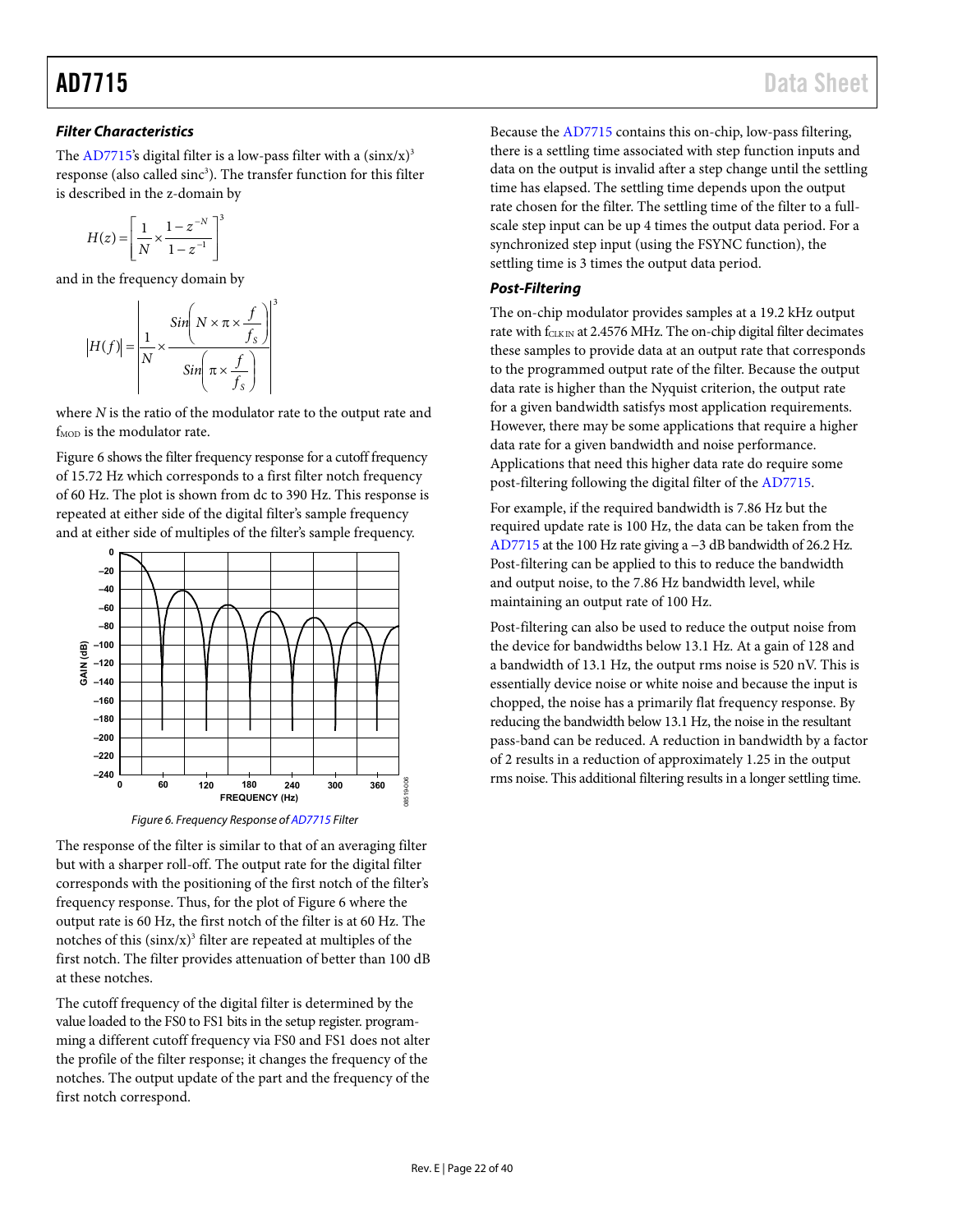### *Filter Characteristics*

The [AD7715's](http://www.analog.com/AD7715?doc=AD7715.pdf) digital filter is a low-pass filter with a  $(sinx/x)^3$ response (also called sinc<sup>3</sup>). The transfer function for this filter is described in the z-domain by

$$
H(z) = \left[ \frac{1}{N} \times \frac{1 - z^{-N}}{1 - z^{-1}} \right]^3
$$

and in the frequency domain by

$$
H(f)| = \left| \frac{1}{N} \times \frac{\sin \left(N \times \pi \times \frac{f}{f_s}\right)}{\sin \left(\pi \times \frac{f}{f_s}\right)} \right|
$$

where *N* is the ratio of the modulator rate to the output rate and f<sub>MOD</sub> is the modulator rate.

3

[Figure 6](#page-21-0) shows the filter frequency response for a cutoff frequency of 15.72 Hz which corresponds to a first filter notch frequency of 60 Hz. The plot is shown from dc to 390 Hz. This response is repeated at either side of the digital filter's sample frequency and at either side of multiples of the filter's sample frequency.



*Figure 6. Frequency Response o[f AD7715](http://www.analog.com/AD7715?doc=AD7715.pdf) Filter*

<span id="page-21-0"></span>The response of the filter is similar to that of an averaging filter but with a sharper roll-off. The output rate for the digital filter corresponds with the positioning of the first notch of the filter's frequency response. Thus, for the plot o[f Figure 6](#page-21-0) where the output rate is 60 Hz, the first notch of the filter is at 60 Hz. The notches of this  $(sinx/x)^3$  filter are repeated at multiples of the first notch. The filter provides attenuation of better than 100 dB at these notches.

The cutoff frequency of the digital filter is determined by the value loaded to the FS0 to FS1 bits in the setup register. programming a different cutoff frequency via FS0 and FS1 does not alter the profile of the filter response; it changes the frequency of the notches. The output update of the part and the frequency of the first notch correspond.

Because the [AD7715](http://www.analog.com/AD7715?doc=AD7715.pdf) contains this on-chip, low-pass filtering, there is a settling time associated with step function inputs and data on the output is invalid after a step change until the settling time has elapsed. The settling time depends upon the output rate chosen for the filter. The settling time of the filter to a fullscale step input can be up 4 times the output data period. For a synchronized step input (using the FSYNC function), the settling time is 3 times the output data period.

### *Post-Filtering*

The on-chip modulator provides samples at a 19.2 kHz output rate with fCLK IN at 2.4576 MHz. The on-chip digital filter decimates these samples to provide data at an output rate that corresponds to the programmed output rate of the filter. Because the output data rate is higher than the Nyquist criterion, the output rate for a given bandwidth satisfys most application requirements. However, there may be some applications that require a higher data rate for a given bandwidth and noise performance. Applications that need this higher data rate do require some post-filtering following the digital filter of th[e AD7715.](http://www.analog.com/AD7715?doc=AD7715.pdf)

For example, if the required bandwidth is 7.86 Hz but the required update rate is 100 Hz, the data can be taken from the [AD7715](http://www.analog.com/AD7715?doc=AD7715.pdf) at the 100 Hz rate giving a −3 dB bandwidth of 26.2 Hz. Post-filtering can be applied to this to reduce the bandwidth and output noise, to the 7.86 Hz bandwidth level, while maintaining an output rate of 100 Hz.

Post-filtering can also be used to reduce the output noise from the device for bandwidths below 13.1 Hz. At a gain of 128 and a bandwidth of 13.1 Hz, the output rms noise is 520 nV. This is essentially device noise or white noise and because the input is chopped, the noise has a primarily flat frequency response. By reducing the bandwidth below 13.1 Hz, the noise in the resultant pass-band can be reduced. A reduction in bandwidth by a factor of 2 results in a reduction of approximately 1.25 in the output rms noise. This additional filtering results in a longer settling time.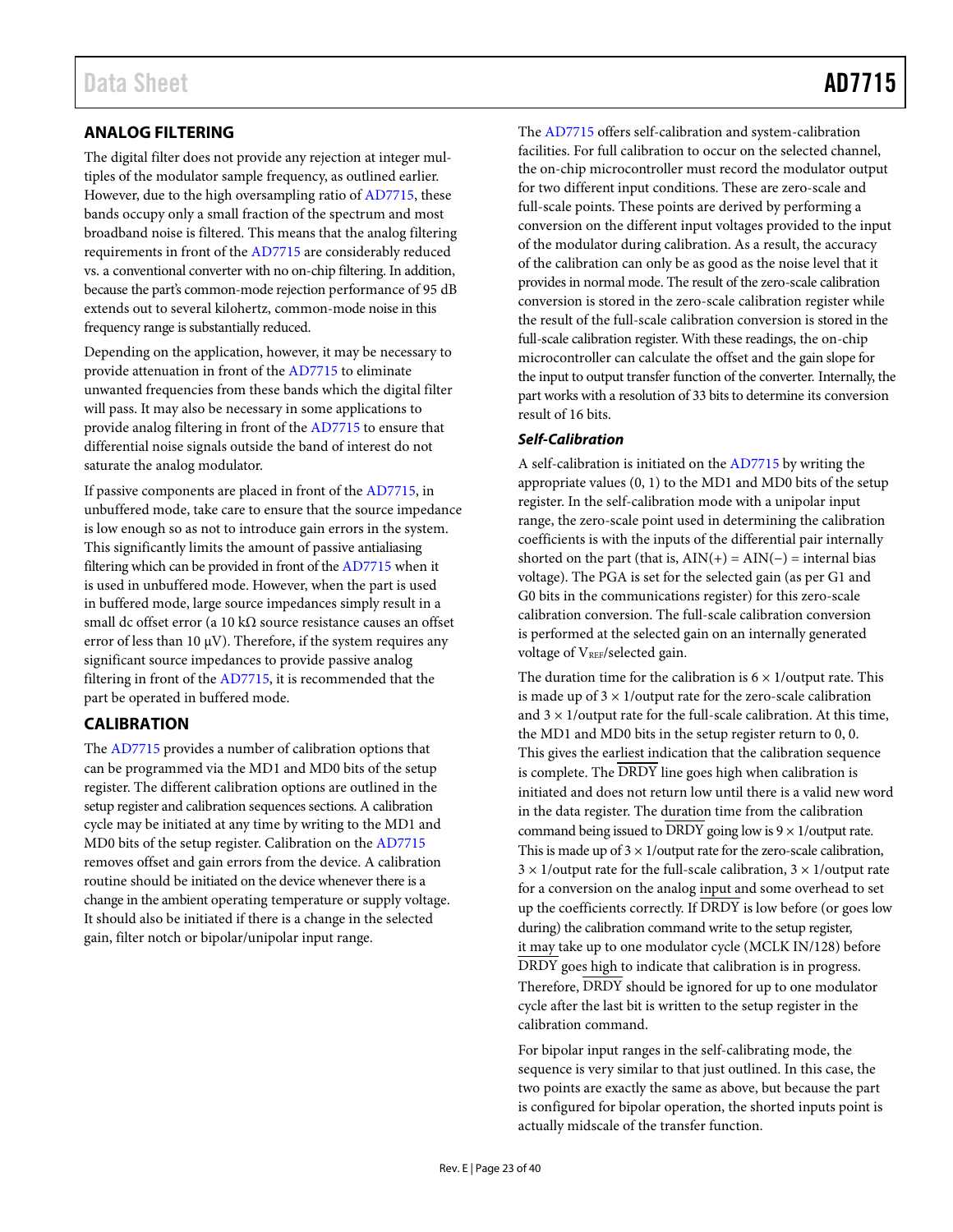# <span id="page-22-0"></span>**ANALOG FILTERING**

The digital filter does not provide any rejection at integer multiples of the modulator sample frequency, as outlined earlier. However, due to the high oversampling ratio o[f AD7715,](http://www.analog.com/AD7715?doc=AD7715.pdf) these bands occupy only a small fraction of the spectrum and most broadband noise is filtered. This means that the analog filtering requirements in front of th[e AD7715](http://www.analog.com/AD7715?doc=AD7715.pdf) are considerably reduced vs. a conventional converter with no on-chip filtering. In addition, because the part's common-mode rejection performance of 95 dB extends out to several kilohertz, common-mode noise in this frequency range is substantially reduced.

Depending on the application, however, it may be necessary to provide attenuation in front of th[e AD7715](http://www.analog.com/AD7715?doc=AD7715.pdf) to eliminate unwanted frequencies from these bands which the digital filter will pass. It may also be necessary in some applications to provide analog filtering in front of the [AD7715](http://www.analog.com/AD7715?doc=AD7715.pdf) to ensure that differential noise signals outside the band of interest do not saturate the analog modulator.

If passive components are placed in front of th[e AD7715,](http://www.analog.com/AD7715?doc=AD7715.pdf) in unbuffered mode, take care to ensure that the source impedance is low enough so as not to introduce gain errors in the system. This significantly limits the amount of passive antialiasing filtering which can be provided in front of the [AD7715](http://www.analog.com/AD7715?doc=AD7715.pdf) when it is used in unbuffered mode. However, when the part is used in buffered mode, large source impedances simply result in a small dc offset error (a 10 k $\Omega$  source resistance causes an offset error of less than 10  $\mu$ V). Therefore, if the system requires any significant source impedances to provide passive analog filtering in front of th[e AD7715,](http://www.analog.com/AD7715?doc=AD7715.pdf) it is recommended that the part be operated in buffered mode.

## <span id="page-22-1"></span>**CALIBRATION**

The [AD7715](http://www.analog.com/AD7715?doc=AD7715.pdf) provides a number of calibration options that can be programmed via the MD1 and MD0 bits of the setup register. The different calibration options are outlined in the setup register and calibration sequences sections. A calibration cycle may be initiated at any time by writing to the MD1 and MD0 bits of the setup register. Calibration on the [AD7715](http://www.analog.com/AD7715?doc=AD7715.pdf) removes offset and gain errors from the device. A calibration routine should be initiated on the device whenever there is a change in the ambient operating temperature or supply voltage. It should also be initiated if there is a change in the selected gain, filter notch or bipolar/unipolar input range.

The [AD7715](http://www.analog.com/AD7715?doc=AD7715.pdf) offers self-calibration and system-calibration facilities. For full calibration to occur on the selected channel, the on-chip microcontroller must record the modulator output for two different input conditions. These are zero-scale and full-scale points. These points are derived by performing a conversion on the different input voltages provided to the input of the modulator during calibration. As a result, the accuracy of the calibration can only be as good as the noise level that it provides in normal mode. The result of the zero-scale calibration conversion is stored in the zero-scale calibration register while the result of the full-scale calibration conversion is stored in the full-scale calibration register. With these readings, the on-chip microcontroller can calculate the offset and the gain slope for the input to output transfer function of the converter. Internally, the part works with a resolution of 33 bits to determine its conversion result of 16 bits.

#### *Self-Calibration*

A self-calibration is initiated on the [AD7715](http://www.analog.com/AD7715?doc=AD7715.pdf) by writing the appropriate values (0, 1) to the MD1 and MD0 bits of the setup register. In the self-calibration mode with a unipolar input range, the zero-scale point used in determining the calibration coefficients is with the inputs of the differential pair internally shorted on the part (that is,  $\text{AIN}(+) = \text{AIN}(-) = \text{internal bias}$ voltage). The PGA is set for the selected gain (as per G1 and G0 bits in the communications register) for this zero-scale calibration conversion. The full-scale calibration conversion is performed at the selected gain on an internally generated voltage of  $V_{REF}/selected$  gain.

The duration time for the calibration is  $6 \times 1$ /output rate. This is made up of  $3 \times 1$ /output rate for the zero-scale calibration and  $3 \times 1$ /output rate for the full-scale calibration. At this time, the MD1 and MD0 bits in the setup register return to 0, 0. This gives the earliest indication that the calibration sequence is complete. The DRDY line goes high when calibration is initiated and does not return low until there is a valid new word in the data register. The duration time from the calibration command being issued to  $\overline{DRDY}$  going low is  $9 \times 1$ /output rate. This is made up of  $3 \times 1$ /output rate for the zero-scale calibration,  $3 \times 1$ /output rate for the full-scale calibration,  $3 \times 1$ /output rate for a conversion on the analog input and some overhead to set up the coefficients correctly. If  $\overline{DRDY}$  is low before (or goes low during) the calibration command write to the setup register, it may take up to one modulator cycle (MCLK IN/128) before DRDY goes high to indicate that calibration is in progress. Therefore,  $\overline{DRDY}$  should be ignored for up to one modulator cycle after the last bit is written to the setup register in the calibration command.

For bipolar input ranges in the self-calibrating mode, the sequence is very similar to that just outlined. In this case, the two points are exactly the same as above, but because the part is configured for bipolar operation, the shorted inputs point is actually midscale of the transfer function.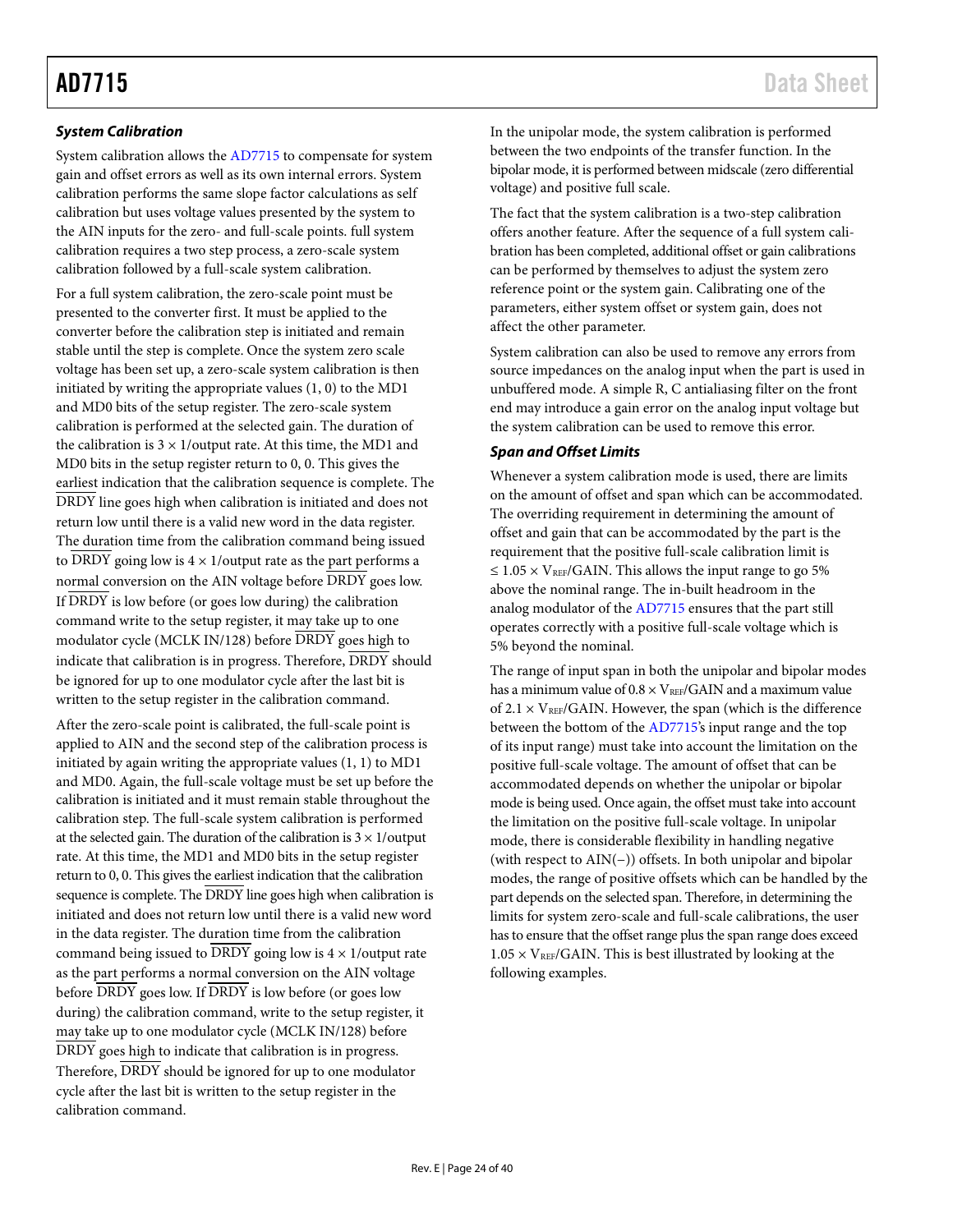## *System Calibration*

System calibration allows the [AD7715](http://www.analog.com/AD7715?doc=AD7715.pdf) to compensate for system gain and offset errors as well as its own internal errors. System calibration performs the same slope factor calculations as self calibration but uses voltage values presented by the system to the AIN inputs for the zero- and full-scale points. full system calibration requires a two step process, a zero-scale system calibration followed by a full-scale system calibration.

For a full system calibration, the zero-scale point must be presented to the converter first. It must be applied to the converter before the calibration step is initiated and remain stable until the step is complete. Once the system zero scale voltage has been set up, a zero-scale system calibration is then initiated by writing the appropriate values  $(1, 0)$  to the MD1 and MD0 bits of the setup register. The zero-scale system calibration is performed at the selected gain. The duration of the calibration is  $3 \times 1$ /output rate. At this time, the MD1 and MD0 bits in the setup register return to 0, 0. This gives the earliest indication that the calibration sequence is complete. The DRDY line goes high when calibration is initiated and does not return low until there is a valid new word in the data register. The duration time from the calibration command being issued to DRDY going low is  $4 \times 1$ /output rate as the part performs a normal conversion on the AIN voltage before DRDY goes low. If DRDY is low before (or goes low during) the calibration command write to the setup register, it may take up to one modulator cycle (MCLK IN/128) before DRDY goes high to indicate that calibration is in progress. Therefore, DRDY should be ignored for up to one modulator cycle after the last bit is written to the setup register in the calibration command.

After the zero-scale point is calibrated, the full-scale point is applied to AIN and the second step of the calibration process is initiated by again writing the appropriate values (1, 1) to MD1 and MD0. Again, the full-scale voltage must be set up before the calibration is initiated and it must remain stable throughout the calibration step. The full-scale system calibration is performed at the selected gain. The duration of the calibration is  $3 \times 1$ /output rate. At this time, the MD1 and MD0 bits in the setup register return to 0, 0. This gives the earliest indication that the calibration sequence is complete. The DRDY line goes high when calibration is initiated and does not return low until there is a valid new word in the data register. The duration time from the calibration command being issued to  $\overline{DRDY}$  going low is  $4 \times 1$ /output rate as the part performs a normal conversion on the AIN voltage before  $\overline{DRDY}$  goes low. If  $\overline{DRDY}$  is low before (or goes low during) the calibration command, write to the setup register, it may take up to one modulator cycle (MCLK IN/128) before DRDY goes high to indicate that calibration is in progress. Therefore, DRDY should be ignored for up to one modulator cycle after the last bit is written to the setup register in the calibration command.

In the unipolar mode, the system calibration is performed between the two endpoints of the transfer function. In the bipolar mode, it is performed between midscale (zero differential voltage) and positive full scale.

The fact that the system calibration is a two-step calibration offers another feature. After the sequence of a full system calibration has been completed, additional offset or gain calibrations can be performed by themselves to adjust the system zero reference point or the system gain. Calibrating one of the parameters, either system offset or system gain, does not affect the other parameter.

System calibration can also be used to remove any errors from source impedances on the analog input when the part is used in unbuffered mode. A simple R, C antialiasing filter on the front end may introduce a gain error on the analog input voltage but the system calibration can be used to remove this error.

### *Span and Offset Limits*

Whenever a system calibration mode is used, there are limits on the amount of offset and span which can be accommodated. The overriding requirement in determining the amount of offset and gain that can be accommodated by the part is the requirement that the positive full-scale calibration limit is  $\leq 1.05 \times V_{REF}/GAIN$ . This allows the input range to go 5% above the nominal range. The in-built headroom in the analog modulator of th[e AD7715](http://www.analog.com/AD7715?doc=AD7715.pdf) ensures that the part still operates correctly with a positive full-scale voltage which is 5% beyond the nominal.

The range of input span in both the unipolar and bipolar modes has a minimum value of  $0.8 \times V_{REF}/GAIN$  and a maximum value of  $2.1 \times V_{REF}/GAIN$ . However, the span (which is the difference between the bottom of the [AD7715's](http://www.analog.com/AD7715?doc=AD7715.pdf) input range and the top of its input range) must take into account the limitation on the positive full-scale voltage. The amount of offset that can be accommodated depends on whether the unipolar or bipolar mode is being used. Once again, the offset must take into account the limitation on the positive full-scale voltage. In unipolar mode, there is considerable flexibility in handling negative (with respect to AIN(−)) offsets. In both unipolar and bipolar modes, the range of positive offsets which can be handled by the part depends on the selected span. Therefore, in determining the limits for system zero-scale and full-scale calibrations, the user has to ensure that the offset range plus the span range does exceed  $1.05 \times V_{REF}/GAIN$ . This is best illustrated by looking at the following examples.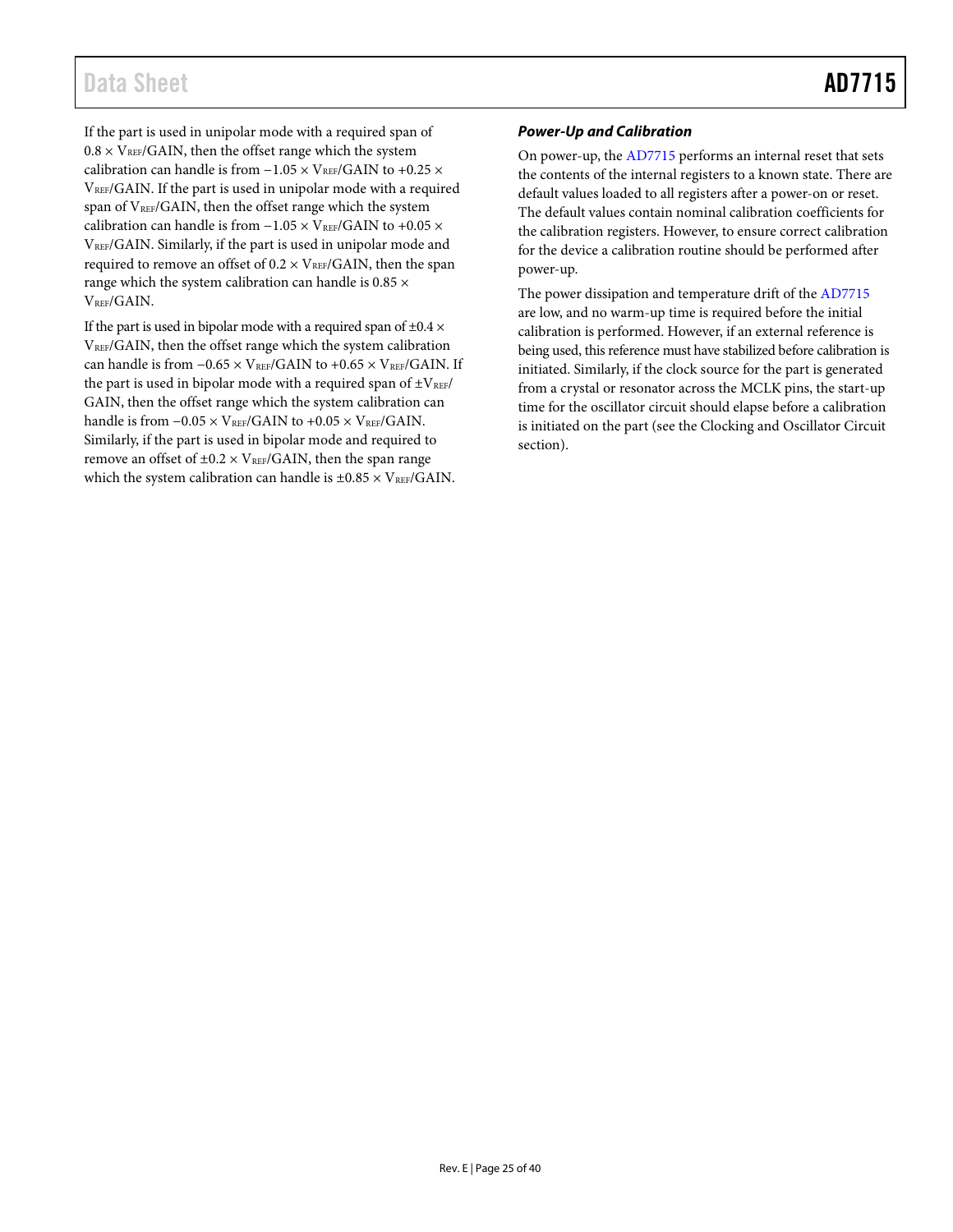# Data Sheet **AD7715**

If the part is used in unipolar mode with a required span of  $0.8 \times V_{REF}/GAIN$ , then the offset range which the system calibration can handle is from  $-1.05 \times \rm{V_{REF}/GAIN}$  to +0.25  $\times$ VREF/GAIN. If the part is used in unipolar mode with a required span of V<sub>REF</sub>/GAIN, then the offset range which the system calibration can handle is from  $-1.05 \times V_{REF}/GAIN$  to +0.05  $\times$ VREF/GAIN. Similarly, if the part is used in unipolar mode and required to remove an offset of  $0.2 \times V_{REF}/GAIN$ , then the span range which the system calibration can handle is 0.85  $\times$ V<sub>REF</sub>/GAIN.

If the part is used in bipolar mode with a required span of  $\pm 0.4 \times$ VREF/GAIN, then the offset range which the system calibration can handle is from  $-0.65 \times$  VREF/GAIN to +0.65  $\times$  VREF/GAIN. If the part is used in bipolar mode with a required span of  $\pm V_{REF}/$ GAIN, then the offset range which the system calibration can handle is from  $-0.05 \times V_{REF}/GAIN$  to  $+0.05 \times V_{REF}/GAIN$ . Similarly, if the part is used in bipolar mode and required to remove an offset of  $\pm 0.2 \times V_{REF}/GAIN$ , then the span range which the system calibration can handle is  $\pm 0.85 \times \text{V}_{\text{REF}}/\text{GAIN}$ .

### *Power-Up and Calibration*

On power-up, th[e AD7715](http://www.analog.com/AD7715?doc=AD7715.pdf) performs an internal reset that sets the contents of the internal registers to a known state. There are default values loaded to all registers after a power-on or reset. The default values contain nominal calibration coefficients for the calibration registers. However, to ensure correct calibration for the device a calibration routine should be performed after power-up.

The power dissipation and temperature drift of th[e AD7715](http://www.analog.com/AD7715?doc=AD7715.pdf) are low, and no warm-up time is required before the initial calibration is performed. However, if an external reference is being used, this reference must have stabilized before calibration is initiated. Similarly, if the clock source for the part is generated from a crystal or resonator across the MCLK pins, the start-up time for the oscillator circuit should elapse before a calibration is initiated on the part (see the [Clocking and Oscillator Circuit](#page-25-1) section).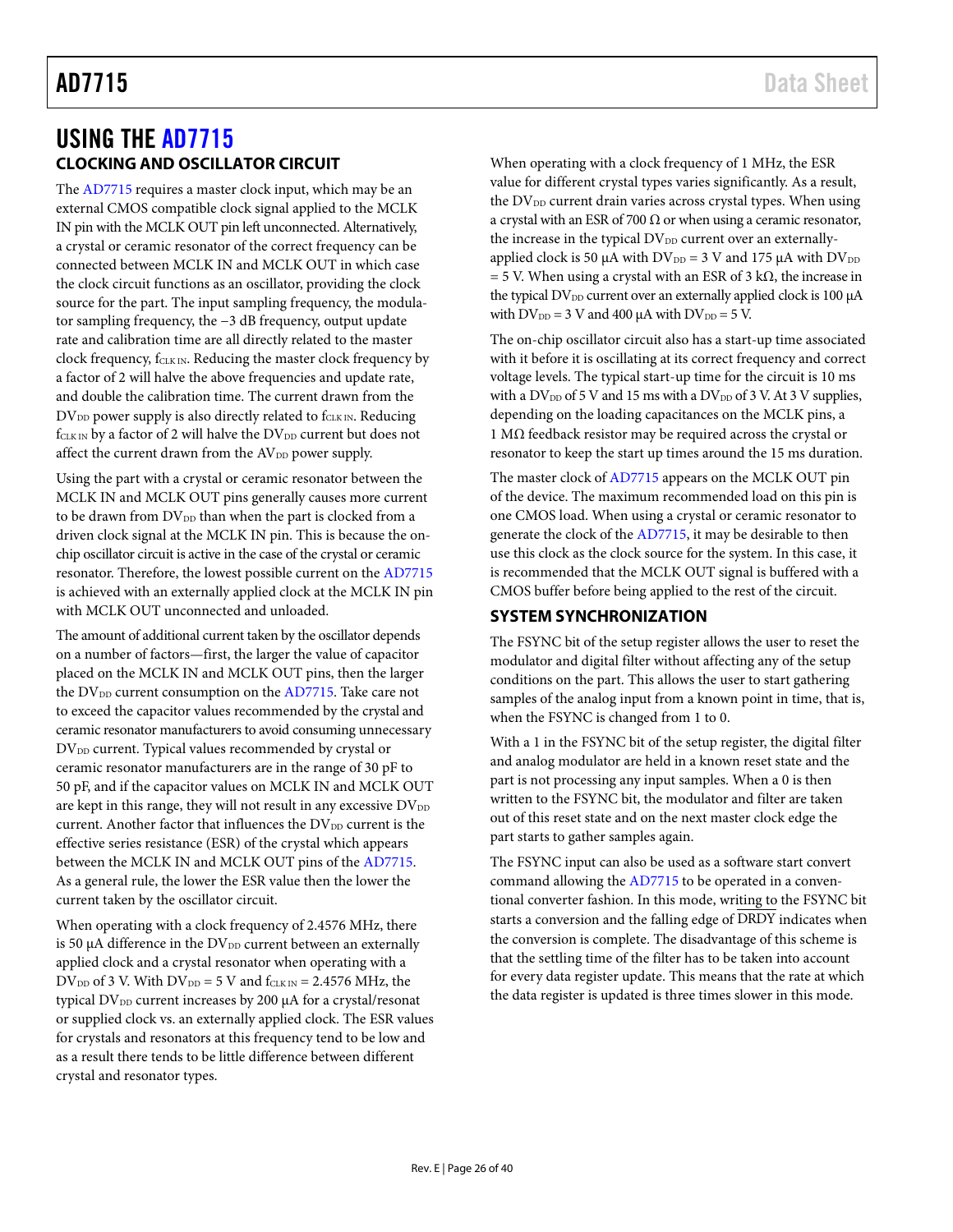# <span id="page-25-1"></span><span id="page-25-0"></span>USING THE [AD7715](http://www.analog.com/AD7715?doc=AD7715.pdf) **CLOCKING AND OSCILLATOR CIRCUIT**

The [AD7715](http://www.analog.com/AD7715?doc=AD7715.pdf) requires a master clock input, which may be an external CMOS compatible clock signal applied to the MCLK IN pin with the MCLK OUT pin left unconnected. Alternatively, a crystal or ceramic resonator of the correct frequency can be connected between MCLK IN and MCLK OUT in which case the clock circuit functions as an oscillator, providing the clock source for the part. The input sampling frequency, the modulator sampling frequency, the −3 dB frequency, output update rate and calibration time are all directly related to the master clock frequency, fCLK IN. Reducing the master clock frequency by a factor of 2 will halve the above frequencies and update rate, and double the calibration time. The current drawn from the  $DV_{DD}$  power supply is also directly related to  $f_{CLK IN}$ . Reducing  $f_{\text{CLK IN}}$  by a factor of 2 will halve the  $\text{DV}_{\text{DD}}$  current but does not affect the current drawn from the AV<sub>DD</sub> power supply.

Using the part with a crystal or ceramic resonator between the MCLK IN and MCLK OUT pins generally causes more current to be drawn from  $DV_{DD}$  than when the part is clocked from a driven clock signal at the MCLK IN pin. This is because the onchip oscillator circuit is active in the case of the crystal or ceramic resonator. Therefore, the lowest possible current on th[e AD7715](http://www.analog.com/AD7715?doc=AD7715.pdf) is achieved with an externally applied clock at the MCLK IN pin with MCLK OUT unconnected and unloaded.

The amount of additional current taken by the oscillator depends on a number of factors—first, the larger the value of capacitor placed on the MCLK IN and MCLK OUT pins, then the larger the  $DV_{DD}$  current consumption on the  $AD7715$ . Take care not to exceed the capacitor values recommended by the crystal and ceramic resonator manufacturers to avoid consuming unnecessary DV<sub>DD</sub> current. Typical values recommended by crystal or ceramic resonator manufacturers are in the range of 30 pF to 50 pF, and if the capacitor values on MCLK IN and MCLK OUT are kept in this range, they will not result in any excessive  $DV_{DD}$ current. Another factor that influences the  $DV_{DD}$  current is the effective series resistance (ESR) of the crystal which appears between the MCLK IN and MCLK OUT pins of th[e AD7715.](http://www.analog.com/AD7715?doc=AD7715.pdf)  As a general rule, the lower the ESR value then the lower the current taken by the oscillator circuit.

When operating with a clock frequency of 2.4576 MHz, there is 50  $\mu$ A difference in the DV<sub>DD</sub> current between an externally applied clock and a crystal resonator when operating with a DV<sub>DD</sub> of 3 V. With DV<sub>DD</sub> = 5 V and  $f_{CLK IN}$  = 2.4576 MHz, the typical DV<sub>DD</sub> current increases by 200 µA for a crystal/resonat or supplied clock vs. an externally applied clock. The ESR values for crystals and resonators at this frequency tend to be low and as a result there tends to be little difference between different crystal and resonator types.

When operating with a clock frequency of 1 MHz, the ESR value for different crystal types varies significantly. As a result, the DV<sub>DD</sub> current drain varies across crystal types. When using a crystal with an ESR of 700  $\Omega$  or when using a ceramic resonator, the increase in the typical  $DV_{DD}$  current over an externallyapplied clock is 50  $\mu$ A with DV<sub>DD</sub> = 3 V and 175  $\mu$ A with DV<sub>DD</sub> = 5 V. When using a crystal with an ESR of 3 k $\Omega$ , the increase in the typical  $DV_{DD}$  current over an externally applied clock is 100  $\mu$ A with  $DV_{DD} = 3 V$  and 400  $\mu A$  with  $DV_{DD} = 5 V$ .

The on-chip oscillator circuit also has a start-up time associated with it before it is oscillating at its correct frequency and correct voltage levels. The typical start-up time for the circuit is 10 ms with a  $DV_{DD}$  of 5 V and 15 ms with a  $DV_{DD}$  of 3 V. At 3 V supplies, depending on the loading capacitances on the MCLK pins, a 1 MΩ feedback resistor may be required across the crystal or resonator to keep the start up times around the 15 ms duration.

The master clock of [AD7715](http://www.analog.com/AD7715?doc=AD7715.pdf) appears on the MCLK OUT pin of the device. The maximum recommended load on this pin is one CMOS load. When using a crystal or ceramic resonator to generate the clock of th[e AD7715,](http://www.analog.com/AD7715?doc=AD7715.pdf) it may be desirable to then use this clock as the clock source for the system. In this case, it is recommended that the MCLK OUT signal is buffered with a CMOS buffer before being applied to the rest of the circuit.

# <span id="page-25-2"></span>**SYSTEM SYNCHRONIZATION**

The FSYNC bit of the setup register allows the user to reset the modulator and digital filter without affecting any of the setup conditions on the part. This allows the user to start gathering samples of the analog input from a known point in time, that is, when the FSYNC is changed from 1 to 0.

With a 1 in the FSYNC bit of the setup register, the digital filter and analog modulator are held in a known reset state and the part is not processing any input samples. When a 0 is then written to the FSYNC bit, the modulator and filter are taken out of this reset state and on the next master clock edge the part starts to gather samples again.

The FSYNC input can also be used as a software start convert command allowing th[e AD7715](http://www.analog.com/AD7715?doc=AD7715.pdf) to be operated in a conventional converter fashion. In this mode, writing to the FSYNC bit starts a conversion and the falling edge of DRDY indicates when the conversion is complete. The disadvantage of this scheme is that the settling time of the filter has to be taken into account for every data register update. This means that the rate at which the data register is updated is three times slower in this mode.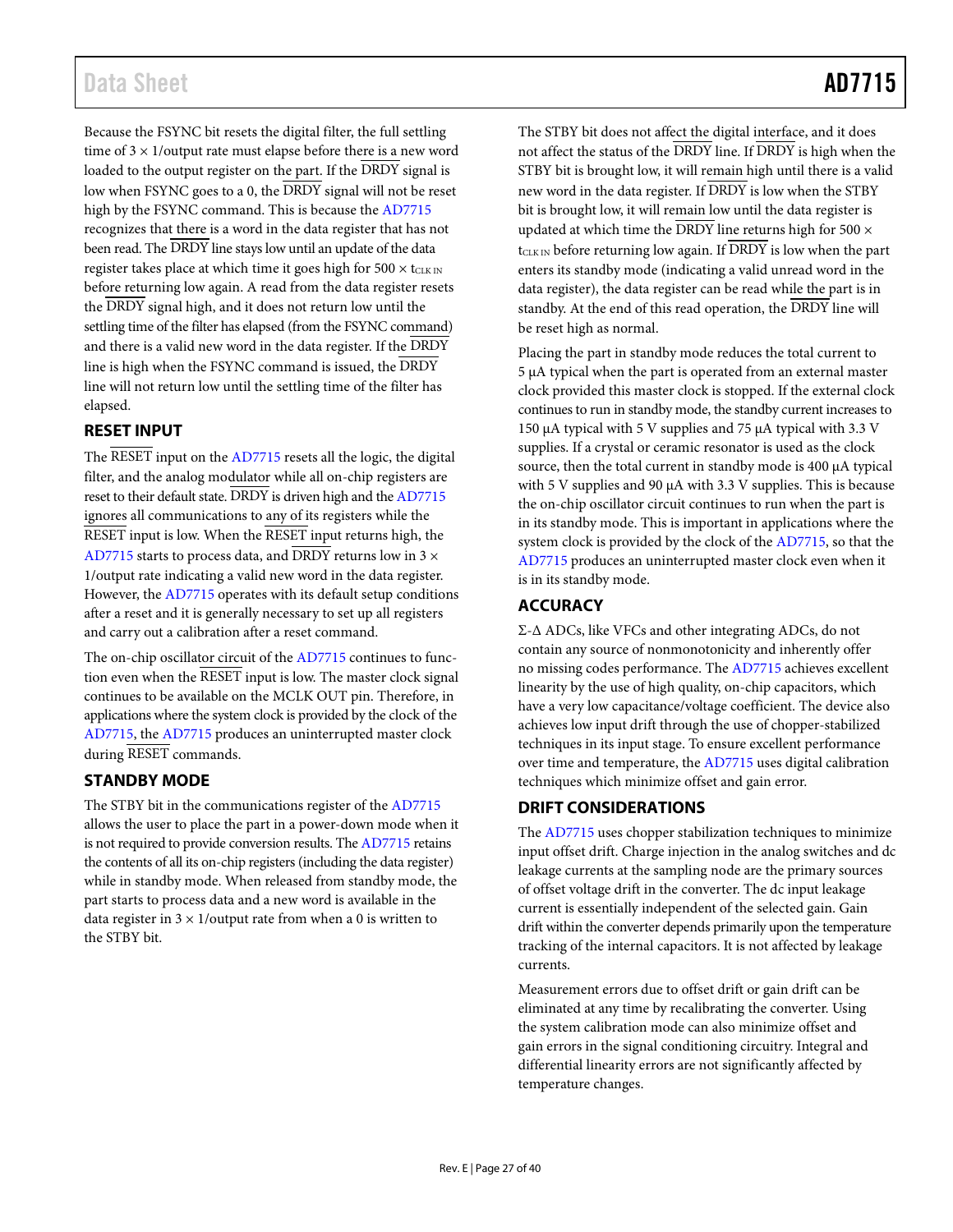# Data Sheet **AD7715**

Because the FSYNC bit resets the digital filter, the full settling time of  $3 \times 1$ /output rate must elapse before there is a new word loaded to the output register on the part. If the DRDY signal is low when FSYNC goes to a 0, the DRDY signal will not be reset high by the FSYNC command. This is because th[e AD7715](http://www.analog.com/AD7715?doc=AD7715.pdf) recognizes that there is a word in the data register that has not been read. The DRDY line stays low until an update of the data register takes place at which time it goes high for  $500 \times t_{CLK IN}$ before returning low again. A read from the data register resets the DRDY signal high, and it does not return low until the settling time of the filter has elapsed (from the FSYNC command) and there is a valid new word in the data register. If the DRDY line is high when the FSYNC command is issued, the DRDY line will not return low until the settling time of the filter has elapsed.

# <span id="page-26-0"></span>**RESET INPUT**

The RESET input on the [AD7715](http://www.analog.com/AD7715?doc=AD7715.pdf) resets all the logic, the digital filter, and the analog modulator while all on-chip registers are reset to their default state. DRDY is driven high and th[e AD7715](http://www.analog.com/AD7715?doc=AD7715.pdf) ignores all communications to any of its registers while the RESET input is low. When the RESET input returns high, the [AD7715](http://www.analog.com/AD7715?doc=AD7715.pdf) starts to process data, and  $\overline{DRDY}$  returns low in 3  $\times$ 1/output rate indicating a valid new word in the data register. However, the [AD7715](http://www.analog.com/AD7715?doc=AD7715.pdf) operates with its default setup conditions after a reset and it is generally necessary to set up all registers and carry out a calibration after a reset command.

The on-chip oscillator circuit of th[e AD7715](http://www.analog.com/AD7715?doc=AD7715.pdf) continues to function even when the RESET input is low. The master clock signal continues to be available on the MCLK OUT pin. Therefore, in applications where the system clock is provided by the clock of the [AD7715,](http://www.analog.com/AD7715?doc=AD7715.pdf) th[e AD7715](http://www.analog.com/AD7715?doc=AD7715.pdf) produces an uninterrupted master clock during RESET commands.

# <span id="page-26-1"></span>**STANDBY MODE**

The STBY bit in the communications register of th[e AD7715](http://www.analog.com/AD7715?doc=AD7715.pdf) allows the user to place the part in a power-down mode when it is not required to provide conversion results. Th[e AD7715](http://www.analog.com/AD7715?doc=AD7715.pdf) retains the contents of all its on-chip registers (including the data register) while in standby mode. When released from standby mode, the part starts to process data and a new word is available in the data register in  $3 \times 1$ /output rate from when a 0 is written to the STBY bit.

The STBY bit does not affect the digital interface, and it does not affect the status of the DRDY line. If DRDY is high when the STBY bit is brought low, it will remain high until there is a valid new word in the data register. If DRDY is low when the STBY bit is brought low, it will remain low until the data register is updated at which time the  $\overline{\rm DRDY}$  line returns high for 500  $\times$  $t<sub>CLK IN</sub>$  before returning low again. If  $\overline{DRDY}$  is low when the part enters its standby mode (indicating a valid unread word in the data register), the data register can be read while the part is in standby. At the end of this read operation, the DRDY line will be reset high as normal.

Placing the part in standby mode reduces the total current to 5 µA typical when the part is operated from an external master clock provided this master clock is stopped. If the external clock continues to run in standby mode, the standby current increases to 150 µA typical with 5 V supplies and 75 µA typical with 3.3 V supplies. If a crystal or ceramic resonator is used as the clock source, then the total current in standby mode is 400 µA typical with 5 V supplies and 90 µA with 3.3 V supplies. This is because the on-chip oscillator circuit continues to run when the part is in its standby mode. This is important in applications where the system clock is provided by the clock of the [AD7715,](http://www.analog.com/AD7715?doc=AD7715.pdf) so that the [AD7715](http://www.analog.com/AD7715?doc=AD7715.pdf) produces an uninterrupted master clock even when it is in its standby mode.

# <span id="page-26-2"></span>**ACCURACY**

Σ-Δ ADCs, like VFCs and other integrating ADCs, do not contain any source of nonmonotonicity and inherently offer no missing codes performance. Th[e AD7715](http://www.analog.com/AD7715?doc=AD7715.pdf) achieves excellent linearity by the use of high quality, on-chip capacitors, which have a very low capacitance/voltage coefficient. The device also achieves low input drift through the use of chopper-stabilized techniques in its input stage. To ensure excellent performance over time and temperature, th[e AD7715](http://www.analog.com/AD7715?doc=AD7715.pdf) uses digital calibration techniques which minimize offset and gain error.

## <span id="page-26-3"></span>**DRIFT CONSIDERATIONS**

The [AD7715](http://www.analog.com/AD7715?doc=AD7715.pdf) uses chopper stabilization techniques to minimize input offset drift. Charge injection in the analog switches and dc leakage currents at the sampling node are the primary sources of offset voltage drift in the converter. The dc input leakage current is essentially independent of the selected gain. Gain drift within the converter depends primarily upon the temperature tracking of the internal capacitors. It is not affected by leakage currents.

Measurement errors due to offset drift or gain drift can be eliminated at any time by recalibrating the converter. Using the system calibration mode can also minimize offset and gain errors in the signal conditioning circuitry. Integral and differential linearity errors are not significantly affected by temperature changes.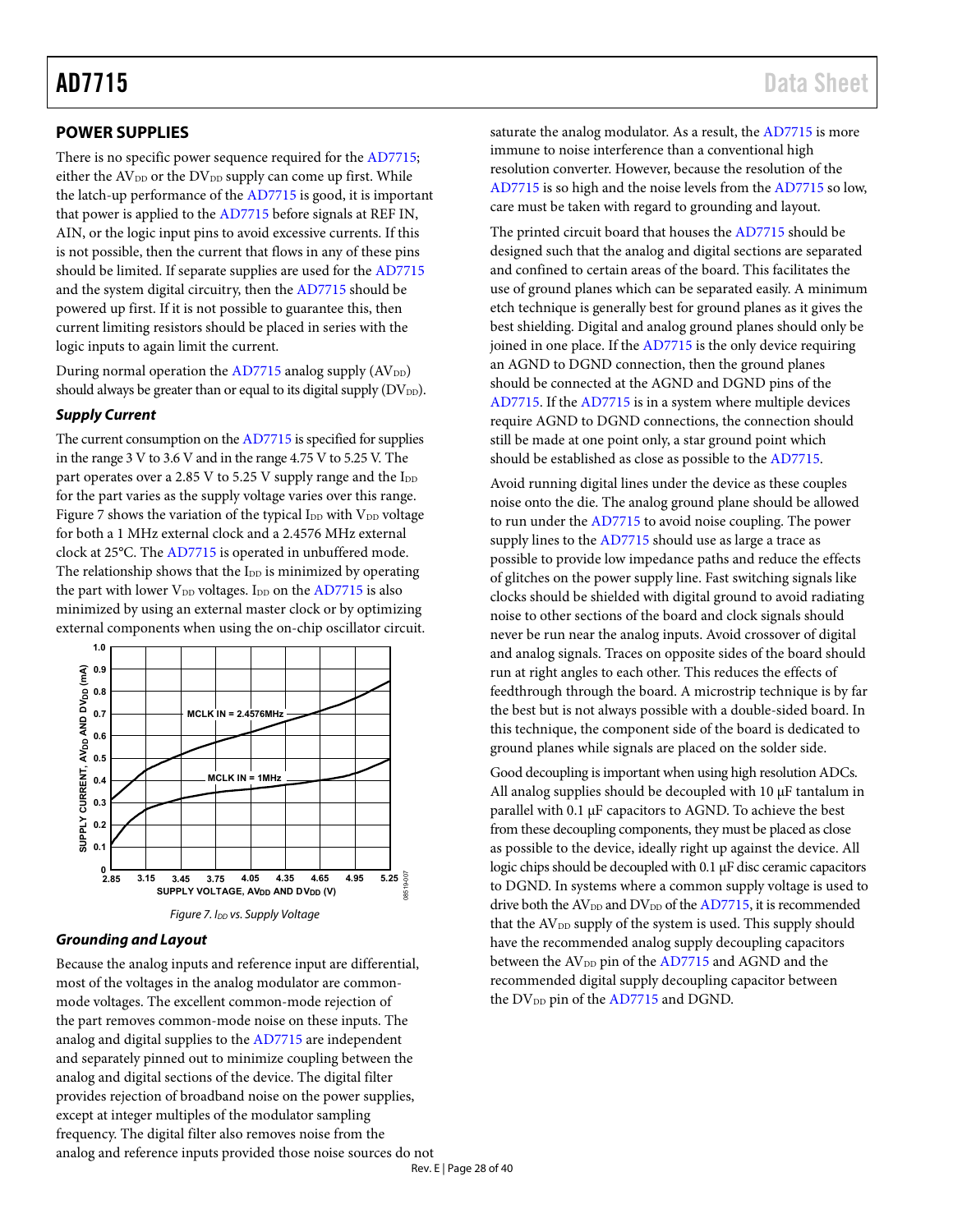### <span id="page-27-0"></span>**POWER SUPPLIES**

There is no specific power sequence required for the [AD7715;](http://www.analog.com/AD7715?doc=AD7715.pdf)  either the  $AV_{DD}$  or the  $DV_{DD}$  supply can come up first. While the latch-up performance of th[e AD7715](http://www.analog.com/AD7715?doc=AD7715.pdf) is good, it is important that power is applied to the [AD7715](http://www.analog.com/AD7715?doc=AD7715.pdf) before signals at REF IN, AIN, or the logic input pins to avoid excessive currents. If this is not possible, then the current that flows in any of these pins should be limited. If separate supplies are used for the [AD7715](http://www.analog.com/AD7715?doc=AD7715.pdf) and the system digital circuitry, then th[e AD7715](http://www.analog.com/AD7715?doc=AD7715.pdf) should be powered up first. If it is not possible to guarantee this, then current limiting resistors should be placed in series with the logic inputs to again limit the current.

During normal operation the  $AD7715$  analog supply  $(AV_{DD})$ should always be greater than or equal to its digital supply (DV<sub>DD</sub>).

#### *Supply Current*

The current consumption on the [AD7715](http://www.analog.com/AD7715?doc=AD7715.pdf) is specified for supplies in the range 3 V to 3.6 V and in the range 4.75 V to 5.25 V. The part operates over a 2.85 V to 5.25 V supply range and the  $I_{DD}$ for the part varies as the supply voltage varies over this range. [Figure 7](#page-27-1) shows the variation of the typical  $I_{DD}$  with  $V_{DD}$  voltage for both a 1 MHz external clock and a 2.4576 MHz external clock at 25°C. Th[e AD7715](http://www.analog.com/AD7715?doc=AD7715.pdf) is operated in unbuffered mode. The relationship shows that the  $I_{DD}$  is minimized by operating the part with lower  $V_{DD}$  voltages. I<sub>DD</sub> on th[e AD7715](http://www.analog.com/AD7715?doc=AD7715.pdf) is also minimized by using an external master clock or by optimizing external components when using the on-chip oscillator circuit.



#### <span id="page-27-1"></span>*Grounding and Layout*

Because the analog inputs and reference input are differential, most of the voltages in the analog modulator are commonmode voltages. The excellent common-mode rejection of the part removes common-mode noise on these inputs. The analog and digital supplies to th[e AD7715](http://www.analog.com/AD7715?doc=AD7715.pdf) are independent and separately pinned out to minimize coupling between the analog and digital sections of the device. The digital filter provides rejection of broadband noise on the power supplies, except at integer multiples of the modulator sampling frequency. The digital filter also removes noise from the analog and reference inputs provided those noise sources do not saturate the analog modulator. As a result, th[e AD7715](http://www.analog.com/AD7715?doc=AD7715.pdf) is more immune to noise interference than a conventional high resolution converter. However, because the resolution of the [AD7715](http://www.analog.com/AD7715?doc=AD7715.pdf) is so high and the noise levels from the [AD7715](http://www.analog.com/AD7715?doc=AD7715.pdf) so low, care must be taken with regard to grounding and layout.

The printed circuit board that houses th[e AD7715](http://www.analog.com/AD7715?doc=AD7715.pdf) should be designed such that the analog and digital sections are separated and confined to certain areas of the board. This facilitates the use of ground planes which can be separated easily. A minimum etch technique is generally best for ground planes as it gives the best shielding. Digital and analog ground planes should only be joined in one place. If the [AD7715](http://www.analog.com/AD7715?doc=AD7715.pdf) is the only device requiring an AGND to DGND connection, then the ground planes should be connected at the AGND and DGND pins of the [AD7715.](http://www.analog.com/AD7715?doc=AD7715.pdf) If th[e AD7715](http://www.analog.com/AD7715?doc=AD7715.pdf) is in a system where multiple devices require AGND to DGND connections, the connection should still be made at one point only, a star ground point which should be established as close as possible to the [AD7715.](http://www.analog.com/AD7715?doc=AD7715.pdf)

Avoid running digital lines under the device as these couples noise onto the die. The analog ground plane should be allowed to run under the [AD7715](http://www.analog.com/AD7715?doc=AD7715.pdf) to avoid noise coupling. The power supply lines to the [AD7715](http://www.analog.com/AD7715?doc=AD7715.pdf) should use as large a trace as possible to provide low impedance paths and reduce the effects of glitches on the power supply line. Fast switching signals like clocks should be shielded with digital ground to avoid radiating noise to other sections of the board and clock signals should never be run near the analog inputs. Avoid crossover of digital and analog signals. Traces on opposite sides of the board should run at right angles to each other. This reduces the effects of feedthrough through the board. A microstrip technique is by far the best but is not always possible with a double-sided board. In this technique, the component side of the board is dedicated to ground planes while signals are placed on the solder side.

Good decoupling is important when using high resolution ADCs. All analog supplies should be decoupled with 10 µF tantalum in parallel with 0.1 µF capacitors to AGND. To achieve the best from these decoupling components, they must be placed as close as possible to the device, ideally right up against the device. All logic chips should be decoupled with 0.1 µF disc ceramic capacitors to DGND. In systems where a common supply voltage is used to drive both the  $AV_{DD}$  and  $DV_{DD}$  of the  $AD7715$ , it is recommended that the AV<sub>DD</sub> supply of the system is used. This supply should have the recommended analog supply decoupling capacitors between the AV<sub>DD</sub> pin of the [AD7715](http://www.analog.com/AD7715?doc=AD7715.pdf) and AGND and the recommended digital supply decoupling capacitor between the DV<sub>DD</sub> pin of th[e AD7715](http://www.analog.com/AD7715?doc=AD7715.pdf) and DGND.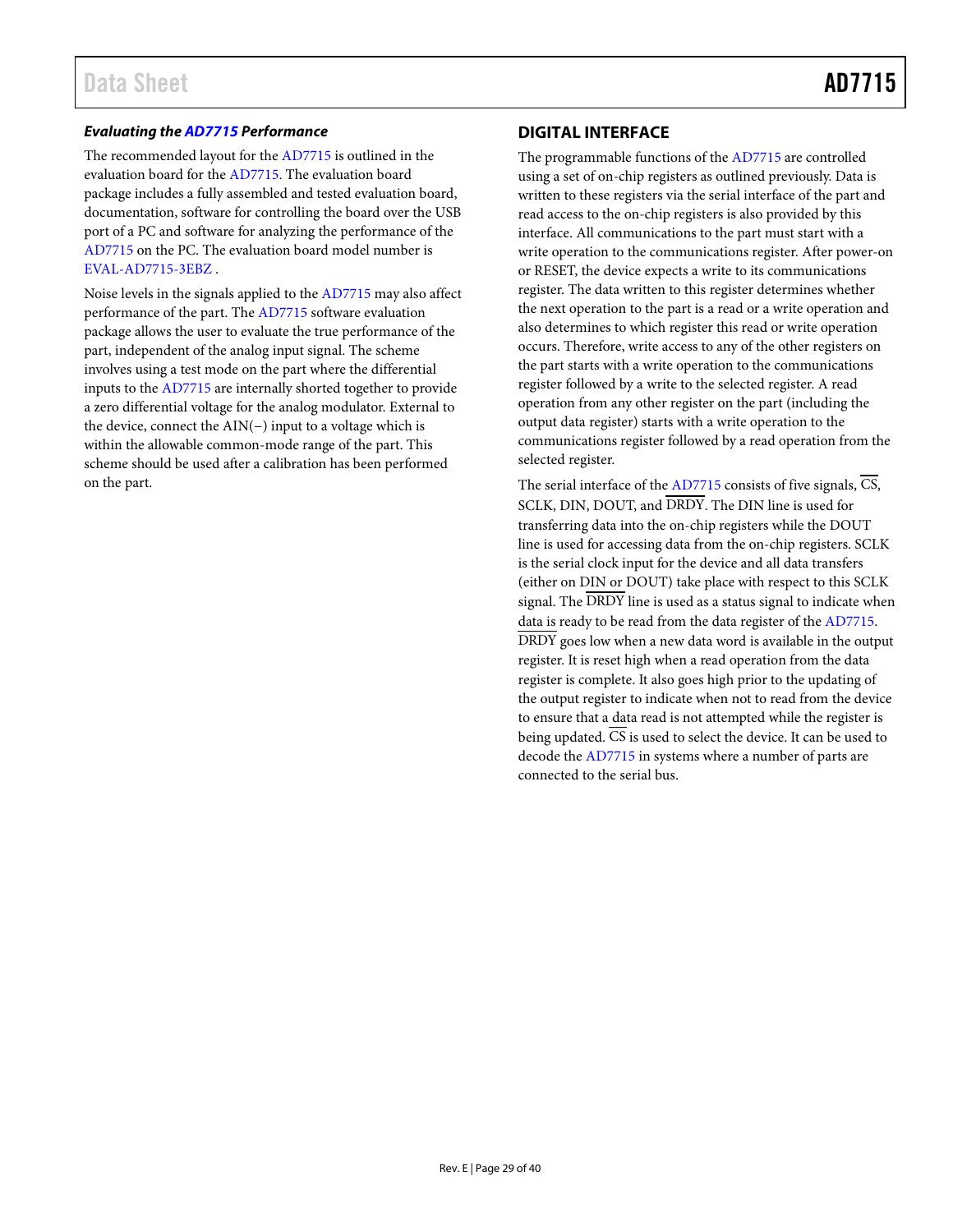#### *Evaluating the [AD7715](http://www.analog.com/AD7715?doc=AD7715.pdf) Performance*

The recommended layout for the [AD7715](http://www.analog.com/AD7715?doc=AD7715.pdf) is outlined in the evaluation board for th[e AD7715.](http://www.analog.com/AD7715?doc=AD7715.pdf) The evaluation board package includes a fully assembled and tested evaluation board, documentation, software for controlling the board over the USB port of a PC and software for analyzing the performance of the [AD7715](http://www.analog.com/AD7715?doc=AD7715.pdf) on the PC. The evaluation board model number is [EVAL-AD7715-3EBZ](http://www.analog.com/AD7715?doc=AD7715.pdf) .

Noise levels in the signals applied to th[e AD7715](http://www.analog.com/AD7715?doc=AD7715.pdf) may also affect performance of the part. The [AD7715](http://www.analog.com/AD7715?doc=AD7715.pdf) software evaluation package allows the user to evaluate the true performance of the part, independent of the analog input signal. The scheme involves using a test mode on the part where the differential inputs to the [AD7715](http://www.analog.com/AD7715?doc=AD7715.pdf) are internally shorted together to provide a zero differential voltage for the analog modulator. External to the device, connect the AIN(−) input to a voltage which is within the allowable common-mode range of the part. This scheme should be used after a calibration has been performed on the part.

### <span id="page-28-0"></span>**DIGITAL INTERFACE**

The programmable functions of th[e AD7715](http://www.analog.com/AD7715?doc=AD7715.pdf) are controlled using a set of on-chip registers as outlined previously. Data is written to these registers via the serial interface of the part and read access to the on-chip registers is also provided by this interface. All communications to the part must start with a write operation to the communications register. After power-on or RESET, the device expects a write to its communications register. The data written to this register determines whether the next operation to the part is a read or a write operation and also determines to which register this read or write operation occurs. Therefore, write access to any of the other registers on the part starts with a write operation to the communications register followed by a write to the selected register. A read operation from any other register on the part (including the output data register) starts with a write operation to the communications register followed by a read operation from the selected register.

The serial interface of the  $AD7715$  consists of five signals,  $\overline{CS}$ , SCLK, DIN, DOUT, and DRDY. The DIN line is used for transferring data into the on-chip registers while the DOUT line is used for accessing data from the on-chip registers. SCLK is the serial clock input for the device and all data transfers (either on DIN or DOUT) take place with respect to this SCLK signal. The DRDY line is used as a status signal to indicate when data is ready to be read from the data register of the [AD7715.](http://www.analog.com/AD7715?doc=AD7715.pdf) DRDY goes low when a new data word is available in the output register. It is reset high when a read operation from the data register is complete. It also goes high prior to the updating of the output register to indicate when not to read from the device to ensure that a data read is not attempted while the register is being updated.  $\overline{CS}$  is used to select the device. It can be used to decode th[e AD7715](http://www.analog.com/AD7715?doc=AD7715.pdf) in systems where a number of parts are connected to the serial bus.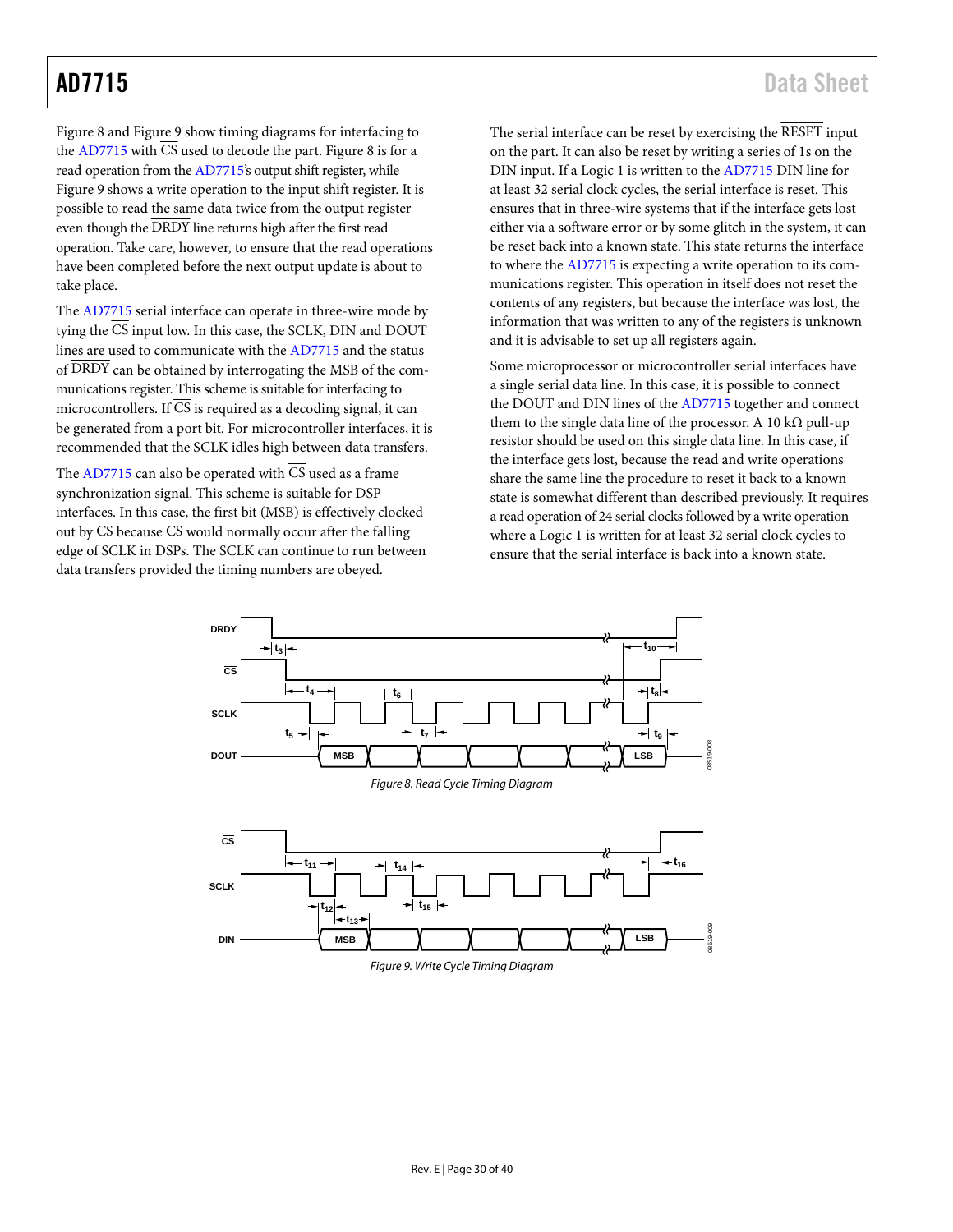[Figure 8](#page-29-0) an[d Figure 9 s](#page-29-1)how timing diagrams for interfacing to the [AD7715](http://www.analog.com/AD7715?doc=AD7715.pdf) with  $\overline{CS}$  used to decode the part[. Figure 8 i](#page-29-0)s for a read operation from th[e AD7715's](http://www.analog.com/AD7715?doc=AD7715.pdf) output shift register, while [Figure 9 s](#page-29-1)hows a write operation to the input shift register. It is possible to read the same data twice from the output register even though the DRDY line returns high after the first read operation. Take care, however, to ensure that the read operations have been completed before the next output update is about to take place.

The [AD7715](http://www.analog.com/AD7715?doc=AD7715.pdf) serial interface can operate in three-wire mode by tying the  $\overline{CS}$  input low. In this case, the SCLK, DIN and DOUT lines are used to communicate with th[e AD7715](http://www.analog.com/AD7715?doc=AD7715.pdf) and the status of DRDY can be obtained by interrogating the MSB of the communications register. This scheme is suitable for interfacing to microcontrollers. If CS is required as a decoding signal, it can be generated from a port bit. For microcontroller interfaces, it is recommended that the SCLK idles high between data transfers.

The [AD7715](http://www.analog.com/AD7715?doc=AD7715.pdf) can also be operated with  $\overline{CS}$  used as a frame synchronization signal. This scheme is suitable for DSP interfaces. In this case, the first bit (MSB) is effectively clocked out by  $\overline{CS}$  because  $\overline{CS}$  would normally occur after the falling edge of SCLK in DSPs. The SCLK can continue to run between data transfers provided the timing numbers are obeyed.

The serial interface can be reset by exercising the RESET input on the part. It can also be reset by writing a series of 1s on the DIN input. If a Logic 1 is written to the [AD7715](http://www.analog.com/AD7715?doc=AD7715.pdf) DIN line for at least 32 serial clock cycles, the serial interface is reset. This ensures that in three-wire systems that if the interface gets lost either via a software error or by some glitch in the system, it can be reset back into a known state. This state returns the interface to where th[e AD7715](http://www.analog.com/AD7715?doc=AD7715.pdf) is expecting a write operation to its communications register. This operation in itself does not reset the contents of any registers, but because the interface was lost, the information that was written to any of the registers is unknown and it is advisable to set up all registers again.

Some microprocessor or microcontroller serial interfaces have a single serial data line. In this case, it is possible to connect the DOUT and DIN lines of the [AD7715 t](http://www.analog.com/AD7715?doc=AD7715.pdf)ogether and connect them to the single data line of the processor. A 10 k $\Omega$  pull-up resistor should be used on this single data line. In this case, if the interface gets lost, because the read and write operations share the same line the procedure to reset it back to a known state is somewhat different than described previously. It requires a read operation of 24 serial clocks followed by a write operation where a Logic 1 is written for at least 32 serial clock cycles to ensure that the serial interface is back into a known state.

<span id="page-29-1"></span><span id="page-29-0"></span>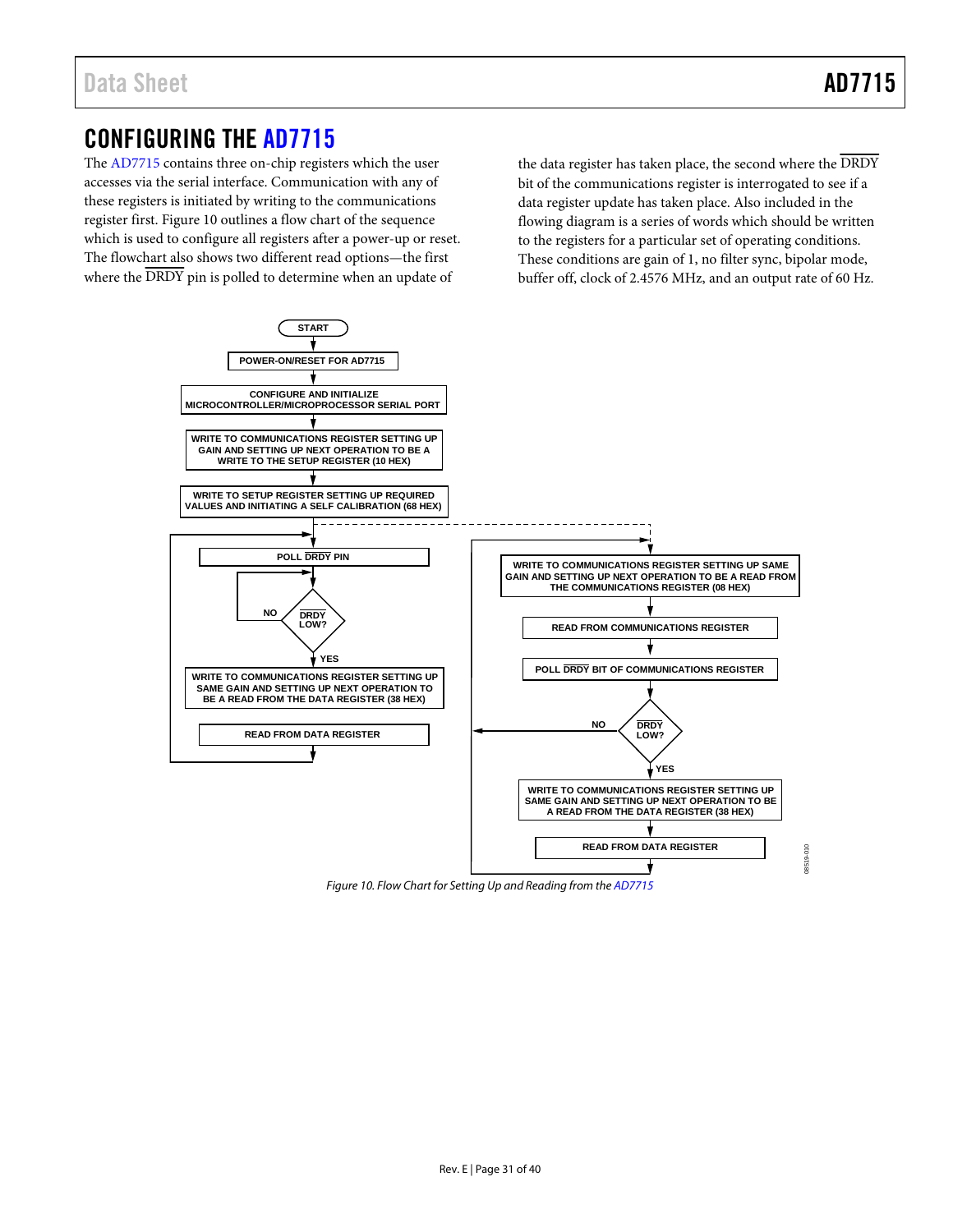# <span id="page-30-0"></span>CONFIGURING THE [AD7715](http://www.analog.com/AD7715?doc=AD7715.pdf)

The [AD7715 c](http://www.analog.com/AD7715?doc=AD7715.pdf)ontains three on-chip registers which the user accesses via the serial interface. Communication with any of these registers is initiated by writing to the communications register first. [Figure 10 o](#page-30-1)utlines a flow chart of the sequence which is used to configure all registers after a power-up or reset. The flowchart also shows two different read options—the first where the  $\overline{\text{DRDY}}$  pin is polled to determine when an update of

the data register has taken place, the second where the DRDY bit of the communications register is interrogated to see if a data register update has taken place. Also included in the flowing diagram is a series of words which should be written to the registers for a particular set of operating conditions. These conditions are gain of 1, no filter sync, bipolar mode, buffer off, clock of 2.4576 MHz, and an output rate of 60 Hz.



<span id="page-30-1"></span>Figure 10. Flow Chart for Setting Up and Reading from th[e AD7715](http://www.analog.com/AD7715?doc=AD7715.pdf)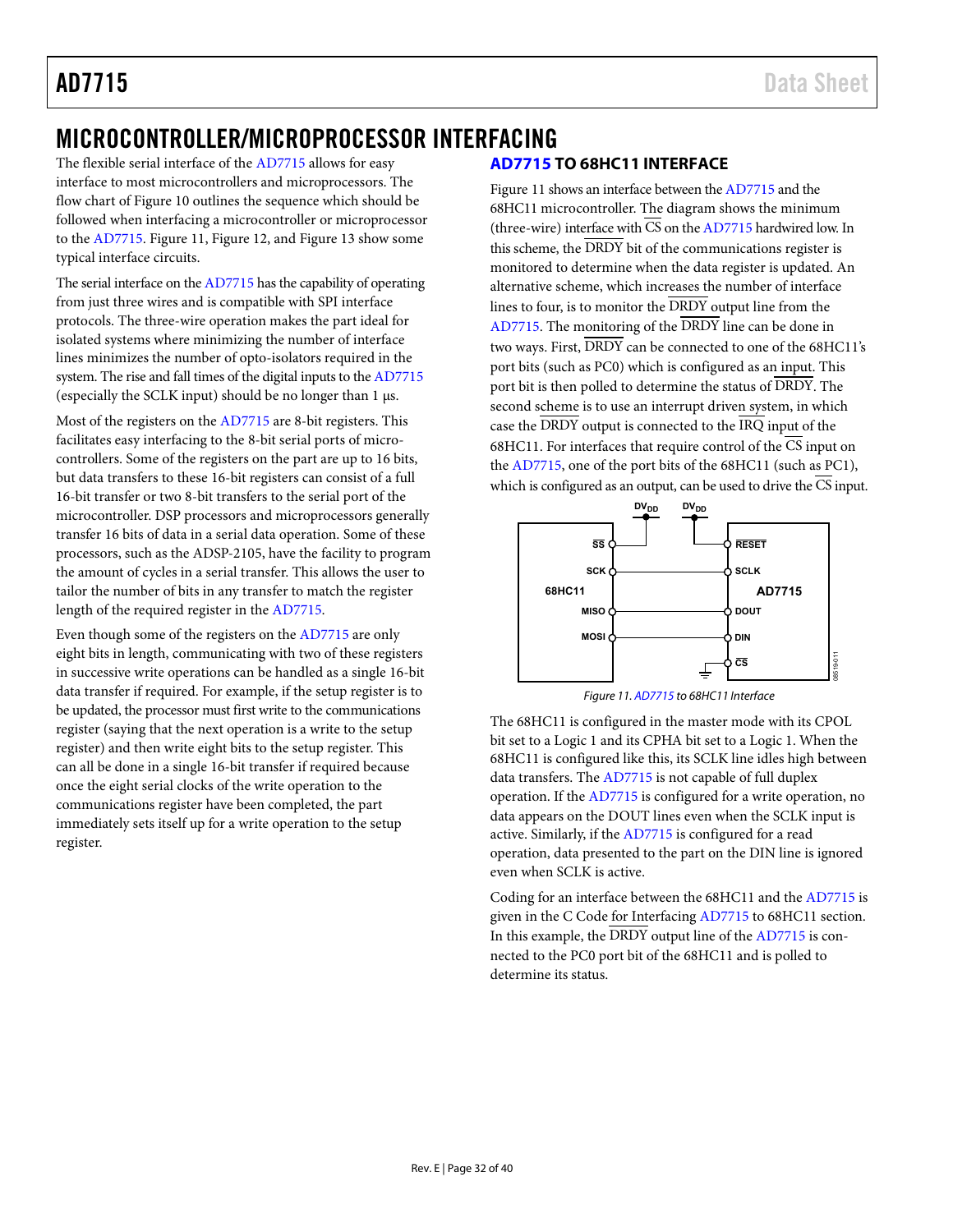# <span id="page-31-0"></span>MICROCONTROLLER/MICROPROCESSOR INTERFACING

The flexible serial interface of th[e AD7715](http://www.analog.com/AD7715?doc=AD7715.pdf) allows for easy interface to most microcontrollers and microprocessors. The flow chart of [Figure 10](#page-30-1) outlines the sequence which should be followed when interfacing a microcontroller or microprocessor to the [AD7715.](http://www.analog.com/AD7715?doc=AD7715.pdf) [Figure 11,](#page-31-2) [Figure 12,](#page-32-2) an[d Figure 13](#page-32-3) show some typical interface circuits.

The serial interface on th[e AD7715](http://www.analog.com/AD7715?doc=AD7715.pdf) has the capability of operating from just three wires and is compatible with SPI interface protocols. The three-wire operation makes the part ideal for isolated systems where minimizing the number of interface lines minimizes the number of opto-isolators required in the system. The rise and fall times of the digital inputs to th[e AD7715](http://www.analog.com/AD7715?doc=AD7715.pdf) (especially the SCLK input) should be no longer than 1 µs.

Most of the registers on th[e AD7715](http://www.analog.com/AD7715?doc=AD7715.pdf) are 8-bit registers. This facilitates easy interfacing to the 8-bit serial ports of microcontrollers. Some of the registers on the part are up to 16 bits, but data transfers to these 16-bit registers can consist of a full 16-bit transfer or two 8-bit transfers to the serial port of the microcontroller. DSP processors and microprocessors generally transfer 16 bits of data in a serial data operation. Some of these processors, such as the ADSP-2105, have the facility to program the amount of cycles in a serial transfer. This allows the user to tailor the number of bits in any transfer to match the register length of the required register in the [AD7715.](http://www.analog.com/AD7715?doc=AD7715.pdf)

Even though some of the registers on th[e AD7715](http://www.analog.com/AD7715?doc=AD7715.pdf) are only eight bits in length, communicating with two of these registers in successive write operations can be handled as a single 16-bit data transfer if required. For example, if the setup register is to be updated, the processor must first write to the communications register (saying that the next operation is a write to the setup register) and then write eight bits to the setup register. This can all be done in a single 16-bit transfer if required because once the eight serial clocks of the write operation to the communications register have been completed, the part immediately sets itself up for a write operation to the setup register.

# <span id="page-31-1"></span>**[AD7715](http://www.analog.com/AD7715?doc=AD7715.pdf) TO 68HC11 INTERFACE**

[Figure 11](#page-31-2) shows an interface between th[e AD7715](http://www.analog.com/AD7715?doc=AD7715.pdf) and the 68HC11 microcontroller. The diagram shows the minimum (three-wire) interface with  $\overline{\text{CS}}$  on th[e AD7715](http://www.analog.com/AD7715?doc=AD7715.pdf) hardwired low. In this scheme, the DRDY bit of the communications register is monitored to determine when the data register is updated. An alternative scheme, which increases the number of interface lines to four, is to monitor the DRDY output line from the [AD7715.](http://www.analog.com/AD7715?doc=AD7715.pdf) The monitoring of the DRDY line can be done in two ways. First, DRDY can be connected to one of the 68HC11's port bits (such as PC0) which is configured as an input. This port bit is then polled to determine the status of DRDY. The second scheme is to use an interrupt driven system, in which case the DRDY output is connected to the IRQ input of the 68HC11. For interfaces that require control of the  $\overline{\text{CS}}$  input on the [AD7715,](http://www.analog.com/AD7715?doc=AD7715.pdf) one of the port bits of the 68HC11 (such as PC1), which is configured as an output, can be used to drive the CS input.





<span id="page-31-2"></span>The 68HC11 is configured in the master mode with its CPOL bit set to a Logic 1 and its CPHA bit set to a Logic 1. When the 68HC11 is configured like this, its SCLK line idles high between data transfers. Th[e AD7715](http://www.analog.com/AD7715?doc=AD7715.pdf) is not capable of full duplex operation. If th[e AD7715](http://www.analog.com/AD7715?doc=AD7715.pdf) is configured for a write operation, no data appears on the DOUT lines even when the SCLK input is active. Similarly, if th[e AD7715](http://www.analog.com/AD7715?doc=AD7715.pdf) is configured for a read operation, data presented to the part on the DIN line is ignored even when SCLK is active.

Coding for an interface between the 68HC11 and the [AD7715](http://www.analog.com/AD7715?doc=AD7715.pdf) is given in the [C Code for Interfacing AD7715](#page-33-1) to 68HC11 section. In this example, the  $\overline{DRDY}$  output line of the  $AD7715$  is connected to the PC0 port bit of the 68HC11 and is polled to determine its status.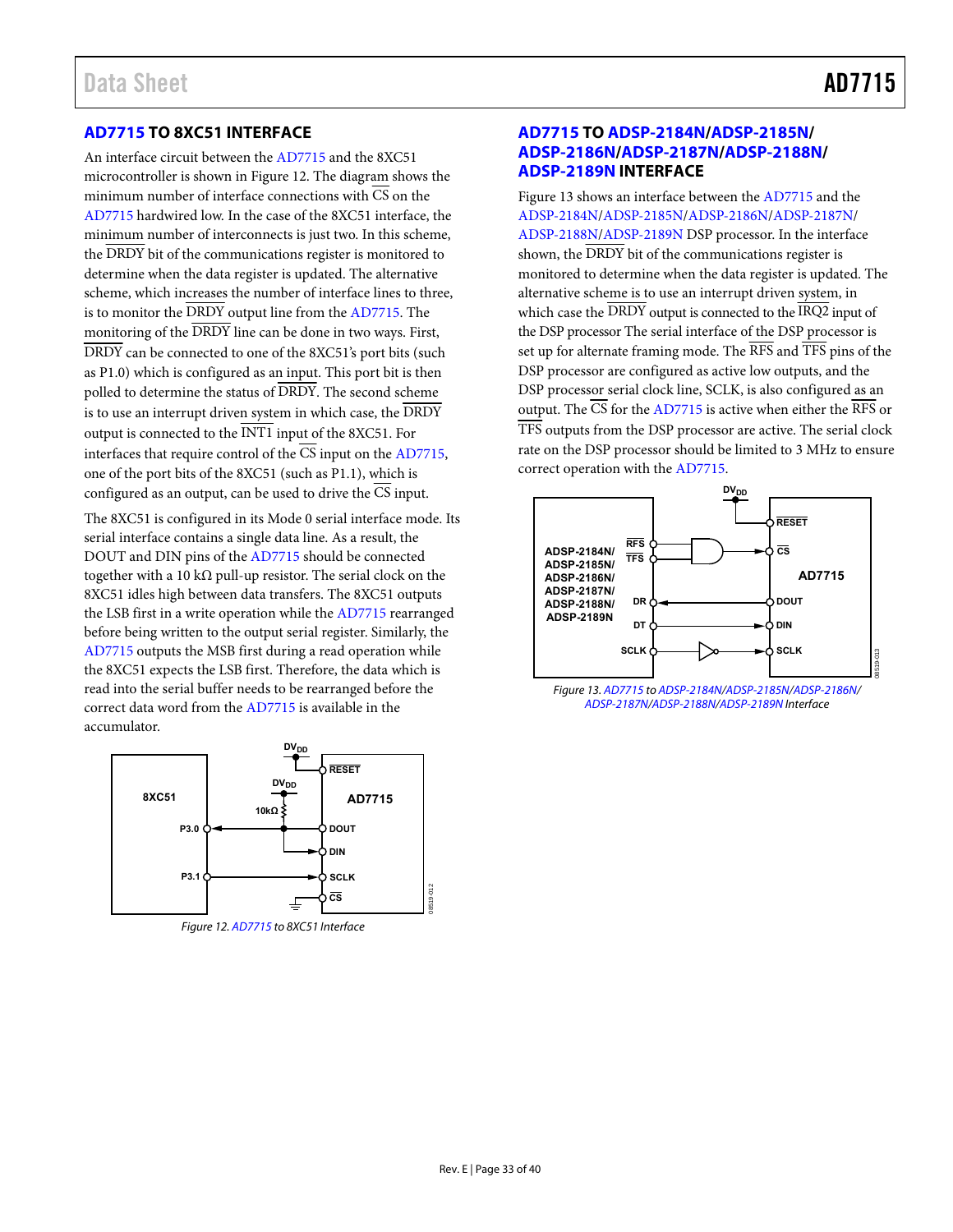## <span id="page-32-0"></span>**[AD7715 T](http://www.analog.com/AD7715?doc=AD7715.pdf)O 8XC51 INTERFACE**

An interface circuit between th[e AD7715 a](http://www.analog.com/AD7715?doc=AD7715.pdf)nd the 8XC51 microcontroller is shown i[n Figure 12.](#page-32-2) The diagram shows the minimum number of interface connections with  $\overline{CS}$  on the [AD7715 h](http://www.analog.com/AD7715?doc=AD7715.pdf)ardwired low. In the case of the 8XC51 interface, the minimum number of interconnects is just two. In this scheme, the DRDY bit of the communications register is monitored to determine when the data register is updated. The alternative scheme, which increases the number of interface lines to three, is to monitor the  $\overline{DRDY}$  output line from the  $AD7715$ . The monitoring of the DRDY line can be done in two ways. First, DRDY can be connected to one of the 8XC51's port bits (such as P1.0) which is configured as an input. This port bit is then polled to determine the status of DRDY. The second scheme is to use an interrupt driven system in which case, the DRDY output is connected to the INT1 input of the 8XC51. For interfaces that require control of the  $\overline{CS}$  input on the [AD7715,](http://www.analog.com/AD7715?doc=AD7715.pdf) one of the port bits of the 8XC51 (such as P1.1), which is configured as an output, can be used to drive the CS input.

The 8XC51 is configured in its Mode 0 serial interface mode. Its serial interface contains a single data line. As a result, the DOUT and DIN pins of the [AD7715 s](http://www.analog.com/AD7715?doc=AD7715.pdf)hould be connected together with a 10 k $\Omega$  pull-up resistor. The serial clock on the 8XC51 idles high between data transfers. The 8XC51 outputs the LSB first in a write operation while th[e AD7715 r](http://www.analog.com/AD7715?doc=AD7715.pdf)earranged before being written to the output serial register. Similarly, the [AD7715 o](http://www.analog.com/AD7715?doc=AD7715.pdf)utputs the MSB first during a read operation while the 8XC51 expects the LSB first. Therefore, the data which is read into the serial buffer needs to be rearranged before the correct data word from the [AD7715](http://www.analog.com/AD7715?doc=AD7715.pdf) is available in the accumulator.



<span id="page-32-2"></span>Figure 12[. AD7715 t](http://www.analog.com/AD7715?doc=AD7715.pdf)o 8XC51 Interface

### <span id="page-32-1"></span>**[AD7715 T](http://www.analog.com/AD7715?doc=AD7715.pdf)O [ADSP-2184N/](http://www.analog.com/ADSP-2184N?doc=AD7715.pdf)[ADSP-2185N/](http://www.analog.com/ADSP-2185N?doc=AD7715.pdf) [ADSP-2186N/](http://www.analog.com/ADSP-2186N?doc=AD7715.pdf)[ADSP-2187N](http://www.analog.com/ADSP-2187N?doc=AD7715.pdf)/[ADSP-2188N/](http://www.analog.com/ADSP-2188N?doc=AD7715.pdf) [ADSP-2189N](http://www.analog.com/ADSP-2189N?doc=AD7715.pdf) INTERFACE**

Figure 13 shows an interface between th[e AD7715](http://www.analog.com/AD7715?doc=AD7715.pdf) and the [ADSP-2184N/](http://www.analog.com/ADSP-2184N?doc=AD7715.pdf)[ADSP-2185N](http://www.analog.com/ADSP-2185N?doc=AD7715.pdf)/[ADSP-2186N/](http://www.analog.com/ADSP-2186N?doc=AD7715.pdf)[ADSP-2187N/](http://www.analog.com/ADSP-2187N?doc=AD7715.pdf) [ADSP-2188N/](http://www.analog.com/ADSP-2188N?doc=AD7715.pdf)[ADSP-2189N](http://www.analog.com/ADSP-2189N?doc=AD7715.pdf) DSP processor. In the interface shown, the DRDY bit of the communications register is monitored to determine when the data register is updated. The alternative scheme is to use an interrupt driven system, in which case the DRDY output is connected to the IRQ2 input of the DSP processor The serial interface of the DSP processor is set up for alternate framing mode. The RFS and TFS pins of the DSP processor are configured as active low outputs, and the DSP processor serial clock line, SCLK, is also configured as an output. The  $\overline{\text{CS}}$  for th[e AD7715 i](http://www.analog.com/AD7715?doc=AD7715.pdf)s active when either the  $\overline{\text{RFS}}$  or TFS outputs from the DSP processor are active. The serial clock rate on the DSP processor should be limited to 3 MHz to ensure correct operation with the [AD7715.](http://www.analog.com/AD7715?doc=AD7715.pdf) 



<span id="page-32-3"></span>[ADSP-2187N](http://www.analog.com/ADSP-2187N?doc=AD7715.pdf)[/ADSP-2188N/](http://www.analog.com/ADSP-2188N?doc=AD7715.pdf)[ADSP-2189N](http://www.analog.com/ADSP-2189N?doc=AD7715.pdf) Interface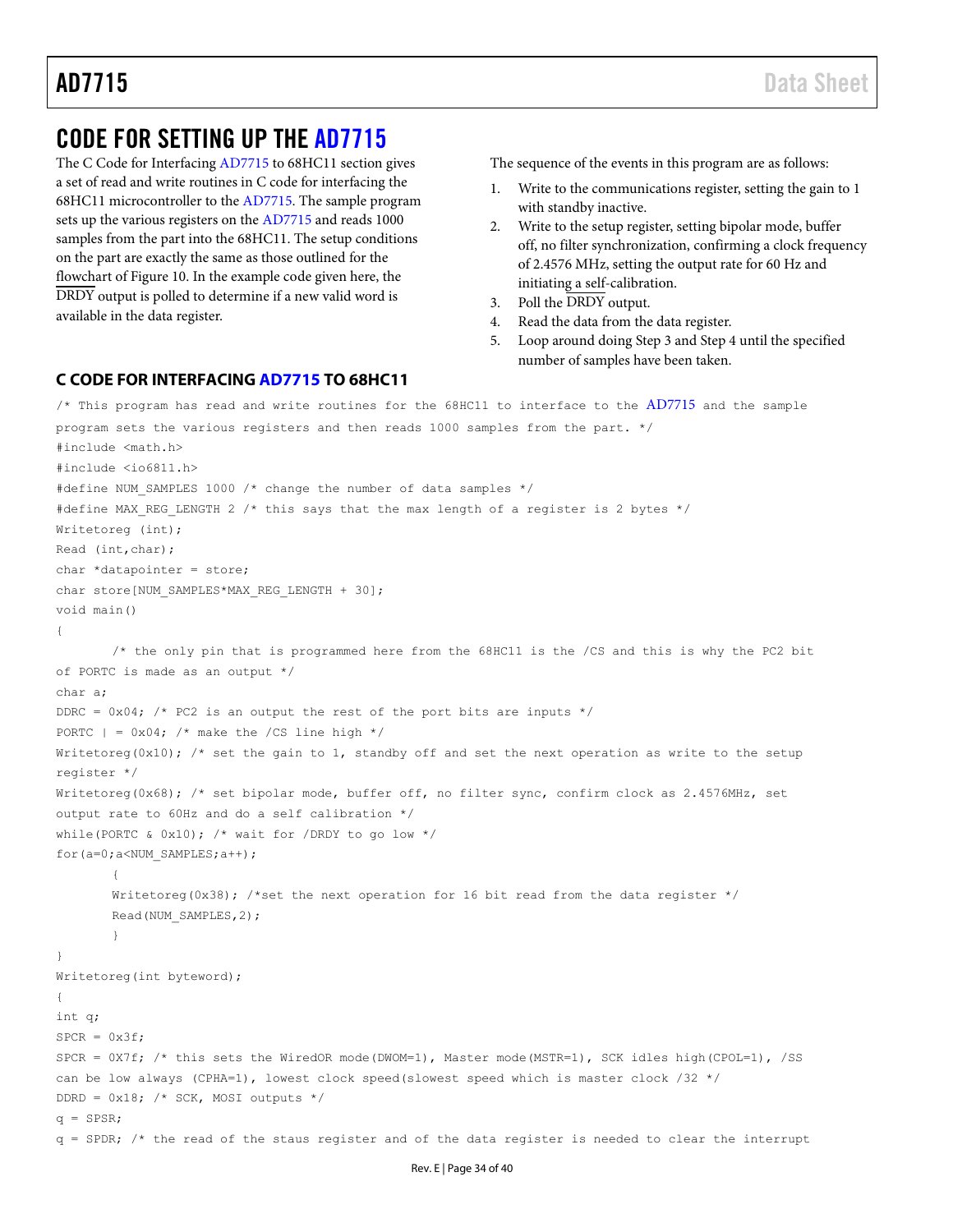# <span id="page-33-0"></span>CODE FOR SETTING UP THE [AD7715](http://www.analog.com/AD7715?doc=AD7715.pdf)

The [C Code for Interfacing AD7715](#page-33-1) to 68HC11 section gives a set of read and write routines in C code for interfacing the 68HC11 microcontroller to the [AD7715.](http://www.analog.com/AD7715?doc=AD7715.pdf) The sample program sets up the various registers on th[e AD7715](http://www.analog.com/AD7715?doc=AD7715.pdf) and reads 1000 samples from the part into the 68HC11. The setup conditions on the part are exactly the same as those outlined for the flowchart of [Figure 10.](#page-30-1) In the example code given here, the DRDY output is polled to determine if a new valid word is available in the data register.

The sequence of the events in this program are as follows:

- Write to the communications register, setting the gain to 1 with standby inactive.
- 2. Write to the setup register, setting bipolar mode, buffer off, no filter synchronization, confirming a clock frequency of 2.4576 MHz, setting the output rate for 60 Hz and initiating a self-calibration.
- 3. Poll the DRDY output.
- 4. Read the data from the data register.
- 5. Loop around doing Step 3 and Step 4 until the specified number of samples have been taken.

### <span id="page-33-1"></span>**C CODE FOR INTERFACIN[G AD7715](http://www.analog.com/AD7715?doc=AD7715.pdf) TO 68HC11**

```
\prime\star This program has read and write routines for the 68HC11 to interface to the AD7715} and the sample
program sets the various registers and then reads 1000 samples from the part. */ 
#include <math.h> 
#include <io6811.h> 
#define NUM SAMPLES 1000 /* change the number of data samples */
#define MAX REG LENGTH 2 /* this says that the max length of a register is 2 bytes */
Writetoreg (int); 
Read (int,char); 
char *datapointer = store; 
char store[NUM_SAMPLES*MAX_REG_LENGTH + 30];
void main() 
{ 
       /* the only pin that is programmed here from the 68HC11 is the /CS and this is why the PC2 bit 
of PORTC is made as an output */ 
char a; 
DDRC = 0x04; /* PC2 is an output the rest of the port bits are inputs */
PORTC | = 0x04; /* make the /CS line high */
Writetoreg(0x10); /* set the gain to 1, standby off and set the next operation as write to the setup
register */ 
Writetoreg(0x68); /* set bipolar mode, buffer off, no filter sync, confirm clock as 2.4576MHz, set
output rate to 60Hz and do a self calibration */ 
while(PORTC & 0x10); /* wait for /DRDY to go low */for(a=0;a<NUM_SAMPLES;a++);
        { 
       Writetoreg(0x38); /*set the next operation for 16 bit read from the data register */
       Read(NUM_SAMPLES,2); 
        } 
} 
Writetoreg(int byteword); 
{ 
int q; 
SPCR = 0x3f:
SPCR = 0X7f; /* this sets the WiredOR mode(DWOM=1), Master mode(MSTR=1), SCK idles high(CPOL=1), /SS 
can be low always (CPHA=1), lowest clock speed(slowest speed which is master clock /32 */ 
DDRD = 0x18; /* SCK, MOSI outputs */
q = SPSR;
q = SPDR; /* the read of the staus register and of the data register is needed to clear the interrupt
```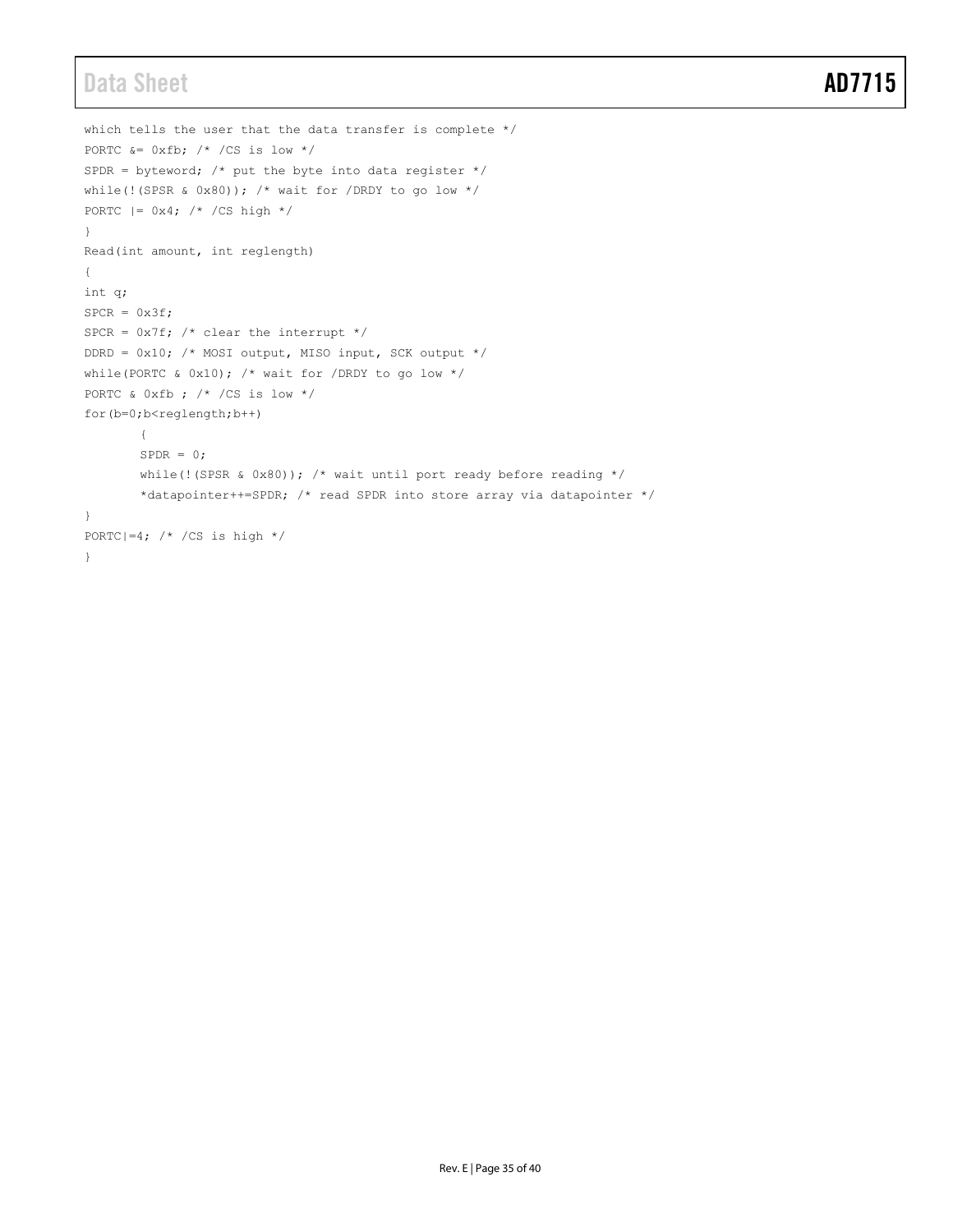# Data Sheet **AD7715**

```
which tells the user that the data transfer is complete */ 
PORTC &= 0xfb; /* /CS is low */SPDR = byteword; /* put the byte into data register */
while(!(SPSR & 0x80)); /* wait for /DRDY to go low */
PORTC |= 0x4; /* /CS high */} 
Read(int amount, int reglength) 
{ 
int q; 
SPCR = 0x3f;SPCR = 0x7f; /* clear the interrupt */
DDRD = 0x10; /* MOSI output, MISO input, SCK output */
while(PORTC & 0x10); /* wait for /DRDY to go low */PORTC & 0xfb ; /* /CS is low */ 
for(b=0;b<reglength;b++) 
       \{SPPR = 0;while(!(SPSR & 0x80)); /* wait until port ready before reading */*datapointer++=SPDR; /* read SPDR into store array via datapointer */ 
} 
PORTC|=4; /* /CS is high */
}
```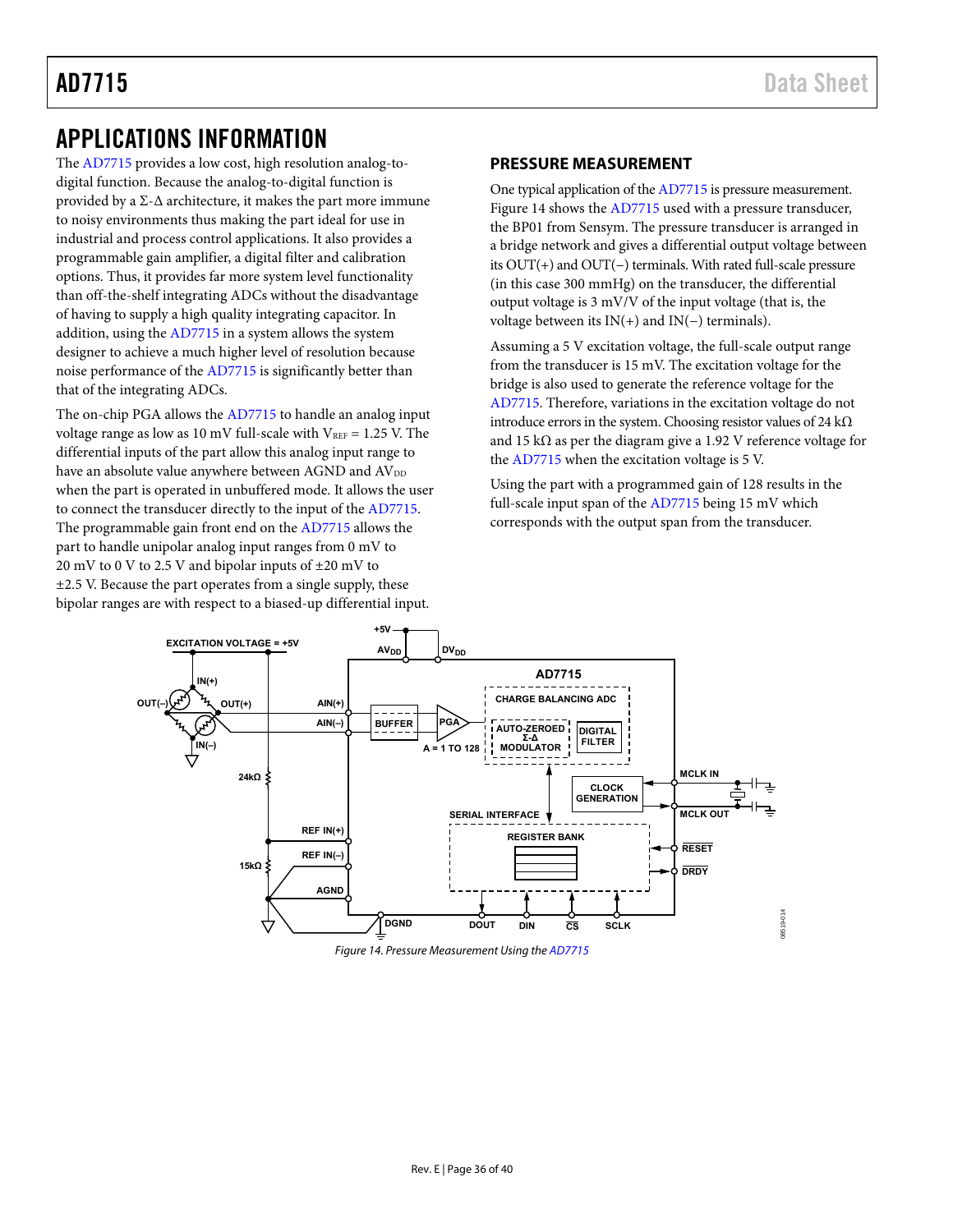# <span id="page-35-0"></span>APPLICATIONS INFORMATION

The [AD7715 p](http://www.analog.com/AD7715?doc=AD7715.pdf)rovides a low cost, high resolution analog-todigital function. Because the analog-to-digital function is provided by a Σ- $Δ$  architecture, it makes the part more immune to noisy environments thus making the part ideal for use in industrial and process control applications. It also provides a programmable gain amplifier, a digital filter and calibration options. Thus, it provides far more system level functionality than off-the-shelf integrating ADCs without the disadvantage of having to supply a high quality integrating capacitor. In addition, using th[e AD7715](http://www.analog.com/AD7715?doc=AD7715.pdf) in a system allows the system designer to achieve a much higher level of resolution because noise performance of the [AD7715 i](http://www.analog.com/AD7715?doc=AD7715.pdf)s significantly better than that of the integrating ADCs.

The on-chip PGA allows the [AD7715 t](http://www.analog.com/AD7715?doc=AD7715.pdf)o handle an analog input voltage range as low as 10 mV full-scale with  $V_{REF} = 1.25$  V. The differential inputs of the part allow this analog input range to have an absolute value anywhere between AGND and  $\text{AV}_{\text{DD}}$ when the part is operated in unbuffered mode. It allows the user to connect the transducer directly to the input of th[e AD7715.](http://www.analog.com/AD7715?doc=AD7715.pdf)  The programmable gain front end on th[e AD7715](http://www.analog.com/AD7715?doc=AD7715.pdf) allows the part to handle unipolar analog input ranges from 0 mV to 20 mV to 0 V to 2.5 V and bipolar inputs of  $\pm 20$  mV to  $\pm$ 2.5 V. Because the part operates from a single supply, these bipolar ranges are with respect to a biased-up differential input.

### <span id="page-35-1"></span>**PRESSURE MEASUREMENT**

One typical application of th[e AD7715 i](http://www.analog.com/AD7715?doc=AD7715.pdf)s pressure measurement. [Figure 14 s](#page-35-2)hows th[e AD7715](http://www.analog.com/AD7715?doc=AD7715.pdf) used with a pressure transducer, the BP01 from Sensym. The pressure transducer is arranged in a bridge network and gives a differential output voltage between its OUT(+) and OUT(−) terminals. With rated full-scale pressure (in this case 300 mmHg) on the transducer, the differential output voltage is 3 mV/V of the input voltage (that is, the voltage between its IN(+) and IN(−) terminals).

Assuming a 5 V excitation voltage, the full-scale output range from the transducer is 15 mV. The excitation voltage for the bridge is also used to generate the reference voltage for the [AD7715.](http://www.analog.com/AD7715?doc=AD7715.pdf) Therefore, variations in the excitation voltage do not introduce errors in the system. Choosing resistor values of 24 k $\Omega$ and 15 kΩ as per the diagram give a 1.92 V reference voltage for the [AD7715](http://www.analog.com/AD7715?doc=AD7715.pdf) when the excitation voltage is 5 V.

Using the part with a programmed gain of 128 results in the full-scale input span of the [AD7715 b](http://www.analog.com/AD7715?doc=AD7715.pdf)eing 15 mV which corresponds with the output span from the transducer.



<span id="page-35-2"></span>Figure 14. Pressure Measurement Using th[e AD7715](http://www.analog.com/AD7715?doc=AD7715.pdf)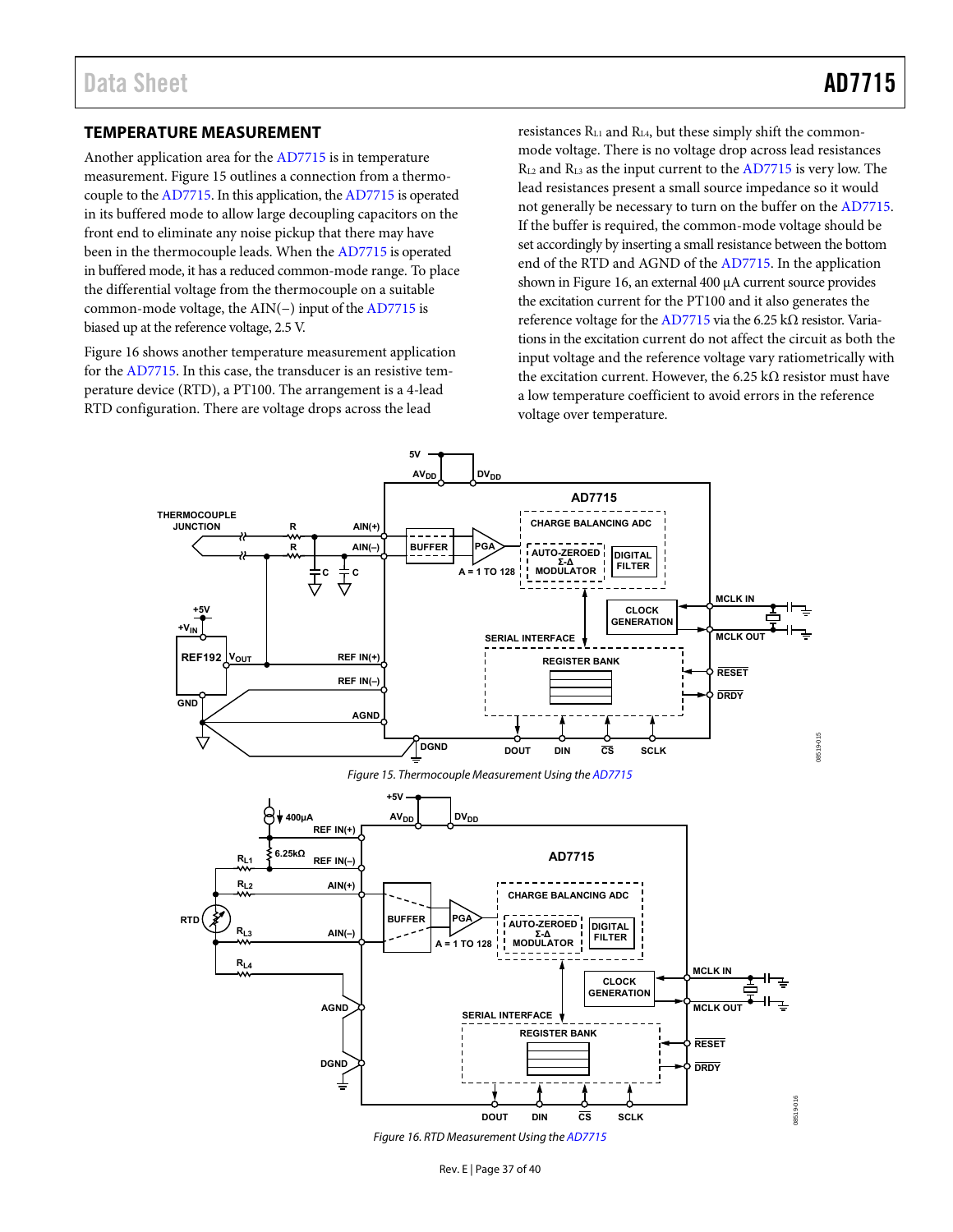### <span id="page-36-0"></span>**TEMPERATURE MEASUREMENT**

Another application area for th[e AD7715 i](http://www.analog.com/AD7715?doc=AD7715.pdf)s in temperature measurement. [Figure 15 o](#page-36-1)utlines a connection from a thermocouple to th[e AD7715.](http://www.analog.com/AD7715?doc=AD7715.pdf) In this application, th[e AD7715 i](http://www.analog.com/AD7715?doc=AD7715.pdf)s operated in its buffered mode to allow large decoupling capacitors on the front end to eliminate any noise pickup that there may have been in the thermocouple leads. When the [AD7715 i](http://www.analog.com/AD7715?doc=AD7715.pdf)s operated in buffered mode, it has a reduced common-mode range. To place the differential voltage from the thermocouple on a suitable common-mode voltage, the AIN(−) input of th[e AD7715 i](http://www.analog.com/AD7715?doc=AD7715.pdf)s biased up at the reference voltage, 2.5 V.

[Figure 16 s](#page-36-2)hows another temperature measurement application for th[e AD7715.](http://www.analog.com/AD7715?doc=AD7715.pdf) In this case, the transducer is an resistive temperature device (RTD), a PT100. The arrangement is a 4-lead RTD configuration. There are voltage drops across the lead

resistances RL1 and RL4, but these simply shift the commonmode voltage. There is no voltage drop across lead resistances RL2 and RL3 as the input current to th[e AD7715](http://www.analog.com/AD7715?doc=AD7715.pdf) is very low. The lead resistances present a small source impedance so it would not generally be necessary to turn on the buffer on th[e AD7715.](http://www.analog.com/AD7715?doc=AD7715.pdf)  If the buffer is required, the common-mode voltage should be set accordingly by inserting a small resistance between the bottom end of the RTD and AGND of th[e AD7715.](http://www.analog.com/AD7715?doc=AD7715.pdf) In the application shown i[n Figure 16,](#page-36-2) an external 400 μA current source provides the excitation current for the PT100 and it also generates the reference voltage for th[e AD7715 v](http://www.analog.com/AD7715?doc=AD7715.pdf)ia the 6.25 kΩ resistor. Variations in the excitation current do not affect the circuit as both the input voltage and the reference voltage vary ratiometrically with the excitation current. However, the 6.25 kΩ resistor must have a low temperature coefficient to avoid errors in the reference voltage over temperature.

<span id="page-36-1"></span>

<span id="page-36-2"></span>Figure 16. RTD Measurement Using th[e AD7715](http://www.analog.com/AD7715?doc=AD7715.pdf)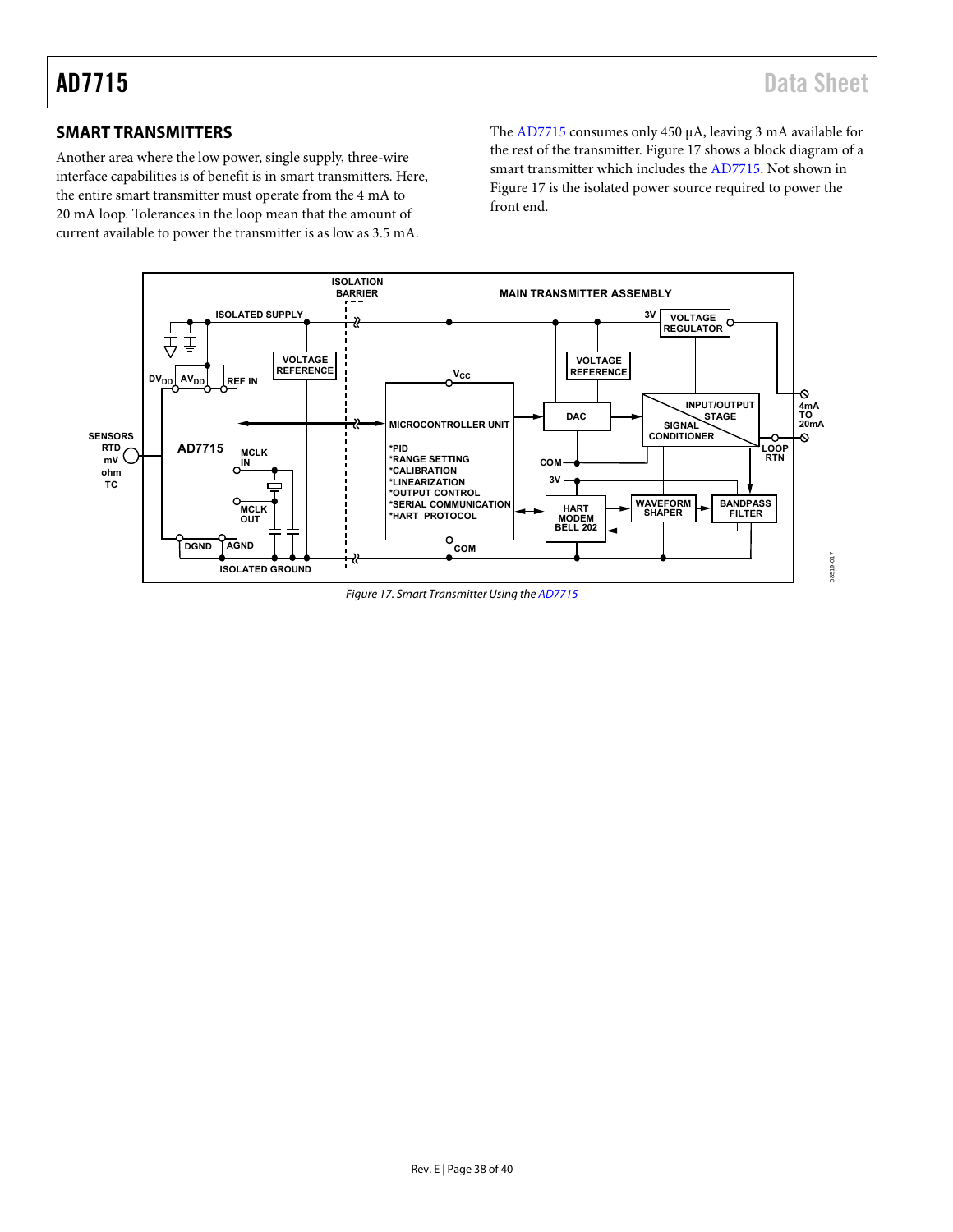# <span id="page-37-0"></span>**SMART TRANSMITTERS**

Another area where the low power, single supply, three-wire interface capabilities is of benefit is in smart transmitters. Here, the entire smart transmitter must operate from the 4 mA to 20 mA loop. Tolerances in the loop mean that the amount of current available to power the transmitter is as low as 3.5 mA.

The [AD7715 c](http://www.analog.com/AD7715?doc=AD7715.pdf)onsumes only 450 μA, leaving 3 mA available for the rest of the transmitter. [Figure 17 s](#page-37-1)hows a block diagram of a smart transmitter which includes the [AD7715.](http://www.analog.com/AD7715?doc=AD7715.pdf) Not shown in [Figure 17 i](#page-37-1)s the isolated power source required to power the front end.



<span id="page-37-1"></span>Figure 17. Smart Transmitter Using th[e AD7715](http://www.analog.com/AD7715?doc=AD7715.pdf)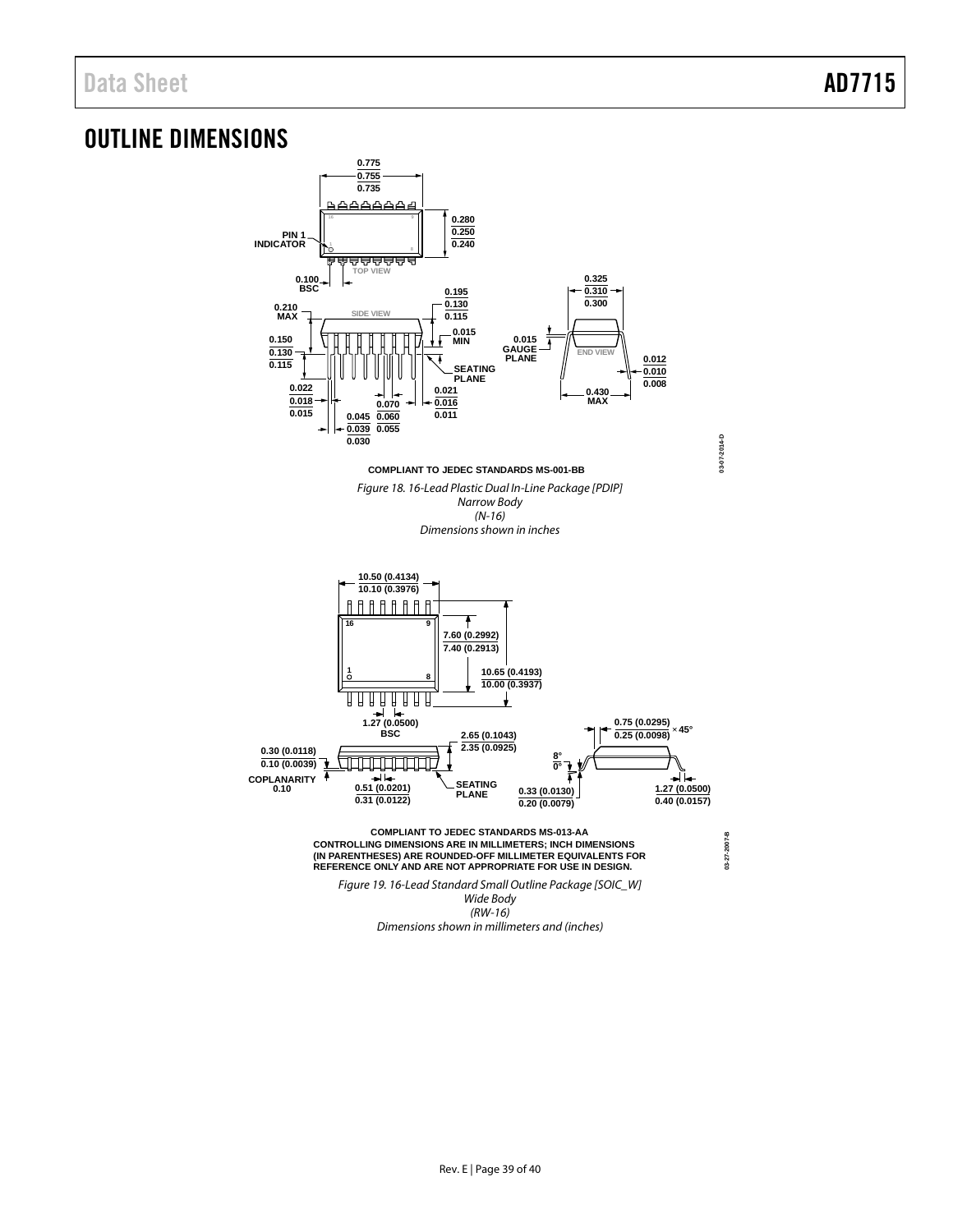# <span id="page-38-0"></span>OUTLINE DIMENSIONS